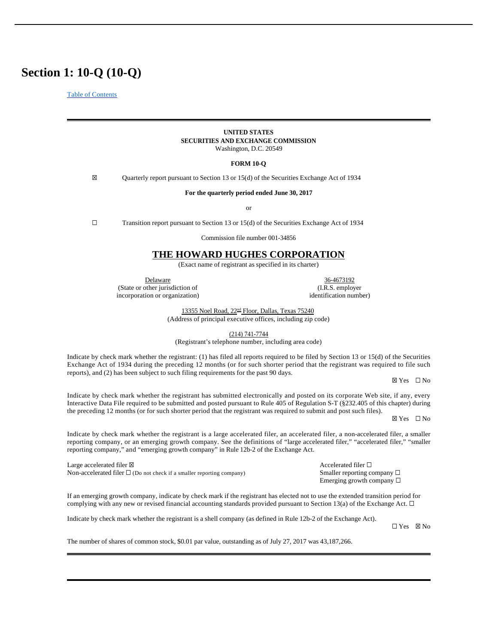# **Section 1: 10-Q (10-Q)**

Table of Contents

### **UNITED STATES SECURITIES AND EXCHANGE COMMISSION** Washington, D.C. 20549

### **FORM 10-Q**

☒ Quarterly report pursuant to Section 13 or 15(d) of the Securities Exchange Act of 1934

### **For the quarterly period ended June 30, 2017**

or

☐ Transition report pursuant to Section 13 or 15(d) of the Securities Exchange Act of 1934

Commission file number 001-34856

# **THE HOWARD HUGHES CORPORATION**

(Exact name of registrant as specified in its charter)

Delaware 36-4673192 (State or other jurisdiction of (I.R.S. employer incorporation or organization) identification number)

13355 Noel Road, 22<sup>nd</sup> Floor, Dallas, Texas 75240 (Address of principal executive offices, including zip code)

(214) 741-7744

(Registrant's telephone number, including area code)

Indicate by check mark whether the registrant: (1) has filed all reports required to be filed by Section 13 or 15(d) of the Securities Exchange Act of 1934 during the preceding 12 months (or for such shorter period that the registrant was required to file such reports), and (2) has been subject to such filing requirements for the past 90 days.

☒ Yes ☐ No

Indicate by check mark whether the registrant has submitted electronically and posted on its corporate Web site, if any, every Interactive Data File required to be submitted and posted pursuant to Rule 405 of Regulation S-T (§232.405 of this chapter) during the preceding 12 months (or for such shorter period that the registrant was required to submit and post such files).

☒ Yes ☐ No

Indicate by check mark whether the registrant is a large accelerated filer, an accelerated filer, a non-accelerated filer, a smaller reporting company, or an emerging growth company. See the definitions of "large accelerated filer," "accelerated filer," "smaller reporting company," and "emerging growth company" in Rule 12b-2 of the Exchange Act.

Large accelerated filer ⊠<br>
Non-accelerated filer □ (Do not check if a smaller reporting company) Smaller reporting company □ Non-accelerated filer  $\square$  (Do not check if a smaller reporting company)

Emerging growth company  $\Box$ 

If an emerging growth company, indicate by check mark if the registrant has elected not to use the extended transition period for complying with any new or revised financial accounting standards provided pursuant to Section 13(a) of the Exchange Act. □

Indicate by check mark whether the registrant is a shell company (as defined in Rule 12b-2 of the Exchange Act).

☐ Yes ☒ No

The number of shares of common stock, \$0.01 par value, outstanding as of July 27, 2017 was 43,187,266.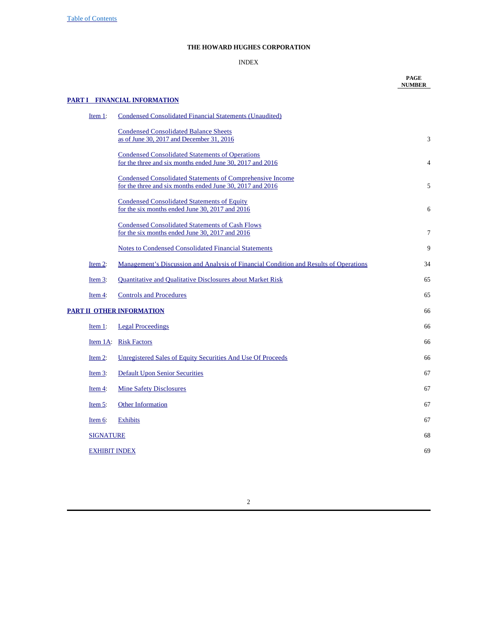Table of Contents

# **THE HOWARD HUGHES CORPORATION**

# INDEX

|            |                                                                                                                               |                                                                                       | <b>PAGE</b><br><b>NUMBER</b> |
|------------|-------------------------------------------------------------------------------------------------------------------------------|---------------------------------------------------------------------------------------|------------------------------|
|            | PART I FINANCIAL INFORMATION                                                                                                  |                                                                                       |                              |
| Item 1:    | <b>Condensed Consolidated Financial Statements (Unaudited)</b>                                                                |                                                                                       |                              |
|            | <b>Condensed Consolidated Balance Sheets</b><br>as of June 30, 2017 and December 31, 2016                                     |                                                                                       | 3                            |
|            | <b>Condensed Consolidated Statements of Operations</b><br>for the three and six months ended June 30, 2017 and 2016           |                                                                                       | 4                            |
|            | <b>Condensed Consolidated Statements of Comprehensive Income</b><br>for the three and six months ended June 30, 2017 and 2016 |                                                                                       | 5                            |
|            | <b>Condensed Consolidated Statements of Equity</b><br>for the six months ended June 30, 2017 and 2016                         |                                                                                       | 6                            |
|            | <b>Condensed Consolidated Statements of Cash Flows</b><br>for the six months ended June 30, 2017 and 2016                     |                                                                                       | 7                            |
|            | <b>Notes to Condensed Consolidated Financial Statements</b>                                                                   |                                                                                       | 9                            |
| Item $2$ : |                                                                                                                               | Management's Discussion and Analysis of Financial Condition and Results of Operations | 34                           |
| Item $3$ : | <b>Quantitative and Qualitative Disclosures about Market Risk</b>                                                             |                                                                                       | 65                           |
| Item 4:    | <b>Controls and Procedures</b>                                                                                                |                                                                                       | 65                           |
|            | <b>PART II OTHER INFORMATION</b>                                                                                              |                                                                                       | 66                           |
| Item $1$ : | <b>Legal Proceedings</b>                                                                                                      |                                                                                       | 66                           |
|            | Item 1A: Risk Factors                                                                                                         |                                                                                       | 66                           |
| Item $2$ : | Unregistered Sales of Equity Securities And Use Of Proceeds                                                                   |                                                                                       | 66                           |
| Item $3$ : | <b>Default Upon Senior Securities</b>                                                                                         |                                                                                       | 67                           |
| Item 4:    | <b>Mine Safety Disclosures</b>                                                                                                |                                                                                       | 67                           |
| Item $5$ : | <b>Other Information</b>                                                                                                      |                                                                                       | 67                           |
| Item $6$ : | <b>Exhibits</b>                                                                                                               |                                                                                       | 67                           |
|            | <b>SIGNATURE</b>                                                                                                              |                                                                                       | 68                           |
|            | <b>EXHIBIT INDEX</b>                                                                                                          |                                                                                       | 69                           |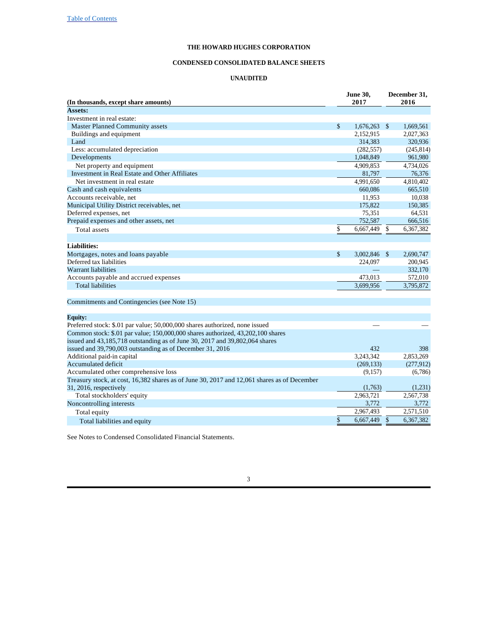### **CONDENSED CONSOLIDATED BALANCE SHEETS**

### **UNAUDITED**

| (In thousands, except share amounts)                                                        |               | <b>June 30,</b><br>2017 |                    | December 31,<br>2016 |
|---------------------------------------------------------------------------------------------|---------------|-------------------------|--------------------|----------------------|
| Assets:                                                                                     |               |                         |                    |                      |
| Investment in real estate:                                                                  |               |                         |                    |                      |
| <b>Master Planned Community assets</b>                                                      | $\mathcal{S}$ | 1,676,263               | - \$               | 1,669,561            |
| Buildings and equipment                                                                     |               | 2,152,915               |                    | 2,027,363            |
| Land                                                                                        |               | 314,383                 |                    | 320,936              |
| Less: accumulated depreciation                                                              |               | (282, 557)              |                    | (245, 814)           |
| Developments                                                                                |               | 1,048,849               |                    | 961,980              |
| Net property and equipment                                                                  |               | 4,909,853               |                    | 4,734,026            |
| Investment in Real Estate and Other Affiliates                                              |               | 81,797                  |                    | 76,376               |
| Net investment in real estate                                                               |               | 4,991,650               |                    | 4,810,402            |
| Cash and cash equivalents                                                                   |               | 660,086                 |                    | 665,510              |
| Accounts receivable, net                                                                    |               | 11,953                  |                    | 10,038               |
| Municipal Utility District receivables, net                                                 |               | 175,822                 |                    | 150,385              |
| Deferred expenses, net                                                                      |               | 75,351                  |                    | 64,531               |
| Prepaid expenses and other assets, net                                                      |               | 752,587                 |                    | 666,516              |
| Total assets                                                                                | \$            | 6,667,449               | \$                 | 6,367,382            |
|                                                                                             |               |                         |                    |                      |
| <b>Liabilities:</b>                                                                         |               |                         |                    |                      |
| Mortgages, notes and loans payable                                                          | $\mathsf{\$}$ | 3,002,846 \$            |                    | 2,690,747            |
| Deferred tax liabilities                                                                    |               | 224,097                 |                    | 200,945              |
| <b>Warrant liabilities</b>                                                                  |               |                         |                    | 332,170              |
| Accounts payable and accrued expenses                                                       |               | 473,013                 |                    | 572,010              |
| <b>Total liabilities</b>                                                                    |               | 3,699,956               |                    | 3,795,872            |
|                                                                                             |               |                         |                    |                      |
| Commitments and Contingencies (see Note 15)                                                 |               |                         |                    |                      |
|                                                                                             |               |                         |                    |                      |
| <b>Equity:</b>                                                                              |               |                         |                    |                      |
| Preferred stock: \$.01 par value; 50,000,000 shares authorized, none issued                 |               |                         |                    |                      |
| Common stock: \$.01 par value; 150,000,000 shares authorized, 43,202,100 shares             |               |                         |                    |                      |
| issued and 43,185,718 outstanding as of June 30, 2017 and 39,802,064 shares                 |               |                         |                    |                      |
| issued and 39,790,003 outstanding as of December 31, 2016                                   |               | 432                     |                    | 398                  |
| Additional paid-in capital                                                                  |               | 3,243,342               |                    | 2,853,269            |
| Accumulated deficit                                                                         |               | (269, 133)              |                    | (277, 912)           |
| Accumulated other comprehensive loss                                                        |               | (9,157)                 |                    | (6,786)              |
| Treasury stock, at cost, 16,382 shares as of June 30, 2017 and 12,061 shares as of December |               | (1,763)                 |                    | (1,231)              |
| 31, 2016, respectively                                                                      |               |                         |                    |                      |
| Total stockholders' equity                                                                  |               | 2,963,721               |                    | 2,567,738            |
| Noncontrolling interests                                                                    |               | 3,772                   |                    | 3,772                |
| Total equity                                                                                |               | 2,967,493               |                    | 2,571,510            |
| Total liabilities and equity                                                                | \$            | 6.667.449               | $\mathbf{\hat{S}}$ | 6.367.382            |

See Notes to Condensed Consolidated Financial Statements.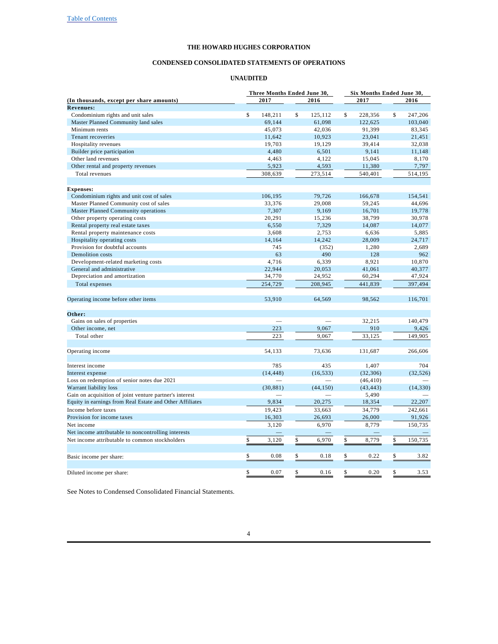#### **CONDENSED CONSOLIDATED STATEMENTS OF OPERATIONS**

### **UNAUDITED**

|                                                          | Three Months Ended June 30, |           |    |           |    | Six Months Ended June 30, |                                                                                                                                                      |           |  |
|----------------------------------------------------------|-----------------------------|-----------|----|-----------|----|---------------------------|------------------------------------------------------------------------------------------------------------------------------------------------------|-----------|--|
| (In thousands, except per share amounts)                 |                             | 2017      |    | 2016      |    | 2017                      | 2016<br>\$<br>154,541<br>44,696<br>19,778<br>30,978<br>14,077<br>5,885<br>24,717<br>2,689<br>962<br>10,870<br>40,377<br>47,924<br>397,494<br>116,701 |           |  |
| <b>Revenues:</b>                                         |                             |           |    |           |    |                           |                                                                                                                                                      |           |  |
| Condominium rights and unit sales                        | \$                          | 148,211   | \$ | 125,112   | \$ | 228,356                   |                                                                                                                                                      | 247,206   |  |
| Master Planned Community land sales                      |                             | 69,144    |    | 61,098    |    | 122,625                   |                                                                                                                                                      | 103,040   |  |
| Minimum rents                                            |                             | 45.073    |    | 42,036    |    | 91,399                    |                                                                                                                                                      | 83.345    |  |
| Tenant recoveries                                        |                             | 11,642    |    | 10,923    |    | 23,041                    |                                                                                                                                                      | 21,451    |  |
| Hospitality revenues                                     |                             | 19,703    |    | 19,129    |    | 39,414                    |                                                                                                                                                      | 32,038    |  |
| Builder price participation                              |                             | 4,480     |    | 6,501     |    | 9,141                     |                                                                                                                                                      | 11,148    |  |
| Other land revenues                                      |                             | 4,463     |    | 4,122     |    | 15,045                    |                                                                                                                                                      | 8,170     |  |
| Other rental and property revenues                       |                             | 5,923     |    | 4,593     |    | 11,380                    |                                                                                                                                                      | 7,797     |  |
| Total revenues                                           |                             | 308,639   |    | 273,514   |    | 540,401                   |                                                                                                                                                      | 514,195   |  |
|                                                          |                             |           |    |           |    |                           |                                                                                                                                                      |           |  |
| <b>Expenses:</b>                                         |                             |           |    |           |    |                           |                                                                                                                                                      |           |  |
| Condominium rights and unit cost of sales                |                             | 106,195   |    | 79,726    |    | 166,678                   |                                                                                                                                                      |           |  |
| Master Planned Community cost of sales                   |                             | 33,376    |    | 29,008    |    | 59,245                    |                                                                                                                                                      |           |  |
| Master Planned Community operations                      |                             | 7,307     |    | 9,169     |    | 16,701                    |                                                                                                                                                      |           |  |
| Other property operating costs                           |                             | 20,291    |    | 15,236    |    | 38,799                    |                                                                                                                                                      |           |  |
| Rental property real estate taxes                        |                             | 6,550     |    | 7,329     |    | 14,087                    |                                                                                                                                                      |           |  |
| Rental property maintenance costs                        |                             | 3,608     |    | 2,753     |    | 6,636                     |                                                                                                                                                      |           |  |
| Hospitality operating costs                              |                             | 14,164    |    | 14,242    |    | 28,009                    |                                                                                                                                                      |           |  |
| Provision for doubtful accounts                          |                             | 745       |    | (352)     |    | 1,280                     |                                                                                                                                                      |           |  |
| Demolition costs                                         |                             | 63        |    | 490       |    | 128                       |                                                                                                                                                      |           |  |
| Development-related marketing costs                      |                             | 4,716     |    | 6,339     |    | 8,921                     |                                                                                                                                                      |           |  |
| General and administrative                               |                             | 22,944    |    | 20,053    |    | 41,061                    |                                                                                                                                                      |           |  |
| Depreciation and amortization                            |                             | 34,770    |    | 24,952    |    | 60,294                    |                                                                                                                                                      |           |  |
| Total expenses                                           |                             | 254,729   |    | 208,945   |    | 441,839                   |                                                                                                                                                      |           |  |
| Operating income before other items                      |                             | 53,910    |    | 64,569    |    | 98,562                    |                                                                                                                                                      |           |  |
| Other:                                                   |                             |           |    |           |    |                           |                                                                                                                                                      |           |  |
| Gains on sales of properties                             |                             |           |    |           |    | 32,215                    |                                                                                                                                                      | 140,479   |  |
| Other income, net                                        |                             | 223       |    | 9,067     |    | 910                       |                                                                                                                                                      | 9,426     |  |
| Total other                                              |                             | 223       |    | 9,067     |    | 33,125                    |                                                                                                                                                      | 149,905   |  |
|                                                          |                             |           |    |           |    |                           |                                                                                                                                                      |           |  |
| Operating income                                         |                             | 54,133    |    | 73,636    |    | 131,687                   |                                                                                                                                                      | 266,606   |  |
| Interest income                                          |                             | 785       |    | 435       |    | 1,407                     |                                                                                                                                                      | 704       |  |
| Interest expense                                         |                             | (14, 448) |    | (16, 533) |    | (32, 306)                 |                                                                                                                                                      | (32, 526) |  |
| Loss on redemption of senior notes due 2021              |                             |           |    |           |    | (46, 410)                 |                                                                                                                                                      |           |  |
| Warrant liability loss                                   |                             | (30, 881) |    | (44, 150) |    | (43, 443)                 |                                                                                                                                                      | (14, 330) |  |
| Gain on acquisition of joint venture partner's interest  |                             |           |    |           |    | 5,490                     |                                                                                                                                                      |           |  |
| Equity in earnings from Real Estate and Other Affiliates |                             | 9,834     |    | 20,275    |    | 18,354                    |                                                                                                                                                      | 22,207    |  |
| Income before taxes                                      |                             | 19,423    |    | 33,663    |    | 34,779                    |                                                                                                                                                      | 242,661   |  |
| Provision for income taxes                               |                             | 16,303    |    | 26,693    |    | 26,000                    |                                                                                                                                                      | 91,926    |  |
| Net income                                               |                             | 3,120     |    | 6,970     |    | 8,779                     |                                                                                                                                                      | 150,735   |  |
| Net income attributable to noncontrolling interests      |                             |           |    |           |    |                           |                                                                                                                                                      |           |  |
| Net income attributable to common stockholders           | \$                          | 3,120     | \$ | 6,970     | \$ | 8,779                     | \$                                                                                                                                                   | 150,735   |  |
|                                                          |                             |           |    |           |    |                           |                                                                                                                                                      |           |  |
| Basic income per share:                                  | \$                          | 0.08      | \$ | 0.18      | \$ | 0.22                      | \$                                                                                                                                                   | 3.82      |  |
| Diluted income per share:                                | \$                          | 0.07      | \$ | 0.16      | \$ | 0.20                      | \$                                                                                                                                                   | 3.53      |  |
|                                                          |                             |           |    |           |    |                           |                                                                                                                                                      |           |  |

See Notes to Condensed Consolidated Financial Statements.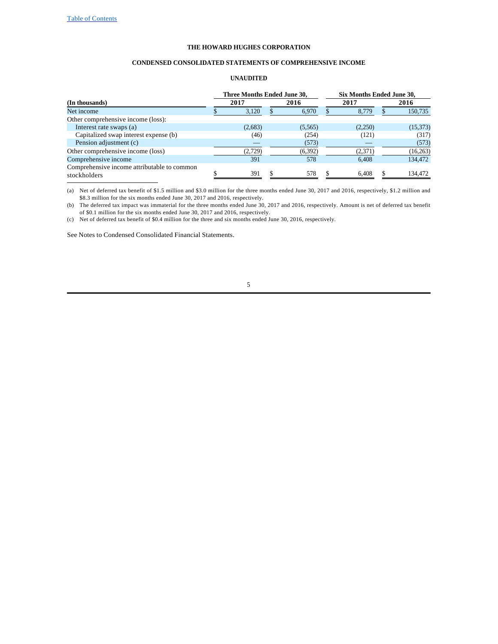#### **CONDENSED CONSOLIDATED STATEMENTS OF COMPREHENSIVE INCOME**

### **UNAUDITED**

|                                                             |         | Three Months Ended June 30, |             | Six Months Ended June 30, |  |  |
|-------------------------------------------------------------|---------|-----------------------------|-------------|---------------------------|--|--|
| (In thousands)                                              | 2017    | 2016                        | 2017        | 2016                      |  |  |
| Net income                                                  | 3,120   | 6,970                       | 8.779       | 150,735                   |  |  |
| Other comprehensive income (loss):                          |         |                             |             |                           |  |  |
| Interest rate swaps (a)                                     | (2,683) | (5,565)                     | (2,250)     | (15, 373)                 |  |  |
| Capitalized swap interest expense (b)                       | (46)    | (254)                       | (121)       | (317)                     |  |  |
| Pension adjustment (c)                                      |         | (573)                       |             | (573)                     |  |  |
| Other comprehensive income (loss)                           | (2,729) | (6,392)                     | (2,371)     | (16, 263)                 |  |  |
| Comprehensive income                                        | 391     | 578                         | 6.408       | 134,472                   |  |  |
| Comprehensive income attributable to common<br>stockholders | 391     | \$<br>578                   | \$<br>6.408 | 134.472                   |  |  |

(a) Net of deferred tax benefit of \$1.5 million and \$3.0 million for the three months ended June 30, 2017 and 2016, respectively, \$1.2 million and \$8.3 million for the six months ended June 30, 2017 and 2016, respectively.

(b) The deferred tax impact was immaterial for the three months ended June 30, 2017 and 2016, respectively. Amount is net of deferred tax benefit of \$0.1 million for the six months ended June 30, 2017 and 2016, respectively.

(c) Net of deferred tax benefit of \$0.4 million for the three and six months ended June 30, 2016, respectively.

See Notes to Condensed Consolidated Financial Statements.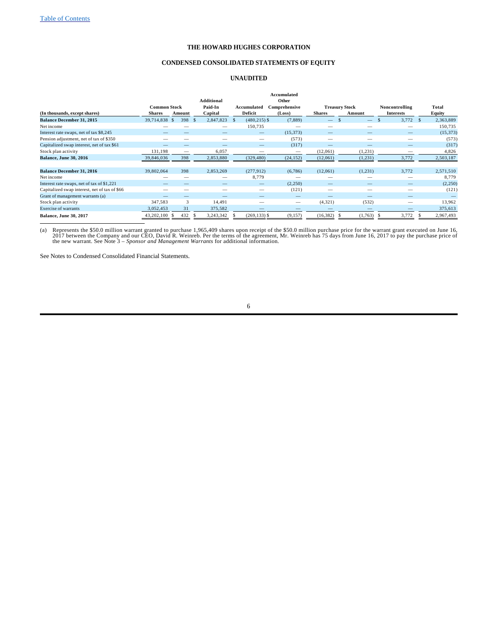#### **CONDENSED CONSOLIDATED STATEMENTS OF EQUITY**

### **UNAUDITED**

|                                               |                     |        |                   |                             | Accumulated   |               |                          |                          |               |
|-----------------------------------------------|---------------------|--------|-------------------|-----------------------------|---------------|---------------|--------------------------|--------------------------|---------------|
|                                               |                     |        | <b>Additional</b> |                             | Other         |               |                          |                          |               |
|                                               | <b>Common Stock</b> |        | Paid-In           | Accumulated                 | Comprehensive |               | <b>Treasury Stock</b>    | Noncontrolling           | Total         |
| (In thousands, except shares)                 | <b>Shares</b>       | Amount | Capital           | <b>Deficit</b>              | (Loss)        | <b>Shares</b> | Amount                   | <b>Interests</b>         | <b>Equity</b> |
| <b>Balance December 31, 2015</b>              | 39,714,838 \$       | 398 S  | 2,847,823         | $(480, 215)$ \$<br>$\sim$ S | (7,889)       |               |                          | $3,772$ \$               | 2,363,889     |
| Net income                                    |                     |        |                   | 150,735                     |               |               |                          |                          | 150,735       |
| Interest rate swaps, net of tax \$8,245       |                     |        |                   |                             | (15, 373)     |               | $\overline{\phantom{0}}$ | $\overline{\phantom{0}}$ | (15, 373)     |
| Pension adjustment, net of tax of \$350       |                     |        |                   |                             | (573)         |               |                          |                          | (573)         |
| Capitalized swap interest, net of tax \$61    | -                   | $\sim$ |                   |                             | (317)         |               | _                        | $\overline{\phantom{0}}$ | (317)         |
| Stock plan activity                           | 131,198             |        | 6,057             |                             |               | (12,061)      | (1,231)                  |                          | 4,826         |
| <b>Balance, June 30, 2016</b>                 | 39,846,036          | 398    | 2,853,880         | (329, 480)                  | (24, 152)     | (12,061)      | (1,231)                  | 3,772                    | 2,503,187     |
|                                               |                     |        |                   |                             |               |               |                          |                          |               |
| <b>Balance December 31, 2016</b>              | 39,802,064          | 398    | 2,853,269         | (277, 912)                  | (6,786)       | (12,061)      | (1,231)                  | 3,772                    | 2,571,510     |
| Net income                                    |                     |        |                   | 8,779                       |               |               |                          |                          | 8.779         |
| Interest rate swaps, net of tax of \$1,221    |                     |        |                   |                             | (2,250)       |               |                          |                          | (2,250)       |
| Capitalized swap interest, net of tax of \$66 |                     | --     |                   |                             | (121)         | –             | $\overline{\phantom{a}}$ |                          | (121)         |
| Grant of management warrants (a)              |                     |        |                   |                             |               |               |                          |                          |               |
| Stock plan activity                           | 347,583             | 3      | 14,491            |                             |               | (4, 321)      | (532)                    |                          | 13,962        |
| <b>Exercise of warrants</b>                   | 3,052,453           | 31     | 375,582           |                             | _             |               | _                        | _                        | 375,613       |
| <b>Balance, June 30, 2017</b>                 | 43,202,100          | 432    | 3,243,342         | $(269, 133)$ \$             | (9,157)       | (16, 382)     | (1,763)                  | 3,772                    | 2,967,493     |

(a) Represents the \$50.0 million warrant granted to purchase 1,965,409 shares upon receipt of the \$50.0 million purchase price for the warrant grant executed on June 16, 2017 between the Company and our CEO, David R. Weinr

See Notes to Condensed Consolidated Financial Statements.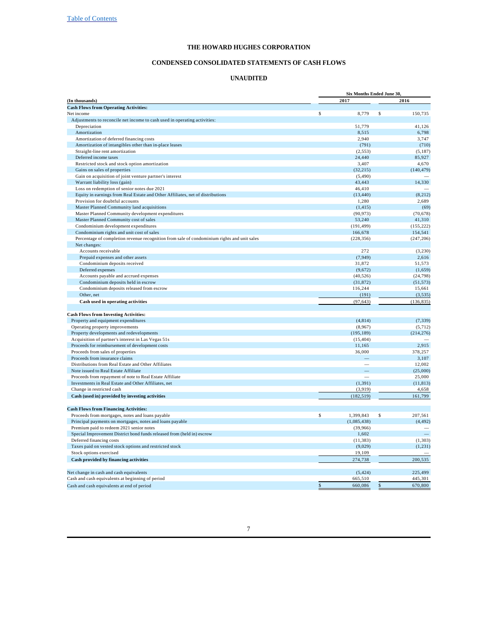#### **CONDENSED CONSOLIDATED STATEMENTS OF CASH FLOWS**

### **UNAUDITED**

|                                                                                             |              |             | <b>Six Months Ended June 30.</b> |            |  |
|---------------------------------------------------------------------------------------------|--------------|-------------|----------------------------------|------------|--|
| (In thousands)                                                                              |              | 2017        |                                  | 2016       |  |
| <b>Cash Flows from Operating Activities:</b>                                                |              |             |                                  |            |  |
| Net income                                                                                  | \$           | 8,779       | \$                               | 150,735    |  |
| Adjustments to reconcile net income to cash used in operating activities:                   |              |             |                                  |            |  |
| Depreciation                                                                                |              | 51,779      |                                  | 41,126     |  |
| Amortization                                                                                |              | 8,515       |                                  | 6,798      |  |
| Amortization of deferred financing costs                                                    |              | 2,940       |                                  | 3,747      |  |
| Amortization of intangibles other than in-place leases                                      |              | (791)       |                                  | (710)      |  |
| Straight-line rent amortization                                                             |              | (2, 553)    |                                  | (5, 187)   |  |
| Deferred income taxes                                                                       |              | 24,440      |                                  | 85,927     |  |
| Restricted stock and stock option amortization                                              |              | 3,407       |                                  | 4,670      |  |
| Gains on sales of properties                                                                |              | (32, 215)   |                                  | (140, 479) |  |
| Gain on acquisition of joint venture partner's interest                                     |              | (5,490)     |                                  |            |  |
| Warrant liability loss (gain)                                                               |              | 43,443      |                                  | 14,330     |  |
| Loss on redemption of senior notes due 2021                                                 |              | 46,410      |                                  |            |  |
| Equity in earnings from Real Estate and Other Affiliates, net of distributions              |              | (13, 440)   |                                  | (8,212)    |  |
| Provision for doubtful accounts                                                             |              | 1,280       |                                  | 2,689      |  |
| Master Planned Community land acquisitions                                                  |              | (1, 415)    |                                  | (69)       |  |
| Master Planned Community development expenditures                                           |              | (90, 973)   |                                  | (70, 678)  |  |
| Master Planned Community cost of sales                                                      |              | 53,240      |                                  | 41,310     |  |
| Condominium development expenditures                                                        |              | (191, 499)  |                                  | (155, 222) |  |
| Condominium rights and unit cost of sales                                                   |              | 166,678     |                                  | 154,541    |  |
| Percentage of completion revenue recognition from sale of condominium rights and unit sales |              | (228, 356)  |                                  | (247, 206) |  |
| Net changes:                                                                                |              |             |                                  |            |  |
| Accounts receivable                                                                         |              | 272         |                                  | (3,230)    |  |
| Prepaid expenses and other assets                                                           |              | (7,949)     |                                  | 2,616      |  |
| Condominium deposits received                                                               |              | 31,872      |                                  | 51,573     |  |
| Deferred expenses                                                                           |              | (9,672)     |                                  | (1,659)    |  |
| Accounts payable and accrued expenses                                                       |              | (40, 526)   |                                  | (24, 798)  |  |
| Condominium deposits held in escrow                                                         |              | (31, 872)   |                                  | (51, 573)  |  |
| Condominium deposits released from escrow                                                   |              | 116,244     |                                  | 15,661     |  |
| Other, net                                                                                  |              | (191)       |                                  | (3, 535)   |  |
|                                                                                             |              |             |                                  |            |  |
| Cash used in operating activities                                                           |              | (97, 643)   |                                  | (136, 835) |  |
|                                                                                             |              |             |                                  |            |  |
| <b>Cash Flows from Investing Activities:</b>                                                |              |             |                                  |            |  |
| Property and equipment expenditures                                                         |              | (4, 814)    |                                  | (7, 339)   |  |
| Operating property improvements                                                             |              | (8,967)     |                                  | (5,712)    |  |
| Property developments and redevelopments                                                    |              | (195, 189)  |                                  | (214, 276) |  |
| Acquisition of partner's interest in Las Vegas 51s                                          |              | (15, 404)   |                                  |            |  |
| Proceeds for reimbursement of development costs                                             |              | 11,165      |                                  | 2,915      |  |
| Proceeds from sales of properties                                                           |              | 36,000      |                                  | 378,257    |  |
| Proceeds from insurance claims                                                              |              |             |                                  | 3,107      |  |
| Distributions from Real Estate and Other Affiliates                                         |              |             |                                  | 12,002     |  |
| Note issued to Real Estate Affiliate                                                        |              |             |                                  | (25,000)   |  |
| Proceeds from repayment of note to Real Estate Affiliate                                    |              |             |                                  | 25,000     |  |
| Investments in Real Estate and Other Affiliates, net                                        |              | (1, 391)    |                                  | (11, 813)  |  |
| Change in restricted cash                                                                   |              | (3,919)     |                                  | 4,658      |  |
| Cash (used in) provided by investing activities                                             |              | (182, 519)  |                                  | 161,799    |  |
|                                                                                             |              |             |                                  |            |  |
| <b>Cash Flows from Financing Activities:</b>                                                |              |             |                                  |            |  |
| Proceeds from mortgages, notes and loans payable                                            | $\mathsf{s}$ | 1,399,843   | $\mathbb S$                      | 207,561    |  |
| Principal payments on mortgages, notes and loans payable                                    |              | (1,085,438) |                                  | (4, 492)   |  |
| Premium paid to redeem 2021 senior notes                                                    |              | (39,966)    |                                  |            |  |
| Special Improvement District bond funds released from (held in) escrow                      |              | 1,602       |                                  |            |  |
| Deferred financing costs                                                                    |              | (11, 383)   |                                  | (1, 303)   |  |
| Taxes paid on vested stock options and restricted stock                                     |              | (9,029)     |                                  | (1, 231)   |  |
| Stock options exercised                                                                     |              | 19,109      |                                  |            |  |
| Cash provided by financing activities                                                       |              | 274,738     |                                  | 200,535    |  |
|                                                                                             |              |             |                                  |            |  |
| Net change in cash and cash equivalents                                                     |              | (5, 424)    |                                  | 225,499    |  |
| Cash and cash equivalents at beginning of period                                            |              | 665,510     |                                  | 445,301    |  |
| Cash and cash equivalents at end of period                                                  | \$           | 660,086     | \$                               | 670,800    |  |
|                                                                                             |              |             |                                  |            |  |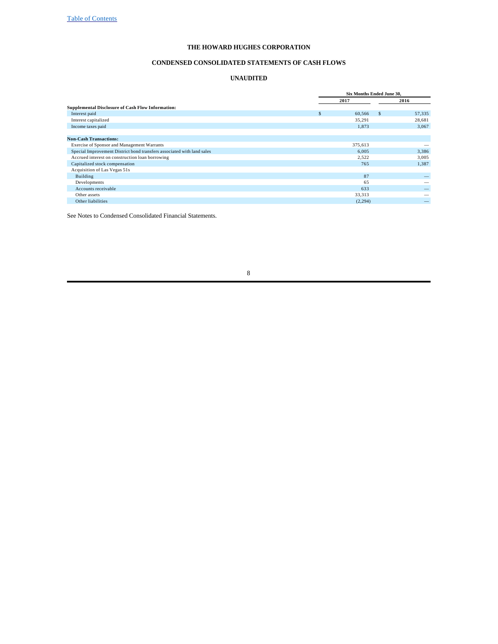#### **CONDENSED CONSOLIDATED STATEMENTS OF CASH FLOWS**

### **UNAUDITED**

|                                                                        | Six Months Ended June 30.<br>2017<br>60,566<br>\$<br>$\mathbf{s}$ |        |  |  |
|------------------------------------------------------------------------|-------------------------------------------------------------------|--------|--|--|
|                                                                        |                                                                   | 2016   |  |  |
| <b>Supplemental Disclosure of Cash Flow Information:</b>               |                                                                   |        |  |  |
| Interest paid                                                          |                                                                   | 57,335 |  |  |
| Interest capitalized                                                   | 35,291                                                            | 28,681 |  |  |
| Income taxes paid                                                      | 1,873                                                             | 3,067  |  |  |
|                                                                        |                                                                   |        |  |  |
| <b>Non-Cash Transactions:</b>                                          |                                                                   |        |  |  |
| Exercise of Sponsor and Management Warrants                            | 375,613                                                           |        |  |  |
| Special Improvement District bond transfers associated with land sales | 6,005                                                             | 3,386  |  |  |
| Accrued interest on construction loan borrowing                        | 2,522                                                             | 3,005  |  |  |
| Capitalized stock compensation                                         | 765                                                               | 1,387  |  |  |
| Acquisition of Las Vegas 51s                                           |                                                                   |        |  |  |
| Building                                                               | 87                                                                |        |  |  |
| Developments                                                           | 65                                                                |        |  |  |
| Accounts receivable                                                    | 633                                                               |        |  |  |
| Other assets                                                           | 33,313                                                            |        |  |  |
| Other liabilities                                                      | (2, 294)                                                          |        |  |  |

See Notes to Condensed Consolidated Financial Statements.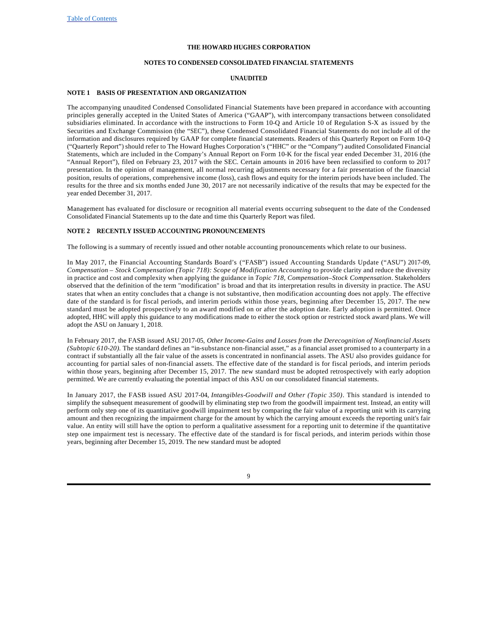# **NOTES TO CONDENSED CONSOLIDATED FINANCIAL STATEMENTS**

# **UNAUDITED**

# **NOTE 1 BASIS OF PRESENTATION AND ORGANIZATION**

The accompanying unaudited Condensed Consolidated Financial Statements have been prepared in accordance with accounting principles generally accepted in the United States of America ("GAAP"), with intercompany transactions between consolidated subsidiaries eliminated. In accordance with the instructions to Form 10-Q and Article 10 of Regulation S-X as issued by the Securities and Exchange Commission (the "SEC"), these Condensed Consolidated Financial Statements do not include all of the information and disclosures required by GAAP for complete financial statements. Readers of this Quarterly Report on Form 10-Q ("Quarterly Report") should refer to The Howard Hughes Corporation's ("HHC" or the "Company") audited Consolidated Financial Statements, which are included in the Company's Annual Report on Form 10-K for the fiscal year ended December 31, 2016 (the "Annual Report"), filed on February 23, 2017 with the SEC. Certain amounts in 2016 have been reclassified to conform to 2017 presentation. In the opinion of management, all normal recurring adjustments necessary for a fair presentation of the financial position, results of operations, comprehensive income (loss), cash flows and equity for the interim periods have been included. The results for the three and six months ended June 30, 2017 are not necessarily indicative of the results that may be expected for the year ended December 31, 2017.

Management has evaluated for disclosure or recognition all material events occurring subsequent to the date of the Condensed Consolidated Financial Statements up to the date and time this Quarterly Report was filed.

## **NOTE 2 RECENTLY ISSUED ACCOUNTING PRONOUNCEMENTS**

The following is a summary of recently issued and other notable accounting pronouncements which relate to our business.

In May 2017, the Financial Accounting Standards Board's ("FASB") issued Accounting Standards Update ("ASU") 2017-09, *Compensation – Stock Compensation (Topic 718): Scope of Modification Accounting* to provide clarity and reduce the diversity in practice and cost and complexity when applying the guidance in *Topic 718, Compensation–Stock Compensation*. Stakeholders observed that the definition of the term "modification" is broad and that its interpretation results in diversity in practice. The ASU states that when an entity concludes that a change is not substantive, then modification accounting does not apply. The effective date of the standard is for fiscal periods, and interim periods within those years, beginning after December 15, 2017. The new standard must be adopted prospectively to an award modified on or after the adoption date. Early adoption is permitted. Once adopted, HHC will apply this guidance to any modifications made to either the stock option or restricted stock award plans. We will adopt the ASU on January 1, 2018.

In February 2017, the FASB issued ASU 2017-05, *Other Income-Gains and Losses from the Derecognition of Nonfinancial Assets (Subtopic 610-20).* The standard defines an "in-substance non-financial asset," as a financial asset promised to a counterparty in a contract if substantially all the fair value of the assets is concentrated in nonfinancial assets. The ASU also provides guidance for accounting for partial sales of non-financial assets. The effective date of the standard is for fiscal periods, and interim periods within those years, beginning after December 15, 2017. The new standard must be adopted retrospectively with early adoption permitted. We are currently evaluating the potential impact of this ASU on our consolidated financial statements.

In January 2017, the FASB issued ASU 2017-04, *Intangibles-Goodwill and Other (Topic 350)*. This standard is intended to simplify the subsequent measurement of goodwill by eliminating step two from the goodwill impairment test. Instead, an entity will perform only step one of its quantitative goodwill impairment test by comparing the fair value of a reporting unit with its carrying amount and then recognizing the impairment charge for the amount by which the carrying amount exceeds the reporting unit's fair value. An entity will still have the option to perform a qualitative assessment for a reporting unit to determine if the quantitative step one impairment test is necessary. The effective date of the standard is for fiscal periods, and interim periods within those years, beginning after December 15, 2019. The new standard must be adopted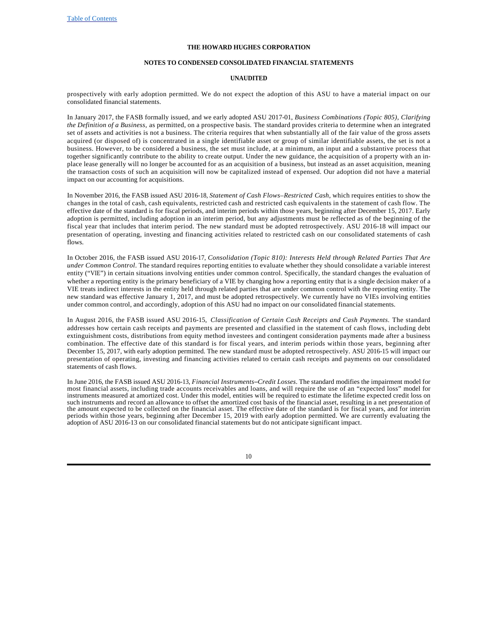# **NOTES TO CONDENSED CONSOLIDATED FINANCIAL STATEMENTS**

### **UNAUDITED**

prospectively with early adoption permitted. We do not expect the adoption of this ASU to have a material impact on our consolidated financial statements.

In January 2017, the FASB formally issued, and we early adopted ASU 2017-01, *Business Combinations (Topic 805), Clarifying the Definition of a Business,* as permitted, on a prospective basis*.* The standard provides criteria to determine when an integrated set of assets and activities is not a business. The criteria requires that when substantially all of the fair value of the gross assets acquired (or disposed of) is concentrated in a single identifiable asset or group of similar identifiable assets, the set is not a business. However, to be considered a business, the set must include, at a minimum, an input and a substantive process that together significantly contribute to the ability to create output. Under the new guidance, the acquisition of a property with an inplace lease generally will no longer be accounted for as an acquisition of a business, but instead as an asset acquisition, meaning the transaction costs of such an acquisition will now be capitalized instead of expensed. Our adoption did not have a material impact on our accounting for acquisitions.

In November 2016, the FASB issued ASU 2016-18, *Statement of Cash Flows–Restricted Cash*, which requires entities to show the changes in the total of cash, cash equivalents, restricted cash and restricted cash equivalents in the statement of cash flow. The effective date of the standard is for fiscal periods, and interim periods within those years, beginning after December 15, 2017. Early adoption is permitted, including adoption in an interim period, but any adjustments must be reflected as of the beginning of the fiscal year that includes that interim period. The new standard must be adopted retrospectively. ASU 2016-18 will impact our presentation of operating, investing and financing activities related to restricted cash on our consolidated statements of cash flows.

In October 2016, the FASB issued ASU 2016-17, *Consolidation (Topic 810): Interests Held through Related Parties That Are under Common Control*. The standard requires reporting entities to evaluate whether they should consolidate a variable interest entity ("VIE") in certain situations involving entities under common control. Specifically, the standard changes the evaluation of whether a reporting entity is the primary beneficiary of a VIE by changing how a reporting entity that is a single decision maker of a VIE treats indirect interests in the entity held through related parties that are under common control with the reporting entity. The new standard was effective January 1, 2017, and must be adopted retrospectively. We currently have no VIEs involving entities under common control, and accordingly, adoption of this ASU had no impact on our consolidated financial statements.

In August 2016, the FASB issued ASU 2016-15, *Classification of Certain Cash Receipts and Cash Payments.* The standard addresses how certain cash receipts and payments are presented and classified in the statement of cash flows, including debt extinguishment costs, distributions from equity method investees and contingent consideration payments made after a business combination. The effective date of this standard is for fiscal years, and interim periods within those years, beginning after December 15, 2017, with early adoption permitted. The new standard must be adopted retrospectively. ASU 2016-15 will impact our presentation of operating, investing and financing activities related to certain cash receipts and payments on our consolidated statements of cash flows.

In June 2016, the FASB issued ASU 2016-13, *Financial Instruments*–*Credit Losses*. The standard modifies the impairment model for most financial assets, including trade accounts receivables and loans, and will require the use of an "expected loss" model for instruments measured at amortized cost. Under this model, entities will be required to estimate the lifetime expected credit loss on such instruments and record an allowance to offset the amortized cost basis of the financial asset, resulting in a net presentation of the amount expected to be collected on the financial asset. The effective date of the standard is for fiscal years, and for interim periods within those years, beginning after December 15, 2019 with early adoption permitted. We are currently evaluating the adoption of ASU 2016-13 on our consolidated financial statements but do not anticipate significant impact.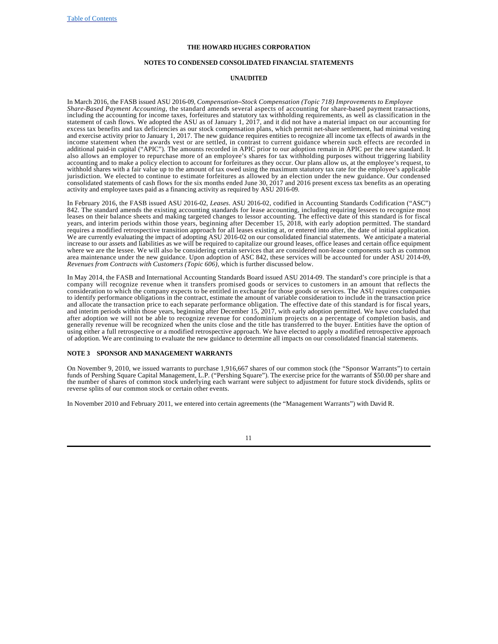# **NOTES TO CONDENSED CONSOLIDATED FINANCIAL STATEMENTS**

### **UNAUDITED**

In March 2016, the FASB issued ASU 2016-09, *Compensation*–*Stock Compensation (Topic 718) Improvements to Employee Share-Based Payment Accounting,* the standard amends several aspects of accounting for share-based payment transactions, including the accounting for income taxes, forfeitures and statutory tax withholding requirements, as well as classification in the statement of cash flows. We adopted the ASU as of January 1, 2017, and it did not have a material impact on our accounting for excess tax benefits and tax deficiencies as our stock compensation plans, which permit net-share settlement, had minimal vesting and exercise activity prior to January 1, 2017. The new guidance requires entities to recognize all income tax effects of awards in the income statement when the awards vest or are settled, in contrast to current guidance wherein such effects are recorded in additional paid-in capital ("APIC"). The amounts recorded in APIC prior to our adoption remain in APIC per the new standard. It also allows an employer to repurchase more of an employee's shares for tax withholding purposes without triggering liability accounting and to make a policy election to account for forfeitures as they occur. Our plans allow us, at the employee's request, to withhold shares with a fair value up to the amount of tax owed using the maximum statutory tax rate for the employee's applicable jurisdiction. We elected to continue to estimate forfeitures as allowed by an election under the new guidance. Our condensed consolidated statements of cash flows for the six months ended June 30, 2017 and 2016 present excess tax benefits as an operating activity and employee taxes paid as a financing activity as required by ASU 2016-09.

In February 2016, the FASB issued ASU 2016-02, *Leases*. ASU 2016-02, codified in Accounting Standards Codification ("ASC") 842. The standard amends the existing accounting standards for lease accounting, including requiring lessees to recognize most leases on their balance sheets and making targeted changes to lessor accounting. The effective date of this standard is for fiscal years, and interim periods within those years, beginning after December 15, 2018, with early adoption permitted. The standard requires a modified retrospective transition approach for all leases existing at, or entered into after, the date of initial application. We are currently evaluating the impact of adopting ASU 2016-02 on our consolidated financial statements. We anticipate a material increase to our assets and liabilities as we will be required to capitalize our ground leases, office leases and certain office equipment where we are the lessee. We will also be considering certain services that are considered non-lease components such as common area maintenance under the new guidance. Upon adoption of ASC 842, these services will be accounted for under ASU 2014-09, *Revenues from Contracts with Customers (Topic 606),* which is further discussed below.

In May 2014, the FASB and International Accounting Standards Board issued ASU 2014-09. The standard's core principle is that a company will recognize revenue when it transfers promised goods or services to customers in an amount that reflects the consideration to which the company expects to be entitled in exchange for those goods or services. The ASU requires companies to identify performance obligations in the contract, estimate the amount of variable consideration to include in the transaction price and allocate the transaction price to each separate performance obligation. The effective date of this standard is for fiscal years, and interim periods within those years, beginning after December 15, 2017, with early adoption permitted. We have concluded that after adoption we will not be able to recognize revenue for condominium projects on a percentage of completion basis, and generally revenue will be recognized when the units close and the title has transferred to the buyer. Entities have the option of using either a full retrospective or a modified retrospective approach. We have elected to apply a modified retrospective approach of adoption. We are continuing to evaluate the new guidance to determine all impacts on our consolidated financial statements.

## **NOTE 3 SPONSOR AND MANAGEMENT WARRANTS**

On November 9, 2010, we issued warrants to purchase 1,916,667 shares of our common stock (the "Sponsor Warrants") to certain funds of Pershing Square Capital Management, L.P. ("Pershing Square"). The exercise price for the warrants of \$50.00 per share and the number of shares of common stock underlying each warrant were subject to adjustment for future stock dividends, splits or reverse splits of our common stock or certain other events.

In November 2010 and February 2011, we entered into certain agreements (the "Management Warrants") with David R.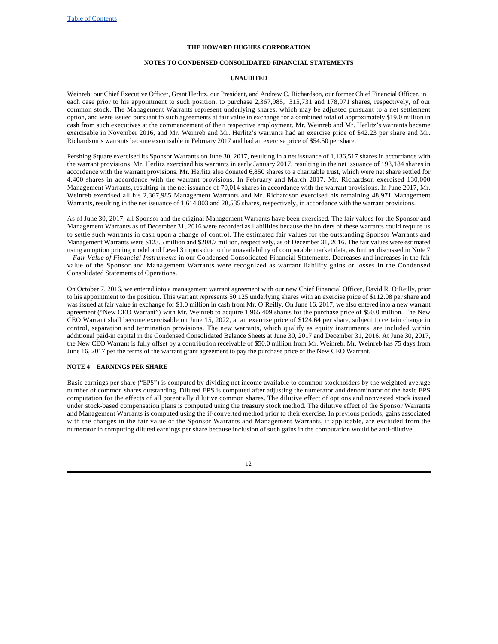# **NOTES TO CONDENSED CONSOLIDATED FINANCIAL STATEMENTS**

# **UNAUDITED**

Weinreb, our Chief Executive Officer, Grant Herlitz, our President, and Andrew C. Richardson, our former Chief Financial Officer, in each case prior to his appointment to such position, to purchase 2,367,985, 315,731 and 178,971 shares, respectively, of our common stock. The Management Warrants represent underlying shares, which may be adjusted pursuant to a net settlement option, and were issued pursuant to such agreements at fair value in exchange for a combined total of approximately \$19.0 million in cash from such executives at the commencement of their respective employment. Mr. Weinreb and Mr. Herlitz's warrants became exercisable in November 2016, and Mr. Weinreb and Mr. Herlitz's warrants had an exercise price of \$42.23 per share and Mr. Richardson's warrants became exercisable in February 2017 and had an exercise price of \$54.50 per share.

Pershing Square exercised its Sponsor Warrants on June 30, 2017, resulting in a net issuance of 1,136,517 shares in accordance with the warrant provisions. Mr. Herlitz exercised his warrants in early January 2017, resulting in the net issuance of 198,184 shares in accordance with the warrant provisions. Mr. Herlitz also donated 6,850 shares to a charitable trust, which were net share settled for 4,400 shares in accordance with the warrant provisions. In February and March 2017, Mr. Richardson exercised 130,000 Management Warrants, resulting in the net issuance of 70,014 shares in accordance with the warrant provisions. In June 2017, Mr. Weinreb exercised all his 2,367,985 Management Warrants and Mr. Richardson exercised his remaining 48,971 Management Warrants, resulting in the net issuance of 1,614,803 and 28,535 shares, respectively, in accordance with the warrant provisions.

As of June 30, 2017, all Sponsor and the original Management Warrants have been exercised. The fair values for the Sponsor and Management Warrants as of December 31, 2016 were recorded as liabilities because the holders of these warrants could require us to settle such warrants in cash upon a change of control. The estimated fair values for the outstanding Sponsor Warrants and Management Warrants were \$123.5 million and \$208.7 million, respectively, as of December 31, 2016. The fair values were estimated using an option pricing model and Level 3 inputs due to the unavailability of comparable market data, as further discussed in Note 7 – *Fair Value of Financial Instruments* in our Condensed Consolidated Financial Statements. Decreases and increases in the fair value of the Sponsor and Management Warrants were recognized as warrant liability gains or losses in the Condensed Consolidated Statements of Operations.

On October 7, 2016, we entered into a management warrant agreement with our new Chief Financial Officer, David R. O'Reilly, prior to his appointment to the position. This warrant represents 50,125 underlying shares with an exercise price of \$112.08 per share and was issued at fair value in exchange for \$1.0 million in cash from Mr. O'Reilly. On June 16, 2017, we also entered into a new warrant agreement ("New CEO Warrant") with Mr. Weinreb to acquire 1,965,409 shares for the purchase price of \$50.0 million. The New CEO Warrant shall become exercisable on June 15, 2022, at an exercise price of \$124.64 per share, subject to certain change in control, separation and termination provisions. The new warrants, which qualify as equity instruments, are included within additional paid-in capital in the Condensed Consolidated Balance Sheets at June 30, 2017 and December 31, 2016. At June 30, 2017, the New CEO Warrant is fully offset by a contribution receivable of \$50.0 million from Mr. Weinreb. Mr. Weinreb has 75 days from June 16, 2017 per the terms of the warrant grant agreement to pay the purchase price of the New CEO Warrant.

### **NOTE 4 EARNINGS PER SHARE**

Basic earnings per share ("EPS") is computed by dividing net income available to common stockholders by the weighted-average number of common shares outstanding. Diluted EPS is computed after adjusting the numerator and denominator of the basic EPS computation for the effects of all potentially dilutive common shares. The dilutive effect of options and nonvested stock issued under stock-based compensation plans is computed using the treasury stock method. The dilutive effect of the Sponsor Warrants and Management Warrants is computed using the if-converted method prior to their exercise. In previous periods, gains associated with the changes in the fair value of the Sponsor Warrants and Management Warrants, if applicable, are excluded from the numerator in computing diluted earnings per share because inclusion of such gains in the computation would be anti-dilutive.

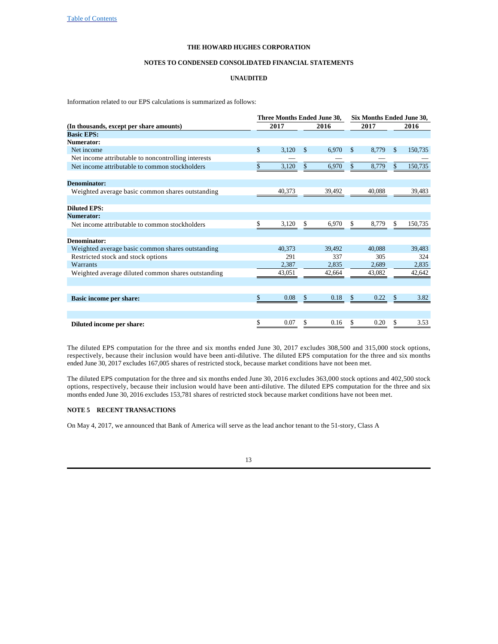### **NOTES TO CONDENSED CONSOLIDATED FINANCIAL STATEMENTS**

### **UNAUDITED**

Information related to our EPS calculations is summarized as follows:

|                                                     |    | Three Months Ended June 30, |              |        |               | Six Months Ended June 30, |               |         |  |
|-----------------------------------------------------|----|-----------------------------|--------------|--------|---------------|---------------------------|---------------|---------|--|
| (In thousands, except per share amounts)            |    | 2017                        |              | 2016   | 2017          |                           | 2016          |         |  |
| <b>Basic EPS:</b>                                   |    |                             |              |        |               |                           |               |         |  |
| Numerator:                                          |    |                             |              |        |               |                           |               |         |  |
| Net income                                          | \$ | 3,120                       | \$.          | 6,970  | \$            | 8,779                     | \$.           | 150,735 |  |
| Net income attributable to noncontrolling interests |    |                             |              |        |               |                           |               |         |  |
| Net income attributable to common stockholders      | \$ | 3,120                       | $\mathbb{S}$ | 6,970  | $\mathbb{S}$  | 8,779                     | <sup>\$</sup> | 150,735 |  |
| Denominator:                                        |    |                             |              |        |               |                           |               |         |  |
| Weighted average basic common shares outstanding    |    | 40,373                      |              | 39,492 |               | 40,088                    |               | 39,483  |  |
| <b>Diluted EPS:</b>                                 |    |                             |              |        |               |                           |               |         |  |
| <b>Numerator:</b>                                   |    |                             |              |        |               |                           |               |         |  |
| Net income attributable to common stockholders      | S  | 3,120                       | S            | 6,970  | S             | 8,779                     | S             | 150,735 |  |
| Denominator:                                        |    |                             |              |        |               |                           |               |         |  |
| Weighted average basic common shares outstanding    |    | 40.373                      |              | 39,492 |               | 40.088                    |               | 39.483  |  |
| Restricted stock and stock options                  |    | 291                         |              | 337    |               | 305                       |               | 324     |  |
| Warrants                                            |    | 2,387                       |              | 2,835  |               | 2,689                     |               | 2,835   |  |
| Weighted average diluted common shares outstanding  |    | 43,051                      |              | 42,664 |               | 43,082                    |               | 42,642  |  |
|                                                     |    |                             |              |        |               |                           |               |         |  |
| Basic income per share:                             | \$ | 0.08                        | S.           | 0.18   | <sup>\$</sup> | 0.22                      | S             | 3.82    |  |
|                                                     |    |                             |              |        |               |                           |               |         |  |
| Diluted income per share:                           | \$ | 0.07                        | \$           | 0.16   | \$            | 0.20                      | \$            | 3.53    |  |

The diluted EPS computation for the three and six months ended June 30, 2017 excludes 308,500 and 315,000 stock options, respectively, because their inclusion would have been anti-dilutive. The diluted EPS computation for the three and six months ended June 30, 2017 excludes 167,005 shares of restricted stock, because market conditions have not been met.

The diluted EPS computation for the three and six months ended June 30, 2016 excludes 363,000 stock options and 402,500 stock options, respectively, because their inclusion would have been anti-dilutive. The diluted EPS computation for the three and six months ended June 30, 2016 excludes 153,781 shares of restricted stock because market conditions have not been met.

# **NOTE 5 RECENT TRANSACTIONS**

On May 4, 2017, we announced that Bank of America will serve as the lead anchor tenant to the 51-story, Class A

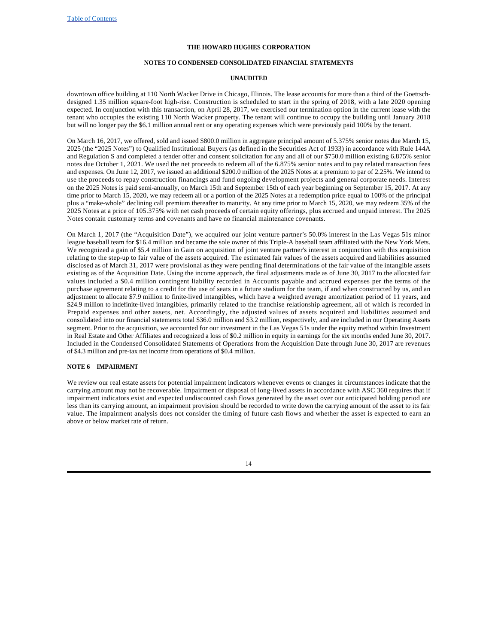# **NOTES TO CONDENSED CONSOLIDATED FINANCIAL STATEMENTS**

# **UNAUDITED**

downtown office building at 110 North Wacker Drive in Chicago, Illinois. The lease accounts for more than a third of the Goettschdesigned 1.35 million square-foot high-rise. Construction is scheduled to start in the spring of 2018, with a late 2020 opening expected. In conjunction with this transaction, on April 28, 2017, we exercised our termination option in the current lease with the tenant who occupies the existing 110 North Wacker property. The tenant will continue to occupy the building until January 2018 but will no longer pay the \$6.1 million annual rent or any operating expenses which were previously paid 100% by the tenant.

On March 16, 2017, we offered, sold and issued \$800.0 million in aggregate principal amount of 5.375% senior notes due March 15, 2025 (the "2025 Notes") to Qualified Institutional Buyers (as defined in the Securities Act of 1933) in accordance with Rule 144A and Regulation S and completed a tender offer and consent solicitation for any and all of our \$750.0 million existing 6.875% senior notes due October 1, 2021. We used the net proceeds to redeem all of the 6.875% senior notes and to pay related transaction fees and expenses. On June 12, 2017, we issued an additional \$200.0 million of the 2025 Notes at a premium to par of 2.25%. We intend to use the proceeds to repay construction financings and fund ongoing development projects and general corporate needs. Interest on the 2025 Notes is paid semi-annually, on March 15th and September 15th of each year beginning on September 15, 2017. At any time prior to March 15, 2020, we may redeem all or a portion of the 2025 Notes at a redemption price equal to 100% of the principal plus a "make-whole" declining call premium thereafter to maturity. At any time prior to March 15, 2020, we may redeem 35% of the 2025 Notes at a price of 105.375% with net cash proceeds of certain equity offerings, plus accrued and unpaid interest. The 2025 Notes contain customary terms and covenants and have no financial maintenance covenants.

On March 1, 2017 (the "Acquisition Date"), we acquired our joint venture partner's 50.0% interest in the Las Vegas 51s minor league baseball team for \$16.4 million and became the sole owner of this Triple-A baseball team affiliated with the New York Mets. We recognized a gain of \$5.4 million in Gain on acquisition of joint venture partner's interest in conjunction with this acquisition relating to the step-up to fair value of the assets acquired. The estimated fair values of the assets acquired and liabilities assumed disclosed as of March 31, 2017 were provisional as they were pending final determinations of the fair value of the intangible assets existing as of the Acquisition Date. Using the income approach, the final adjustments made as of June 30, 2017 to the allocated fair values included a \$0.4 million contingent liability recorded in Accounts payable and accrued expenses per the terms of the purchase agreement relating to a credit for the use of seats in a future stadium for the team, if and when constructed by us, and an adjustment to allocate \$7.9 million to finite-lived intangibles, which have a weighted average amortization period of 11 years, and \$24.9 million to indefinite-lived intangibles, primarily related to the franchise relationship agreement, all of which is recorded in Prepaid expenses and other assets, net. Accordingly, the adjusted values of assets acquired and liabilities assumed and consolidated into our financial statements total \$36.0 million and \$3.2 million, respectively, and are included in our Operating Assets segment. Prior to the acquisition, we accounted for our investment in the Las Vegas 51s under the equity method within Investment in Real Estate and Other Affiliates and recognized a loss of \$0.2 million in equity in earnings for the six months ended June 30, 2017. Included in the Condensed Consolidated Statements of Operations from the Acquisition Date through June 30, 2017 are revenues of \$4.3 million and pre-tax net income from operations of \$0.4 million.

### **NOTE 6 IMPAIRMENT**

We review our real estate assets for potential impairment indicators whenever events or changes in circumstances indicate that the carrying amount may not be recoverable. Impairment or disposal of long-lived assets in accordance with ASC 360 requires that if impairment indicators exist and expected undiscounted cash flows generated by the asset over our anticipated holding period are less than its carrying amount, an impairment provision should be recorded to write down the carrying amount of the asset to its fair value. The impairment analysis does not consider the timing of future cash flows and whether the asset is expected to earn an above or below market rate of return.

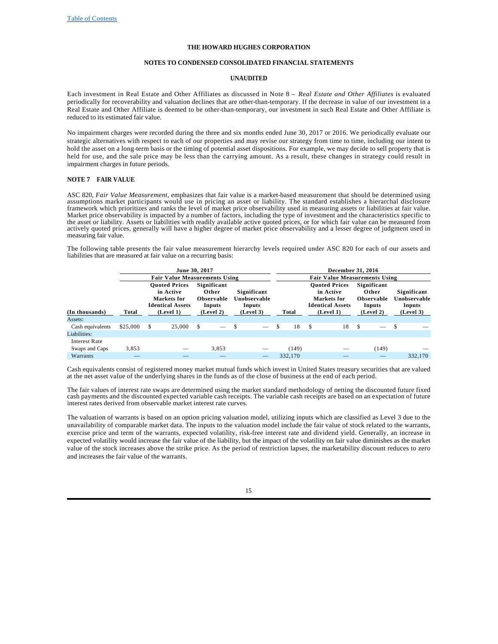# **NOTES TO CONDENSED CONSOLIDATED FINANCIAL STATEMENTS**

# **UNAUDITED**

Each investment in Real Estate and Other Affiliates as discussed in Note 8 – *Real Estate and Other Affiliates* is evaluated periodically for recoverability and valuation declines that are other-than-temporary. If the decrease in value of our investment in a Real Estate and Other Affiliate is deemed to be other-than-temporary, our investment in such Real Estate and Other Affiliate is reduced to its estimated fair value.

No impairment charges were recorded during the three and six months ended June 30, 2017 or 2016. We periodically evaluate our strategic alternatives with respect to each of our properties and may revise our strategy from time to time, including our intent to hold the asset on a long-term basis or the timing of potential asset dispositions. For example, we may decide to sell property that is held for use, and the sale price may be less than the carrying amount. As a result, these changes in strategy could result in impairment charges in future periods.

# **NOTE 7 FAIR VALUE**

ASC 820, *Fair Value Measurement*, emphasizes that fair value is a market-based measurement that should be determined using assumptions market participants would use in pricing an asset or liability. The standard establishes a hierarchal disclosure framework which prioritizes and ranks the level of market price observability used in measuring assets or liabilities at fair value. Market price observability is impacted by a number of factors, including the type of investment and the characteristics specific to the asset or liability. Assets or liabilities with readily available active quoted prices, or for which fair value can be measured from actively quoted prices, generally will have a higher degree of market price observability and a lesser degree of judgment used in measuring fair value.

The following table presents the fair value measurement hierarchy levels required under ASC 820 for each of our assets and liabilities that are measured at fair value on a recurring basis:

| June 30, 2017        |          |                                                                                          |                                                                  |                                                    |                                      | December 31, 2016                                                                               |                                                                  |                                                    |  |  |  |  |  |  |
|----------------------|----------|------------------------------------------------------------------------------------------|------------------------------------------------------------------|----------------------------------------------------|--------------------------------------|-------------------------------------------------------------------------------------------------|------------------------------------------------------------------|----------------------------------------------------|--|--|--|--|--|--|
|                      |          | <b>Fair Value Measurements Using</b>                                                     |                                                                  |                                                    | <b>Fair Value Measurements Using</b> |                                                                                                 |                                                                  |                                                    |  |  |  |  |  |  |
| (In thousands)       | Total    | <b>Ouoted Prices</b><br>in Active<br>Markets for<br><b>Identical Assets</b><br>(Level 1) | Significant<br>Other<br><b>Observable</b><br>Inputs<br>(Level 2) | Significant<br>Unobservable<br>Inputs<br>(Level 3) | Total                                | <b>Ouoted Prices</b><br>in Active<br><b>Markets</b> for<br><b>Identical Assets</b><br>(Level 1) | Significant<br>Other<br><b>Observable</b><br>Inputs<br>(Level 2) | Significant<br>Unobservable<br>Inputs<br>(Level 3) |  |  |  |  |  |  |
| Assets:              |          |                                                                                          |                                                                  |                                                    |                                      |                                                                                                 |                                                                  |                                                    |  |  |  |  |  |  |
| Cash equivalents     | \$25,000 | 25,000<br>S                                                                              | \$.                                                              | <sup>\$</sup>                                      | \$<br>18                             | - \$<br>18                                                                                      | - \$<br>$\overline{\phantom{0}}$                                 | \$.                                                |  |  |  |  |  |  |
| Liabilities:         |          |                                                                                          |                                                                  |                                                    |                                      |                                                                                                 |                                                                  |                                                    |  |  |  |  |  |  |
| <b>Interest Rate</b> |          |                                                                                          |                                                                  |                                                    |                                      |                                                                                                 |                                                                  |                                                    |  |  |  |  |  |  |
| Swaps and Caps       | 3.853    | _                                                                                        | 3,853                                                            |                                                    | (149)                                |                                                                                                 | (149)                                                            |                                                    |  |  |  |  |  |  |
| Warrants             |          |                                                                                          |                                                                  |                                                    | 332,170                              |                                                                                                 |                                                                  | 332,170                                            |  |  |  |  |  |  |

Cash equivalents consist of registered money market mutual funds which invest in United States treasury securities that are valued at the net asset value of the underlying shares in the funds as of the close of business at the end of each period.

The fair values of interest rate swaps are determined using the market standard methodology of netting the discounted future fixed cash payments and the discounted expected variable cash receipts. The variable cash receipts are based on an expectation of future interest rates derived from observable market interest rate curves.

The valuation of warrants is based on an option pricing valuation model, utilizing inputs which are classified as Level 3 due to the unavailability of comparable market data. The inputs to the valuation model include the fair value of stock related to the warrants, exercise price and term of the warrants, expected volatility, risk-free interest rate and dividend yield. Generally, an increase in expected volatility would increase the fair value of the liability, but the impact of the volatility on fair value diminishes as the market value of the stock increases above the strike price. As the period of restriction lapses, the marketability discount reduces to zero and increases the fair value of the warrants.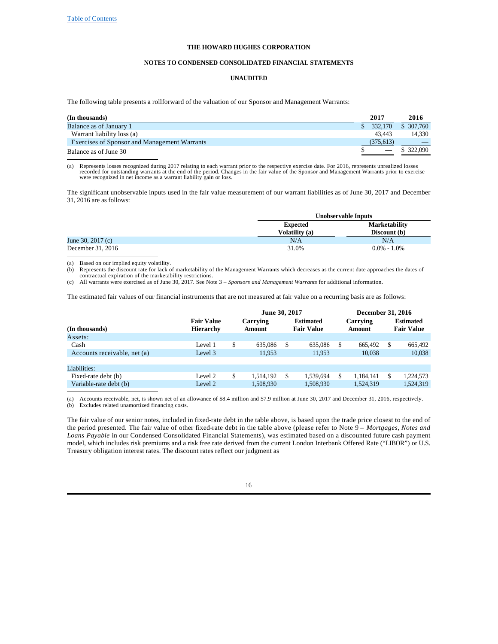# **NOTES TO CONDENSED CONSOLIDATED FINANCIAL STATEMENTS**

# **UNAUDITED**

The following table presents a rollforward of the valuation of our Sponsor and Management Warrants:

| (In thousands)                               | 2017      | 2016      |
|----------------------------------------------|-----------|-----------|
| Balance as of January 1                      | 332,170   | \$307,760 |
| Warrant liability loss (a)                   | 43.443    | 14.330    |
| Exercises of Sponsor and Management Warrants | (375.613) |           |
| Balance as of June 30                        |           | 322,090   |

(a) Represents losses recognized during 2017 relating to each warrant prior to the respective exercise date. For 2016, represents unrealized losses recorded for outstanding warrants at the end of the period. Changes in the fair value of the Sponsor and Management Warrants prior to exercise were recognized in net income as a warrant liability gain or loss.

The significant unobservable inputs used in the fair value measurement of our warrant liabilities as of June 30, 2017 and December 31, 2016 are as follows:

|                     |                 | <b>Unobservable Inputs</b> |
|---------------------|-----------------|----------------------------|
|                     | <b>Expected</b> | <b>Marketability</b>       |
|                     | Volatility (a)  | Discount (b)               |
| June 30, 2017 $(c)$ | N/A             | N/A                        |
| December 31, 2016   | 31.0%           | $0.0\% - 1.0\%$            |

(a) Based on our implied equity volatility.

(b) Represents the discount rate for lack of marketability of the Management Warrants which decreases as the current date approaches the dates of contractual expiration of the marketability restrictions.

(c) All warrants were exercised as of June 30, 2017. See Note 3 – *Sponsors and Management Warrants* for additional information.

The estimated fair values of our financial instruments that are not measured at fair value on a recurring basis are as follows:

|                              |                                       | June 30, 2017      |    |                                       | December 31, 2016  |    |                                       |  |
|------------------------------|---------------------------------------|--------------------|----|---------------------------------------|--------------------|----|---------------------------------------|--|
| (In thousands)               | <b>Fair Value</b><br><b>Hierarchy</b> | Carrying<br>Amount |    | <b>Estimated</b><br><b>Fair Value</b> | Carrying<br>Amount |    | <b>Estimated</b><br><b>Fair Value</b> |  |
| Assets:                      |                                       |                    |    |                                       |                    |    |                                       |  |
| Cash                         | Level 1                               | \$<br>635,086      | \$ | 635,086                               | \$<br>665.492      | S  | 665.492                               |  |
| Accounts receivable, net (a) | Level 3                               | 11.953             |    | 11,953                                | 10.038             |    | 10,038                                |  |
|                              |                                       |                    |    |                                       |                    |    |                                       |  |
| Liabilities:                 |                                       |                    |    |                                       |                    |    |                                       |  |
| Fixed-rate debt (b)          | Level 2                               | \$<br>1,514,192    | S  | 1.539.694                             | \$<br>1,184,141    | \$ | 1,224,573                             |  |
| Variable-rate debt (b)       | Level 2                               | 1,508,930          |    | 1,508,930                             | 1,524,319          |    | 1,524,319                             |  |
|                              |                                       |                    |    |                                       |                    |    |                                       |  |

(a) Accounts receivable, net, is shown net of an allowance of \$8.4 million and \$7.9 million at June 30, 2017 and December 31, 2016, respectively.

(b) Excludes related unamortized financing costs.

The fair value of our senior notes, included in fixed-rate debt in the table above, is based upon the trade price closest to the end of the period presented. The fair value of other fixed-rate debt in the table above (please refer to Note 9 – *Mortgages, Notes and Loans Payable* in our Condensed Consolidated Financial Statements), was estimated based on a discounted future cash payment model, which includes risk premiums and a risk free rate derived from the current London Interbank Offered Rate ("LIBOR") or U.S. Treasury obligation interest rates. The discount rates reflect our judgment as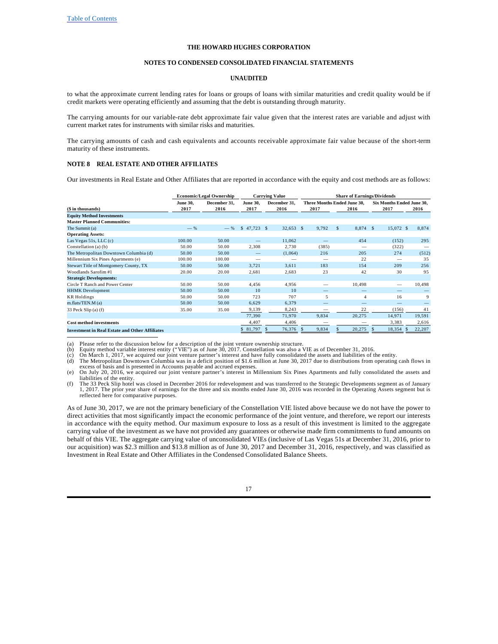# **NOTES TO CONDENSED CONSOLIDATED FINANCIAL STATEMENTS**

# **UNAUDITED**

to what the approximate current lending rates for loans or groups of loans with similar maturities and credit quality would be if credit markets were operating efficiently and assuming that the debt is outstanding through maturity.

The carrying amounts for our variable-rate debt approximate fair value given that the interest rates are variable and adjust with current market rates for instruments with similar risks and maturities.

The carrying amounts of cash and cash equivalents and accounts receivable approximate fair value because of the short-term maturity of these instruments.

# **NOTE 8 REAL ESTATE AND OTHER AFFILIATES**

Our investments in Real Estate and Other Affiliates that are reported in accordance with the equity and cost methods are as follows:

|                                                       |                 | <b>Economic/Legal Ownership</b> |                 | <b>Carrying Value</b> | <b>Share of Earnings/Dividends</b> |                             |                           |        |  |  |
|-------------------------------------------------------|-----------------|---------------------------------|-----------------|-----------------------|------------------------------------|-----------------------------|---------------------------|--------|--|--|
|                                                       | <b>June 30.</b> | December 31.                    | <b>June 30.</b> | December 31,          |                                    | Three Months Ended June 30. | Six Months Ended June 30, |        |  |  |
| (\$ in thousands)                                     | 2017            | 2016                            | 2017            | 2016                  | 2017                               | 2016                        | 2017                      | 2016   |  |  |
| <b>Equity Method Investments</b>                      |                 |                                 |                 |                       |                                    |                             |                           |        |  |  |
| <b>Master Planned Communities:</b>                    |                 |                                 |                 |                       |                                    |                             |                           |        |  |  |
| The Summit (a)                                        | $-$ %           | $-$ %                           | $$47,723$ \$    | $32,653$ \$           | 9,792                              | 8,874 \$<br>$\mathbf{s}$    | 15,072 \$                 | 8,874  |  |  |
| <b>Operating Assets:</b>                              |                 |                                 |                 |                       |                                    |                             |                           |        |  |  |
| Las Vegas $51s$ , LLC $(c)$                           | 100.00          | 50.00                           |                 | 11.062                |                                    | 454                         | (152)                     | 295    |  |  |
| Constellation (a) (b)                                 | 50.00           | 50.00                           | 2,308           | 2,730                 | (385)                              |                             | (322)                     |        |  |  |
| The Metropolitan Downtown Columbia (d)                | 50.00           | 50.00                           |                 | (1,064)               | 216                                | 205                         | 274                       | (512)  |  |  |
| Millennium Six Pines Apartments (e)                   | 100.00          | 100.00                          |                 |                       |                                    | 22                          |                           | 35     |  |  |
| Stewart Title of Montgomery County, TX                | 50.00           | 50.00                           | 3,721           | 3,611                 | 183                                | 154                         | 209                       | 256    |  |  |
| Woodlands Sarofim #1                                  | 20.00           | 20.00                           | 2,681           | 2,683                 | 23                                 | 42                          | 30                        | 95     |  |  |
| <b>Strategic Developments:</b>                        |                 |                                 |                 |                       |                                    |                             |                           |        |  |  |
| Circle T Ranch and Power Center                       | 50.00           | 50.00                           | 4,456           | 4,956                 |                                    | 10,498                      | $\overline{\phantom{0}}$  | 10,498 |  |  |
| <b>HHMK</b> Development                               | 50.00           | 50.00                           | 10              | 10                    |                                    |                             |                           |        |  |  |
| <b>KR</b> Holdings                                    | 50.00           | 50.00                           | 723             | 707                   | 5                                  | $\overline{4}$              | 16                        | 9      |  |  |
| m.flats/TEN.M (a)                                     | 50.00           | 50.00                           | 6,629           | 6,379                 |                                    |                             |                           |        |  |  |
| 33 Peck Slip $(a)$ $(f)$                              | 35.00           | 35.00                           | 9,139           | 8,243                 |                                    | 22                          | (156)                     | 41     |  |  |
|                                                       |                 |                                 | 77,390          | 71,970                | 9,834                              | 20,275                      | 14,971                    | 19,591 |  |  |
| <b>Cost method investments</b>                        |                 |                                 | 4,407           | 4,406                 |                                    |                             | 3,383                     | 2,616  |  |  |
| <b>Investment in Real Estate and Other Affiliates</b> |                 |                                 | \$81,797        | 76,376                | 9,834                              | 20,275                      | 18,354                    | 22,207 |  |  |

(a) Please refer to the discussion below for a description of the joint venture ownership structure.<br>(b) Equity method variable interest entity ("VIE") as of June 30, 2017. Constellation was also a VIE as of December 31, 2

(c) On March 1, 2017, we acquired our joint venture partner's interest and have fully consolidated the assets and liabilities of the entity.<br>(d) The Metropolitan Downtown Columbia was in a deficit position of \$1.6 million

(e) On July 20, 2016, we acquired our joint venture partner's interest in Millennium Six Pines Apartments and fully consolidated the assets and liabilities of the entity.

(f) The 33 Peck Slip hotel was closed in December 2016 for redevelopment and was transferred to the Strategic Developments segment as of January<br>1, 2017. The prior year share of earnings for the three and six months ended

As of June 30, 2017, we are not the primary beneficiary of the Constellation VIE listed above because we do not have the power to direct activities that most significantly impact the economic performance of the joint venture, and therefore, we report our interests in accordance with the equity method. Our maximum exposure to loss as a result of this investment is limited to the aggregate carrying value of the investment as we have not provided any guarantees or otherwise made firm commitments to fund amounts on behalf of this VIE. The aggregate carrying value of unconsolidated VIEs (inclusive of Las Vegas 51s at December 31, 2016, prior to our acquisition) was \$2.3 million and \$13.8 million as of June 30, 2017 and December 31, 2016, respectively, and was classified as Investment in Real Estate and Other Affiliates in the Condensed Consolidated Balance Sheets.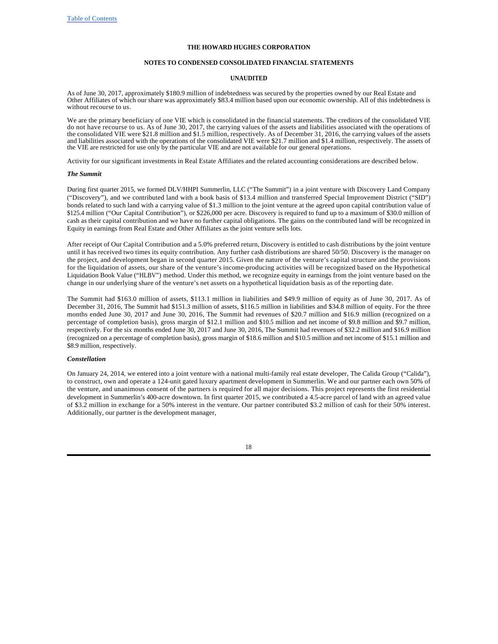# **NOTES TO CONDENSED CONSOLIDATED FINANCIAL STATEMENTS**

# **UNAUDITED**

As of June 30, 2017, approximately \$180.9 million of indebtedness was secured by the properties owned by our Real Estate and Other Affiliates of which our share was approximately \$83.4 million based upon our economic ownership. All of this indebtedness is without recourse to us.

We are the primary beneficiary of one VIE which is consolidated in the financial statements. The creditors of the consolidated VIE do not have recourse to us. As of June 30, 2017, the carrying values of the assets and liabilities associated with the operations of the consolidated VIE were \$21.8 million and \$1.5 million, respectively. As of December 31, 2016, the carrying values of the assets and liabilities associated with the operations of the consolidated VIE were \$21.7 million and \$1.4 million, respectively. The assets of the VIE are restricted for use only by the particular VIE and are not available for our general operations.

Activity for our significant investments in Real Estate Affiliates and the related accounting considerations are described below.

### *The Summit*

During first quarter 2015, we formed DLV/HHPI Summerlin, LLC ("The Summit") in a joint venture with Discovery Land Company ("Discovery"), and we contributed land with a book basis of \$13.4 million and transferred Special Improvement District ("SID") bonds related to such land with a carrying value of \$1.3 million to the joint venture at the agreed upon capital contribution value of \$125.4 million ("Our Capital Contribution"), or \$226,000 per acre. Discovery is required to fund up to a maximum of \$30.0 million of cash as their capital contribution and we have no further capital obligations. The gains on the contributed land will be recognized in Equity in earnings from Real Estate and Other Affiliates as the joint venture sells lots.

After receipt of Our Capital Contribution and a 5.0% preferred return, Discovery is entitled to cash distributions by the joint venture until it has received two times its equity contribution. Any further cash distributions are shared 50/50. Discovery is the manager on the project, and development began in second quarter 2015. Given the nature of the venture's capital structure and the provisions for the liquidation of assets, our share of the venture's income-producing activities will be recognized based on the Hypothetical Liquidation Book Value ("HLBV") method. Under this method, we recognize equity in earnings from the joint venture based on the change in our underlying share of the venture's net assets on a hypothetical liquidation basis as of the reporting date.

The Summit had \$163.0 million of assets, \$113.1 million in liabilities and \$49.9 million of equity as of June 30, 2017. As of December 31, 2016, The Summit had \$151.3 million of assets, \$116.5 million in liabilities and \$34.8 million of equity. For the three months ended June 30, 2017 and June 30, 2016, The Summit had revenues of \$20.7 million and \$16.9 million (recognized on a percentage of completion basis), gross margin of \$12.1 million and \$10.5 million and net income of \$9.8 million and \$9.7 million, respectively. For the six months ended June 30, 2017 and June 30, 2016, The Summit had revenues of \$32.2 million and \$16.9 million (recognized on a percentage of completion basis), gross margin of \$18.6 million and \$10.5 million and net income of \$15.1 million and \$8.9 million, respectively.

### *Constellation*

On January 24, 2014, we entered into a joint venture with a national multi-family real estate developer, The Calida Group ("Calida"), to construct, own and operate a 124-unit gated luxury apartment development in Summerlin. We and our partner each own 50% of the venture, and unanimous consent of the partners is required for all major decisions. This project represents the first residential development in Summerlin's 400-acre downtown. In first quarter 2015, we contributed a 4.5-acre parcel of land with an agreed value of \$3.2 million in exchange for a 50% interest in the venture. Our partner contributed \$3.2 million of cash for their 50% interest. Additionally, our partner is the development manager,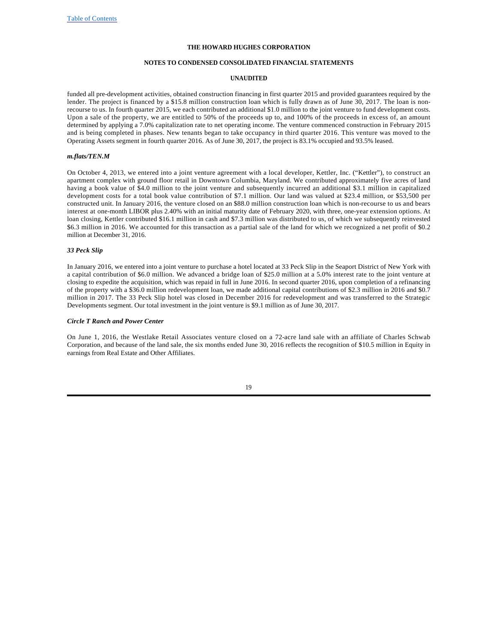# **NOTES TO CONDENSED CONSOLIDATED FINANCIAL STATEMENTS**

# **UNAUDITED**

funded all pre-development activities, obtained construction financing in first quarter 2015 and provided guarantees required by the lender. The project is financed by a \$15.8 million construction loan which is fully drawn as of June 30, 2017. The loan is nonrecourse to us. In fourth quarter 2015, we each contributed an additional \$1.0 million to the joint venture to fund development costs. Upon a sale of the property, we are entitled to 50% of the proceeds up to, and 100% of the proceeds in excess of, an amount determined by applying a 7.0% capitalization rate to net operating income. The venture commenced construction in February 2015 and is being completed in phases. New tenants began to take occupancy in third quarter 2016. This venture was moved to the Operating Assets segment in fourth quarter 2016. As of June 30, 2017, the project is 83.1% occupied and 93.5% leased.

### *m.flats/TEN.M*

On October 4, 2013, we entered into a joint venture agreement with a local developer, Kettler, Inc. ("Kettler"), to construct an apartment complex with ground floor retail in Downtown Columbia, Maryland. We contributed approximately five acres of land having a book value of \$4.0 million to the joint venture and subsequently incurred an additional \$3.1 million in capitalized development costs for a total book value contribution of \$7.1 million. Our land was valued at \$23.4 million, or \$53,500 per constructed unit. In January 2016, the venture closed on an \$88.0 million construction loan which is non-recourse to us and bears interest at one-month LIBOR plus 2.40% with an initial maturity date of February 2020, with three, one-year extension options. At loan closing, Kettler contributed \$16.1 million in cash and \$7.3 million was distributed to us, of which we subsequently reinvested \$6.3 million in 2016. We accounted for this transaction as a partial sale of the land for which we recognized a net profit of \$0.2 million at December 31, 2016.

# *33 Peck Slip*

In January 2016, we entered into a joint venture to purchase a hotel located at 33 Peck Slip in the Seaport District of New York with a capital contribution of \$6.0 million. We advanced a bridge loan of \$25.0 million at a 5.0% interest rate to the joint venture at closing to expedite the acquisition, which was repaid in full in June 2016. In second quarter 2016, upon completion of a refinancing of the property with a \$36.0 million redevelopment loan, we made additional capital contributions of \$2.3 million in 2016 and \$0.7 million in 2017. The 33 Peck Slip hotel was closed in December 2016 for redevelopment and was transferred to the Strategic Developments segment. Our total investment in the joint venture is \$9.1 million as of June 30, 2017.

### *Circle T Ranch and Power Center*

On June 1, 2016, the Westlake Retail Associates venture closed on a 72-acre land sale with an affiliate of Charles Schwab Corporation, and because of the land sale, the six months ended June 30, 2016 reflects the recognition of \$10.5 million in Equity in earnings from Real Estate and Other Affiliates.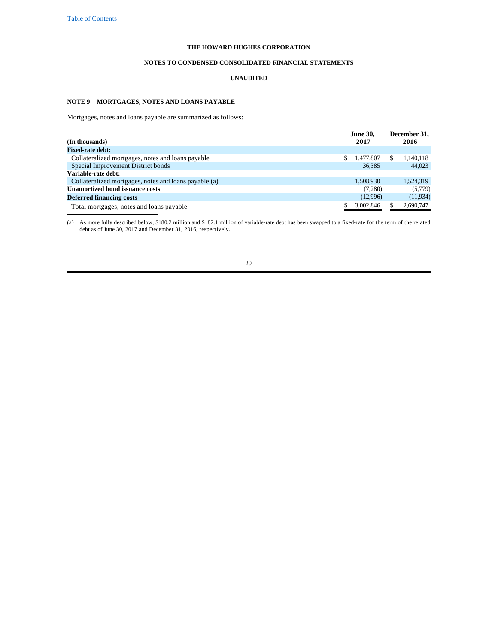### **NOTES TO CONDENSED CONSOLIDATED FINANCIAL STATEMENTS**

# **UNAUDITED**

# **NOTE 9 MORTGAGES, NOTES AND LOANS PAYABLE**

Mortgages, notes and loans payable are summarized as follows:

| (In thousands)                                        | <b>June 30,</b><br>2017 | December 31,<br>2016 |           |
|-------------------------------------------------------|-------------------------|----------------------|-----------|
| <b>Fixed-rate debt:</b>                               |                         |                      |           |
| Collateralized mortgages, notes and loans payable     | \$<br>1,477,807         |                      | 1,140,118 |
| Special Improvement District bonds                    | 36,385                  |                      | 44,023    |
| <b>Variable-rate debt:</b>                            |                         |                      |           |
| Collateralized mortgages, notes and loans payable (a) | 1,508,930               |                      | 1,524,319 |
| <b>Unamortized bond issuance costs</b>                | (7,280)                 |                      | (5,779)   |
| <b>Deferred financing costs</b>                       | (12,996)                |                      | (11, 934) |
| Total mortgages, notes and loans payable              | 3,002,846               |                      | 2,690,747 |

(a) As more fully described below, \$180.2 million and \$182.1 million of variable-rate debt has been swapped to a fixed-rate for the term of the related debt as of June 30, 2017 and December 31, 2016, respectively.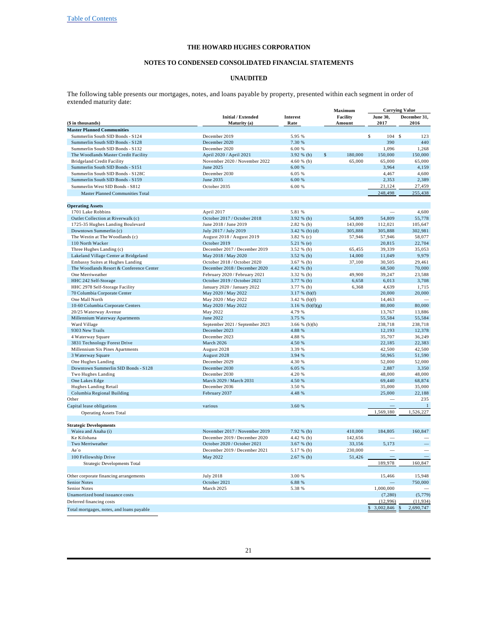#### **NOTES TO CONDENSED CONSOLIDATED FINANCIAL STATEMENTS**

### **UNAUDITED**

The following table presents our mortgages, notes, and loans payable by property, presented within each segment in order of extended maturity date: **Maximum Carrying Value** 

|                                                   |                                 |                    | Maximum           |                     | Carrying Value    |
|---------------------------------------------------|---------------------------------|--------------------|-------------------|---------------------|-------------------|
|                                                   | <b>Initial / Extended</b>       | <b>Interest</b>    | <b>Facility</b>   | June 30,            | December 31,      |
| (\$ in thousands)                                 | Maturity (a)                    | Rate               | Amount            | 2017                | 2016              |
| <b>Master Planned Communities</b>                 |                                 |                    |                   |                     |                   |
| Summerlin South SID Bonds - S124                  | December 2019                   | 5.95 %             |                   | $\mathsf{s}$<br>104 | $\sqrt{2}$<br>123 |
| Summerlin South SID Bonds - S128                  | December 2020                   | 7.30 %             |                   | 390                 | 440               |
| Summerlin South SID Bonds - S132                  | December 2020                   | 6.00 %             |                   | 1.096               | 1,268             |
| The Woodlands Master Credit Facility              | April 2020 / April 2021         | \$<br>$3.92\%$ (b) | 180,000           | 150,000             | 150,000           |
| <b>Bridgeland Credit Facility</b>                 | November 2020 / November 2022   | $4.60 \%$ (b)      | 65,000            | 65,000              | 65,000            |
| Summerlin South SID Bonds - S151                  | June 2025                       | 6.00 %             |                   | 3,964               | 4,159             |
| Summerlin South SID Bonds - S128C                 | December 2030                   | 6.05 %             |                   | 4,467               | 4,600             |
| Summerlin South SID Bonds - S159                  | June 2035                       | 6.00 %             |                   | 2,353               | 2,389             |
| Summerlin West SID Bonds - S812                   | October 2035                    | 6.00 %             |                   | 21,124              | 27,459            |
| <b>Master Planned Communities Total</b>           |                                 |                    |                   | 248,498             | 255,438           |
| <b>Operating Assets</b>                           |                                 |                    |                   |                     |                   |
| 1701 Lake Robbins                                 | April 2017                      | 5.81 %             |                   |                     | 4.600             |
| Outlet Collection at Riverwalk (c)                | October 2017 / October 2018     | $3.92\%$ (b)       | 54,809            | 54,809              | 55,778            |
| 1725-35 Hughes Landing Boulevard                  | June 2018 / June 2019           | $2.82 \%$ (b)      | 143,000           | 112,021             | 105,647           |
| Downtown Summerlin (c)                            | July 2017 / July 2019           | $3.42 \%$ (b) (d)  | 305,888           | 305,888             | 302,981           |
| The Westin at The Woodlands (c)                   | August 2018 / August 2019       | 3.82 % (c)         | 57,946            | 57,946              | 58,077            |
| 110 North Wacker                                  | October 2019                    | 5.21 % (e)         |                   | 20,815              | 22,704            |
| Three Hughes Landing (c)                          | December 2017 / December 2019   | $3.52 \%$ (b)      | 65,455            | 39,339              | 35,053            |
| Lakeland Village Center at Bridgeland             | May 2018 / May 2020             | $3.52 \%$ (b)      | 14,000            | 11,049              | 9,979             |
| Embassy Suites at Hughes Landing                  | October 2018 / October 2020     | $3.67 \%$ (b)      | 37,100            | 30,505              | 29,461            |
| The Woodlands Resort & Conference Center          | December 2018 / December 2020   | 4.42 % (b)         |                   | 68,500              | 70,000            |
| One Merriweather                                  | February 2020 / February 2021   | $3.32 \%$ (b)      | 49,900            | 39,247              | 23,588            |
| HHC 242 Self-Storage                              | October 2019 / October 2021     | 3.77 % (b)         | 6,658             | 6,013               | 3,708             |
| HHC 2978 Self-Storage Facility                    | January 2020 / January 2022     | 3.77 % (b)         | 6,368             | 4,639               | 1,715             |
| 70 Columbia Corporate Center                      | May 2020 / May 2022             | $3.17 \%$ (b)(f)   |                   | 20,000              | 20,000            |
| One Mall North                                    | May 2020 / May 2022             | $3.42 \%$ (b)(f)   |                   | 14,463              |                   |
| 10-60 Columbia Corporate Centers                  | May 2020 / May 2022             | 3.16 % (b)(f)(g)   |                   | 80,000              | 80,000            |
| 20/25 Waterway Avenue                             | May 2022                        | 4.79 %             |                   | 13,767              | 13,886            |
| Millennium Waterway Apartments                    | <b>June 2022</b>                | 3.75 %             |                   | 55,584              | 55,584            |
| Ward Village                                      | September 2021 / September 2023 |                    |                   | 238,718             | 238,718           |
| 9303 New Trails                                   | December 2023                   | 3.66 $%$ (b)(h)    |                   | 12,193              | 12,378            |
|                                                   | December 2023                   | 4.88 %             |                   |                     |                   |
| 4 Waterway Square<br>3831 Technology Forest Drive | March 2026                      | 4.88 %<br>4.50 %   |                   | 35,707<br>22,185    | 36,249<br>22,383  |
| Millennium Six Pines Apartments                   | August 2028                     | 3.39 %             |                   | 42,500              | 42,500            |
| 3 Waterway Square                                 | August 2028                     | 3.94 %             |                   | 50,965              | 51,590            |
| One Hughes Landing                                | December 2029                   | 4.30 %             |                   | 52,000              | 52,000            |
| Downtown Summerlin SID Bonds - S128               | December 2030                   | 6.05 %             |                   | 2,887               | 3,350             |
| Two Hughes Landing                                | December 2030                   | 4.20 %             |                   | 48,000              | 48,000            |
| One Lakes Edge                                    | March 2029 / March 2031         | 4.50 %             |                   | 69,440              | 68,874            |
| Hughes Landing Retail                             | December 2036                   | 3.50 %             |                   | 35,000              | 35,000            |
| Columbia Regional Building                        | February 2037                   | 4.48 %             |                   | 25,000              | 22,188            |
| Other                                             |                                 |                    |                   |                     | 235               |
| Capital lease obligations                         | various                         | 3.60 %             |                   |                     | $\mathbf{1}$      |
| <b>Operating Assets Total</b>                     |                                 |                    |                   | 1,569,180           | 1,526,227         |
| <b>Strategic Developments</b>                     |                                 |                    |                   |                     |                   |
| Waiea and Anaha (i)                               | November 2017 / November 2019   | $7.92%$ (b)        | 410,000           | 184,805             | 160,847           |
|                                                   | December 2019 / December 2020   |                    |                   |                     |                   |
| Ke Kilohana<br>Two Merriweather                   | October 2020 / October 2021     | 4.42 % (b)         | 142,656<br>33,156 | 5,173               |                   |
|                                                   |                                 | $3.67%$ (b)        |                   |                     |                   |
| Ae`o                                              | December 2019 / December 2021   | $5.17%$ (b)        | 230,000           |                     |                   |
| 100 Fellowship Drive                              | May 2022                        | $2.67%$ (b)        | 51,426            |                     |                   |
| Strategic Developments Total                      |                                 |                    |                   | 189,978             | 160,847           |
| Other corporate financing arrangements            | <b>July 2018</b>                | 3.00 %             |                   | 15,466              | 15.948            |
| <b>Senior Notes</b>                               | October 2021                    | 6.88 %             |                   |                     | 750,000           |
| <b>Senior Notes</b>                               | March 2025                      | 5.38 %             |                   | 1,000,000           |                   |
| Unamortized bond issuance costs                   |                                 |                    |                   | (7, 280)            | (5,779)           |
| Deferred financing costs                          |                                 |                    |                   | (12,996)            | (11, 934)         |
|                                                   |                                 |                    |                   | 3,002,846<br>\$     | 2,690,747         |
| Total mortgages, notes, and loans payable         |                                 |                    |                   |                     |                   |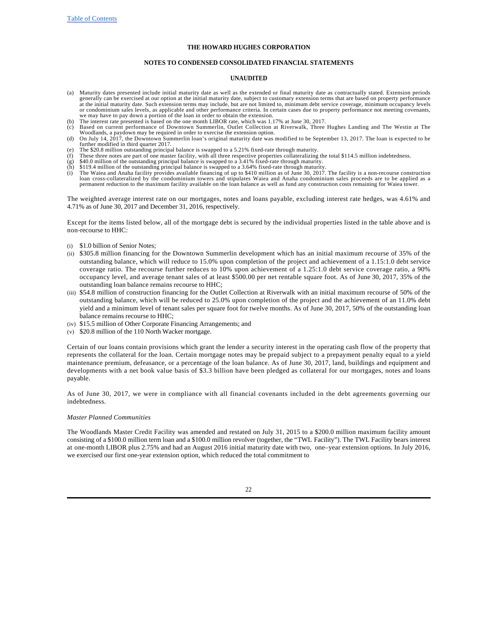# **NOTES TO CONDENSED CONSOLIDATED FINANCIAL STATEMENTS**

### **UNAUDITED**

- (a) Maturity dates presented include initial maturity date as well as the extended or final maturity date as contractually stated. Extension periods generally can be exercised at our option at the initial maturity date, subject to customary extension terms that are based on property performance at the initial maturity date. Such extension terms may include, but are not limited to, minimum debt service coverage, minimum occupancy levels<br>or condominium sales levels, as applicable and other performance criteria. In we may have to pay down a portion of the loan in order to obtain the extension.
- (b) The interest rate presented is based on the one month LIBOR rate, which was 1.17% at June 30, 2017.
- (c) Based on current performance of Downtown Summerlin, Outlet Collection at Riverwalk, Three Hughes Landing and The Westin at The<br>Woodlands, a paydown may be required in order to exercise the extension option.<br>(d) On July
- further modified in third quarter 2017.
- 
- (e) The \$20.8 million outstanding principal balance is swapped to a 5.21% fixed-rate through maturity.<br>(f) These three notes are part of one master facility, with all three respective properties collateralizing the total \$
- 
- (i) The Waiea and Anaha facility provides available financing of up to \$410 million as of June 30, 2017. The facility is a non-recourse construction loan cross-collateralized by the condominium towers and stipulates Waiea permanent reduction to the maximum facility available on the loan balance as well as fund any construction costs remaining for Waiea tower.

The weighted average interest rate on our mortgages, notes and loans payable, excluding interest rate hedges, was 4.61% and 4.71% as of June 30, 2017 and December 31, 2016, respectively.

Except for the items listed below, all of the mortgage debt is secured by the individual properties listed in the table above and is non-recourse to HHC:

- (i) \$1.0 billion of Senior Notes;
- (ii) \$305.8 million financing for the Downtown Summerlin development which has an initial maximum recourse of 35% of the outstanding balance, which will reduce to 15.0% upon completion of the project and achievement of a 1.15:1.0 debt service coverage ratio. The recourse further reduces to 10% upon achievement of a 1.25:1.0 debt service coverage ratio, a 90% occupancy level, and average tenant sales of at least \$500.00 per net rentable square foot. As of June 30, 2017, 35% of the outstanding loan balance remains recourse to HHC;
- (iii) \$54.8 million of construction financing for the Outlet Collection at Riverwalk with an initial maximum recourse of 50% of the outstanding balance, which will be reduced to 25.0% upon completion of the project and the achievement of an 11.0% debt yield and a minimum level of tenant sales per square foot for twelve months. As of June 30, 2017, 50% of the outstanding loan balance remains recourse to HHC;
- (iv) \$15.5 million of Other Corporate Financing Arrangements; and
- (v) \$20.8 million of the 110 North Wacker mortgage.

Certain of our loans contain provisions which grant the lender a security interest in the operating cash flow of the property that represents the collateral for the loan. Certain mortgage notes may be prepaid subject to a prepayment penalty equal to a yield maintenance premium, defeasance, or a percentage of the loan balance. As of June 30, 2017, land, buildings and equipment and developments with a net book value basis of \$3.3 billion have been pledged as collateral for our mortgages, notes and loans payable.

As of June 30, 2017, we were in compliance with all financial covenants included in the debt agreements governing our indebtedness.

### *Master Planned Communities*

The Woodlands Master Credit Facility was amended and restated on July 31, 2015 to a \$200.0 million maximum facility amount consisting of a \$100.0 million term loan and a \$100.0 million revolver (together, the "TWL Facility"). The TWL Facility bears interest at one-month LIBOR plus 2.75% and had an August 2016 initial maturity date with two, one–year extension options. In July 2016, we exercised our first one-year extension option, which reduced the total commitment to

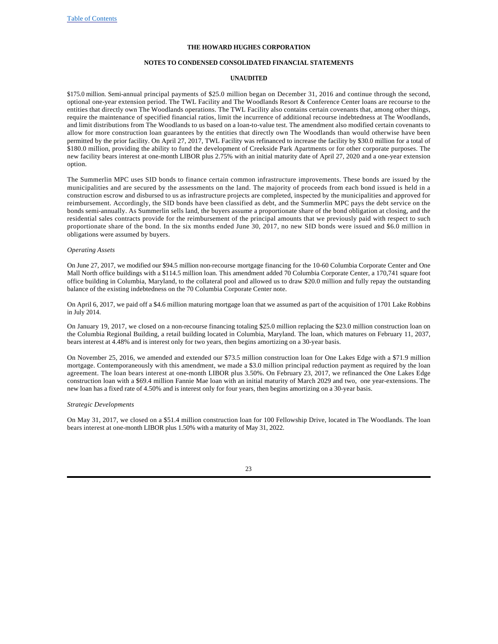# **NOTES TO CONDENSED CONSOLIDATED FINANCIAL STATEMENTS**

# **UNAUDITED**

\$175.0 million. Semi-annual principal payments of \$25.0 million began on December 31, 2016 and continue through the second, optional one-year extension period. The TWL Facility and The Woodlands Resort & Conference Center loans are recourse to the entities that directly own The Woodlands operations. The TWL Facility also contains certain covenants that, among other things, require the maintenance of specified financial ratios, limit the incurrence of additional recourse indebtedness at The Woodlands, and limit distributions from The Woodlands to us based on a loan-to-value test. The amendment also modified certain covenants to allow for more construction loan guarantees by the entities that directly own The Woodlands than would otherwise have been permitted by the prior facility. On April 27, 2017, TWL Facility was refinanced to increase the facility by \$30.0 million for a total of \$180.0 million, providing the ability to fund the development of Creekside Park Apartments or for other corporate purposes. The new facility bears interest at one-month LIBOR plus 2.75% with an initial maturity date of April 27, 2020 and a one-year extension option.

The Summerlin MPC uses SID bonds to finance certain common infrastructure improvements. These bonds are issued by the municipalities and are secured by the assessments on the land. The majority of proceeds from each bond issued is held in a construction escrow and disbursed to us as infrastructure projects are completed, inspected by the municipalities and approved for reimbursement. Accordingly, the SID bonds have been classified as debt, and the Summerlin MPC pays the debt service on the bonds semi-annually. As Summerlin sells land, the buyers assume a proportionate share of the bond obligation at closing, and the residential sales contracts provide for the reimbursement of the principal amounts that we previously paid with respect to such proportionate share of the bond. In the six months ended June 30, 2017, no new SID bonds were issued and \$6.0 million in obligations were assumed by buyers.

### *Operating Assets*

On June 27, 2017, we modified our \$94.5 million non-recourse mortgage financing for the 10-60 Columbia Corporate Center and One Mall North office buildings with a \$114.5 million loan. This amendment added 70 Columbia Corporate Center, a 170,741 square foot office building in Columbia, Maryland, to the collateral pool and allowed us to draw \$20.0 million and fully repay the outstanding balance of the existing indebtedness on the 70 Columbia Corporate Center note.

On April 6, 2017, we paid off a \$4.6 million maturing mortgage loan that we assumed as part of the acquisition of 1701 Lake Robbins in July 2014.

On January 19, 2017, we closed on a non-recourse financing totaling \$25.0 million replacing the \$23.0 million construction loan on the Columbia Regional Building, a retail building located in Columbia, Maryland. The loan, which matures on February 11, 2037, bears interest at 4.48% and is interest only for two years, then begins amortizing on a 30-year basis.

On November 25, 2016, we amended and extended our \$73.5 million construction loan for One Lakes Edge with a \$71.9 million mortgage. Contemporaneously with this amendment, we made a \$3.0 million principal reduction payment as required by the loan agreement. The loan bears interest at one-month LIBOR plus 3.50%. On February 23, 2017, we refinanced the One Lakes Edge construction loan with a \$69.4 million Fannie Mae loan with an initial maturity of March 2029 and two, one year-extensions. The new loan has a fixed rate of 4.50% and is interest only for four years, then begins amortizing on a 30-year basis.

#### *Strategic Developments*

On May 31, 2017, we closed on a \$51.4 million construction loan for 100 Fellowship Drive, located in The Woodlands. The loan bears interest at one-month LIBOR plus 1.50% with a maturity of May 31, 2022.

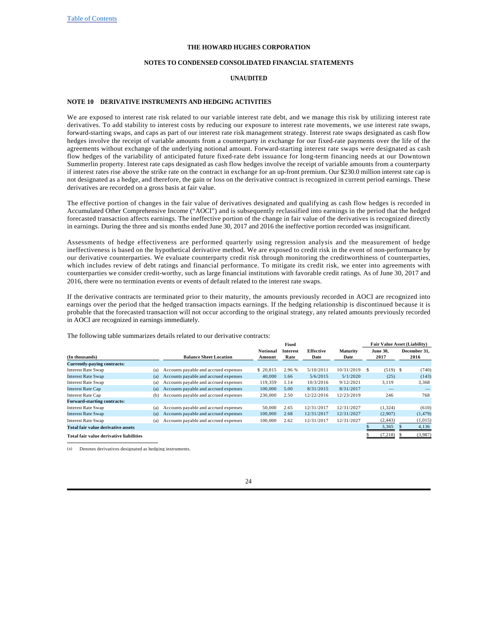# **NOTES TO CONDENSED CONSOLIDATED FINANCIAL STATEMENTS**

# **UNAUDITED**

# **NOTE 10 DERIVATIVE INSTRUMENTS AND HEDGING ACTIVITIES**

We are exposed to interest rate risk related to our variable interest rate debt, and we manage this risk by utilizing interest rate derivatives. To add stability to interest costs by reducing our exposure to interest rate movements, we use interest rate swaps, forward-starting swaps, and caps as part of our interest rate risk management strategy. Interest rate swaps designated as cash flow hedges involve the receipt of variable amounts from a counterparty in exchange for our fixed-rate payments over the life of the agreements without exchange of the underlying notional amount. Forward-starting interest rate swaps were designated as cash flow hedges of the variability of anticipated future fixed-rate debt issuance for long-term financing needs at our Downtown Summerlin property. Interest rate caps designated as cash flow hedges involve the receipt of variable amounts from a counterparty if interest rates rise above the strike rate on the contract in exchange for an up-front premium. Our \$230.0 million interest rate cap is not designated as a hedge, and therefore, the gain or loss on the derivative contract is recognized in current period earnings. These derivatives are recorded on a gross basis at fair value.

The effective portion of changes in the fair value of derivatives designated and qualifying as cash flow hedges is recorded in Accumulated Other Comprehensive Income ("AOCI") and is subsequently reclassified into earnings in the period that the hedged forecasted transaction affects earnings. The ineffective portion of the change in fair value of the derivatives is recognized directly in earnings. During the three and six months ended June 30, 2017 and 2016 the ineffective portion recorded was insignificant.

Assessments of hedge effectiveness are performed quarterly using regression analysis and the measurement of hedge ineffectiveness is based on the hypothetical derivative method. We are exposed to credit risk in the event of non-performance by our derivative counterparties. We evaluate counterparty credit risk through monitoring the creditworthiness of counterparties, which includes review of debt ratings and financial performance. To mitigate its credit risk, we enter into agreements with counterparties we consider credit-worthy, such as large financial institutions with favorable credit ratings. As of June 30, 2017 and 2016, there were no termination events or events of default related to the interest rate swaps.

If the derivative contracts are terminated prior to their maturity, the amounts previously recorded in AOCI are recognized into earnings over the period that the hedged transaction impacts earnings. If the hedging relationship is discontinued because it is probable that the forecasted transaction will not occur according to the original strategy, any related amounts previously recorded in AOCI are recognized in earnings immediately.

|                                         |     |                                       | Fixed    |          |                  |                 |                          | <b>Fair Value Asset (Liability)</b> |
|-----------------------------------------|-----|---------------------------------------|----------|----------|------------------|-----------------|--------------------------|-------------------------------------|
|                                         |     |                                       | Notional | Interest | <b>Effective</b> | <b>Maturity</b> | <b>June 30.</b>          | December 31.                        |
| (In thousands)                          |     | <b>Balance Sheet Location</b>         | Amount   | Rate     | Date             | Date            | 2017                     | 2016                                |
| <b>Currently-paying contracts:</b>      |     |                                       |          |          |                  |                 |                          |                                     |
| <b>Interest Rate Swap</b>               | (a) | Accounts payable and accrued expenses | \$20.815 | 2.96 %   | 5/10/2011        | 10/31/2019      | $(519)$ \$<br>-S         | (740)                               |
| <b>Interest Rate Swap</b>               | (a) | Accounts payable and accrued expenses | 40,000   | 1.66     | 5/6/2015         | 5/1/2020        | (25)                     | (143)                               |
| <b>Interest Rate Swap</b>               | (a) | Accounts payable and accrued expenses | 119.359  | 1.14     | 10/3/2016        | 9/12/2021       | 3.119                    | 3,368                               |
| <b>Interest Rate Cap</b>                | (a) | Accounts payable and accrued expenses | 100,000  | 5.00     | 8/31/2015        | 8/31/2017       | $\overline{\phantom{0}}$ |                                     |
| Interest Rate Cap                       | (b) | Accounts payable and accrued expenses | 230,000  | 2.50     | 12/22/2016       | 12/23/2019      | 246                      | 768                                 |
| <b>Forward-starting contracts:</b>      |     |                                       |          |          |                  |                 |                          |                                     |
| <b>Interest Rate Swap</b>               | (a) | Accounts payable and accrued expenses | 50,000   | 2.65     | 12/31/2017       | 12/31/2027      | (1,324)                  | (610)                               |
| <b>Interest Rate Swap</b>               | (a) | Accounts payable and accrued expenses | 100,000  | 2.68     | 12/31/2017       | 12/31/2027      | (2,907)                  | (1, 479)                            |
| <b>Interest Rate Swap</b>               | (a) | Accounts payable and accrued expenses | 100,000  | 2.62     | 12/31/2017       | 12/31/2027      | (2, 443)                 | (1,015)                             |
| Total fair value derivative assets      |     |                                       |          |          |                  |                 | 3,365                    | 4,136                               |
| Total fair value derivative liabilities |     |                                       |          |          |                  |                 | (7,218)                  | (3,987)                             |

The following table summarizes details related to our derivative contracts:

(a) Denotes derivatives designated as hedging instruments.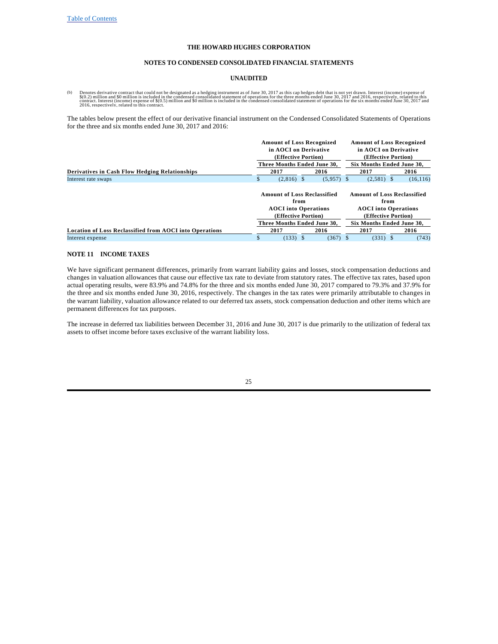#### **NOTES TO CONDENSED CONSOLIDATED FINANCIAL STATEMENTS**

### **UNAUDITED**

(b) Denotes derivative contract that could not be designated as a hedging instrument as of June 30, 2017 as this cap hedges debt that is not yet drawn. Interest (income) expense of  $\frac{5(0.2)}{10.2}$  million and 50 million

The tables below present the effect of our derivative financial instrument on the Condensed Consolidated Statements of Operations for the three and six months ended June 30, 2017 and 2016:

| <b>Amount of Loss Recognized</b><br>in AOCI on Derivative<br>(Effective Portion) |  |                                            |  |              |                                            | <b>Amount of Loss Recognized</b><br>in AOCI on Derivative<br>(Effective Portion) |           |  |
|----------------------------------------------------------------------------------|--|--------------------------------------------|--|--------------|--------------------------------------------|----------------------------------------------------------------------------------|-----------|--|
|                                                                                  |  | Three Months Ended June 30.                |  |              |                                            | Six Months Ended June 30.                                                        |           |  |
| <b>Derivatives in Cash Flow Hedging Relationships</b>                            |  | 2017                                       |  | 2016         |                                            | 2017                                                                             | 2016      |  |
| Interest rate swaps                                                              |  | $(2,816)$ \$                               |  | $(5,957)$ \$ |                                            | $(2,581)$ \$                                                                     | (16, 116) |  |
|                                                                                  |  | <b>Amount of Loss Reclassified</b><br>from |  |              | <b>Amount of Loss Reclassified</b><br>from |                                                                                  |           |  |
|                                                                                  |  | <b>AOCI</b> into Operations                |  |              | <b>AOCI</b> into Operations                |                                                                                  |           |  |
|                                                                                  |  | (Effective Portion)                        |  |              |                                            | (Effective Portion)                                                              |           |  |
| Three Months Ended June 30.                                                      |  |                                            |  |              | Six Months Ended June 30.                  |                                                                                  |           |  |
| <b>Location of Loss Reclassified from AOCI into Operations</b>                   |  | 2016<br>2017                               |  |              | 2017                                       |                                                                                  | 2016      |  |
| Interest expense                                                                 |  | $(133)$ \$                                 |  | $(367)$ \$   |                                            | $(331)$ \$                                                                       | (743)     |  |

# **NOTE 11 INCOME TAXES**

We have significant permanent differences, primarily from warrant liability gains and losses, stock compensation deductions and changes in valuation allowances that cause our effective tax rate to deviate from statutory rates. The effective tax rates, based upon actual operating results, were 83.9% and 74.8% for the three and six months ended June 30, 2017 compared to 79.3% and 37.9% for the three and six months ended June 30, 2016, respectively. The changes in the tax rates were primarily attributable to changes in the warrant liability, valuation allowance related to our deferred tax assets, stock compensation deduction and other items which are permanent differences for tax purposes.

The increase in deferred tax liabilities between December 31, 2016 and June 30, 2017 is due primarily to the utilization of federal tax assets to offset income before taxes exclusive of the warrant liability loss.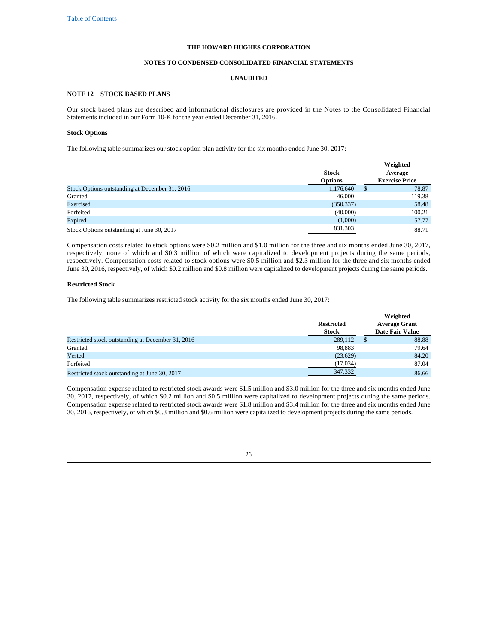# **NOTES TO CONDENSED CONSOLIDATED FINANCIAL STATEMENTS**

# **UNAUDITED**

# **NOTE 12 STOCK BASED PLANS**

Our stock based plans are described and informational disclosures are provided in the Notes to the Consolidated Financial Statements included in our Form 10-K for the year ended December 31, 2016.

# **Stock Options**

The following table summarizes our stock option plan activity for the six months ended June 30, 2017:

|                                                |                |   | Weighted              |
|------------------------------------------------|----------------|---|-----------------------|
|                                                | <b>Stock</b>   |   | Average               |
|                                                | <b>Options</b> |   | <b>Exercise Price</b> |
| Stock Options outstanding at December 31, 2016 | 1,176,640      | S | 78.87                 |
| Granted                                        | 46,000         |   | 119.38                |
| Exercised                                      | (350, 337)     |   | 58.48                 |
| Forfeited                                      | (40,000)       |   | 100.21                |
| Expired                                        | (1,000)        |   | 57.77                 |
| Stock Options outstanding at June 30, 2017     | 831,303        |   | 88.71                 |

Compensation costs related to stock options were \$0.2 million and \$1.0 million for the three and six months ended June 30, 2017, respectively, none of which and \$0.3 million of which were capitalized to development projects during the same periods, respectively. Compensation costs related to stock options were \$0.5 million and \$2.3 million for the three and six months ended June 30, 2016, respectively, of which \$0.2 million and \$0.8 million were capitalized to development projects during the same periods.

### **Restricted Stock**

The following table summarizes restricted stock activity for the six months ended June 30, 2017:

|                                                   |                                   |   | Weighted                                |
|---------------------------------------------------|-----------------------------------|---|-----------------------------------------|
|                                                   | <b>Restricted</b><br><b>Stock</b> |   | <b>Average Grant</b><br>Date Fair Value |
| Restricted stock outstanding at December 31, 2016 | 289,112                           | S | 88.88                                   |
| Granted                                           | 98,883                            |   | 79.64                                   |
| Vested                                            | (23,629)                          |   | 84.20                                   |
| Forfeited                                         | (17,034)                          |   | 87.04                                   |
| Restricted stock outstanding at June 30, 2017     | 347,332                           |   | 86.66                                   |

Compensation expense related to restricted stock awards were \$1.5 million and \$3.0 million for the three and six months ended June 30, 2017, respectively, of which \$0.2 million and \$0.5 million were capitalized to development projects during the same periods. Compensation expense related to restricted stock awards were \$1.8 million and \$3.4 million for the three and six months ended June 30, 2016, respectively, of which \$0.3 million and \$0.6 million were capitalized to development projects during the same periods.

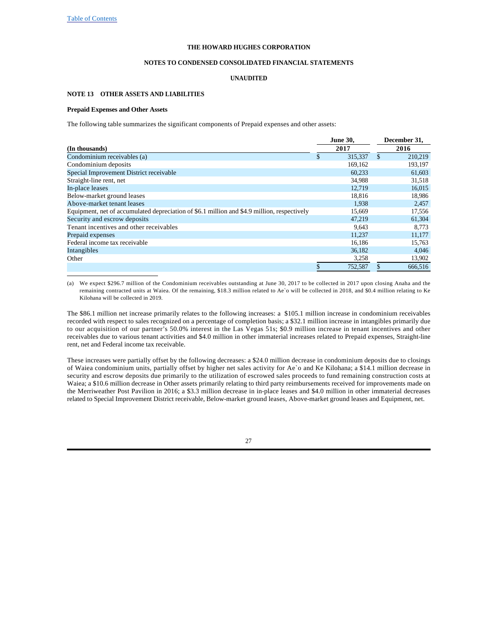# **NOTES TO CONDENSED CONSOLIDATED FINANCIAL STATEMENTS**

### **UNAUDITED**

# **NOTE 13 OTHER ASSETS AND LIABILITIES**

### **Prepaid Expenses and Other Assets**

The following table summarizes the significant components of Prepaid expenses and other assets:

|                                                                                             | <b>June 30.</b> |     | December 31. |
|---------------------------------------------------------------------------------------------|-----------------|-----|--------------|
| (In thousands)                                                                              | 2017            |     | 2016         |
| Condominium receivables (a)                                                                 | \$<br>315,337   | \$. | 210,219      |
| Condominium deposits                                                                        | 169,162         |     | 193,197      |
| Special Improvement District receivable                                                     | 60,233          |     | 61,603       |
| Straight-line rent, net                                                                     | 34,988          |     | 31,518       |
| In-place leases                                                                             | 12,719          |     | 16,015       |
| Below-market ground leases                                                                  | 18,816          |     | 18,986       |
| Above-market tenant leases                                                                  | 1,938           |     | 2,457        |
| Equipment, net of accumulated depreciation of \$6.1 million and \$4.9 million, respectively | 15,669          |     | 17,556       |
| Security and escrow deposits                                                                | 47,219          |     | 61,304       |
| Tenant incentives and other receivables                                                     | 9,643           |     | 8,773        |
| Prepaid expenses                                                                            | 11,237          |     | 11,177       |
| Federal income tax receivable                                                               | 16,186          |     | 15,763       |
| Intangibles                                                                                 | 36,182          |     | 4,046        |
| Other                                                                                       | 3,258           |     | 13,902       |
|                                                                                             | 752,587         |     | 666,516      |

(a) We expect \$296.7 million of the Condominium receivables outstanding at June 30, 2017 to be collected in 2017 upon closing Anaha and the remaining contracted units at Waiea. Of the remaining, \$18.3 million related to Ae`o will be collected in 2018, and \$0.4 million relating to Ke Kilohana will be collected in 2019.

The \$86.1 million net increase primarily relates to the following increases: a \$105.1 million increase in condominium receivables recorded with respect to sales recognized on a percentage of completion basis; a \$32.1 million increase in intangibles primarily due to our acquisition of our partner's 50.0% interest in the Las Vegas 51s; \$0.9 million increase in tenant incentives and other receivables due to various tenant activities and \$4.0 million in other immaterial increases related to Prepaid expenses, Straight-line rent, net and Federal income tax receivable.

These increases were partially offset by the following decreases: a \$24.0 million decrease in condominium deposits due to closings of Waiea condominium units, partially offset by higher net sales activity for Ae`o and Ke Kilohana; a \$14.1 million decrease in security and escrow deposits due primarily to the utilization of escrowed sales proceeds to fund remaining construction costs at Waiea; a \$10.6 million decrease in Other assets primarily relating to third party reimbursements received for improvements made on the Merriweather Post Pavilion in 2016; a \$3.3 million decrease in in-place leases and \$4.0 million in other immaterial decreases related to Special Improvement District receivable, Below-market ground leases, Above-market ground leases and Equipment, net.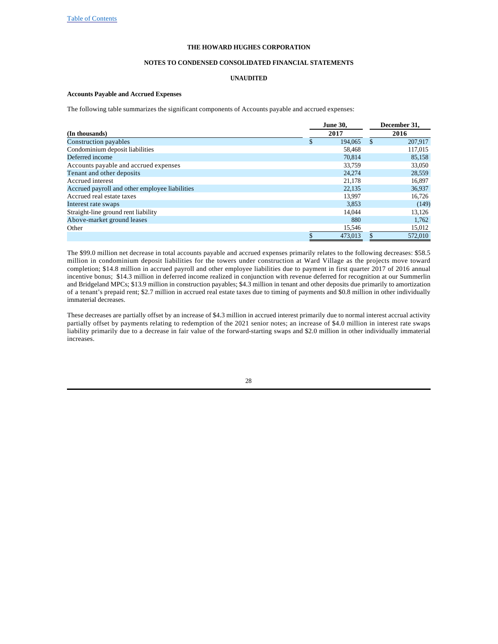# **NOTES TO CONDENSED CONSOLIDATED FINANCIAL STATEMENTS**

# **UNAUDITED**

### **Accounts Payable and Accrued Expenses**

The following table summarizes the significant components of Accounts payable and accrued expenses:

|                                                | <b>June 30.</b> |    |         |  |
|------------------------------------------------|-----------------|----|---------|--|
| (In thousands)                                 | 2017            |    | 2016    |  |
| Construction payables                          | \$<br>194,065   | \$ | 207,917 |  |
| Condominium deposit liabilities                | 58,468          |    | 117,015 |  |
| Deferred income                                | 70.814          |    | 85,158  |  |
| Accounts payable and accrued expenses          | 33,759          |    | 33,050  |  |
| Tenant and other deposits                      | 24.274          |    | 28,559  |  |
| Accrued interest                               | 21,178          |    | 16,897  |  |
| Accrued payroll and other employee liabilities | 22.135          |    | 36,937  |  |
| Accrued real estate taxes                      | 13,997          |    | 16,726  |  |
| Interest rate swaps                            | 3.853           |    | (149)   |  |
| Straight-line ground rent liability            | 14.044          |    | 13,126  |  |
| Above-market ground leases                     | 880             |    | 1.762   |  |
| Other                                          | 15,546          |    | 15,012  |  |
|                                                | 473,013         |    | 572,010 |  |

The \$99.0 million net decrease in total accounts payable and accrued expenses primarily relates to the following decreases: \$58.5 million in condominium deposit liabilities for the towers under construction at Ward Village as the projects move toward completion; \$14.8 million in accrued payroll and other employee liabilities due to payment in first quarter 2017 of 2016 annual incentive bonus; \$14.3 million in deferred income realized in conjunction with revenue deferred for recognition at our Summerlin and Bridgeland MPCs; \$13.9 million in construction payables; \$4.3 million in tenant and other deposits due primarily to amortization of a tenant's prepaid rent; \$2.7 million in accrued real estate taxes due to timing of payments and \$0.8 million in other individually immaterial decreases.

These decreases are partially offset by an increase of \$4.3 million in accrued interest primarily due to normal interest accrual activity partially offset by payments relating to redemption of the 2021 senior notes; an increase of \$4.0 million in interest rate swaps liability primarily due to a decrease in fair value of the forward-starting swaps and \$2.0 million in other individually immaterial increases.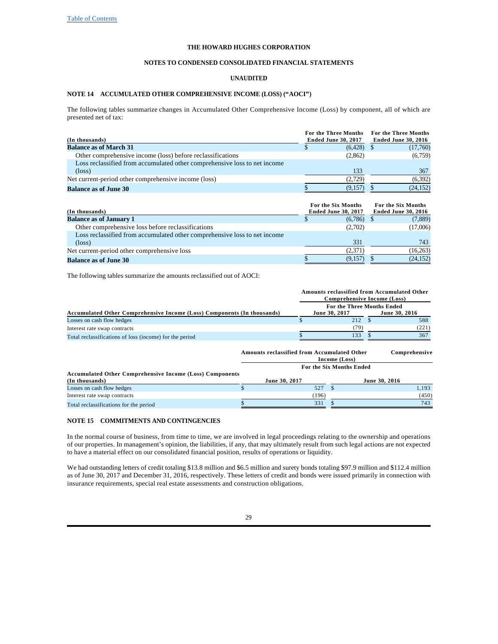# **NOTES TO CONDENSED CONSOLIDATED FINANCIAL STATEMENTS**

### **UNAUDITED**

# **NOTE 14 ACCUMULATED OTHER COMPREHENSIVE INCOME (LOSS) ("AOCI")**

The following tables summarize changes in Accumulated Other Comprehensive Income (Loss) by component, all of which are presented net of tax:

|                                                                           | <b>For the Three Months</b> | <b>For the Three Months</b> |
|---------------------------------------------------------------------------|-----------------------------|-----------------------------|
| (In thousands)                                                            | <b>Ended June 30, 2017</b>  | <b>Ended June 30, 2016</b>  |
| <b>Balance as of March 31</b>                                             | (6,428)                     | (17,760)                    |
| Other comprehensive income (loss) before reclassifications                | (2,862)                     | (6,759)                     |
| Loss reclassified from accumulated other comprehensive loss to net income |                             |                             |
| $(\text{loss})$                                                           | 133                         | 367                         |
| Net current-period other comprehensive income (loss)                      | (2,729)                     | (6,392)                     |
| <b>Balance as of June 30</b>                                              | (9,157)                     | (24, 152)                   |
|                                                                           |                             |                             |
|                                                                           | <b>For the Six Months</b>   | <b>For the Six Months</b>   |
| (In thousands)                                                            | <b>Ended June 30, 2017</b>  | <b>Ended June 30, 2016</b>  |
| <b>Balance as of January 1</b>                                            | (6,786)                     | (7,889)                     |
| Other comprehensive loss before reclassifications                         | (2,702)                     | (17,006)                    |
| Loss reclassified from accumulated other comprehensive loss to net income |                             |                             |
| $(\text{loss})$                                                           | 331                         | 743                         |
| Net current-period other comprehensive loss                               | (2,371)                     | (16, 263)                   |

The following tables summarize the amounts reclassified out of AOCI:

|                                                                         | Amounts reclassified from Accumulated Other |                                    |  |               |  |
|-------------------------------------------------------------------------|---------------------------------------------|------------------------------------|--|---------------|--|
|                                                                         |                                             | <b>Comprehensive Income (Loss)</b> |  |               |  |
|                                                                         | For the Three Months Ended                  |                                    |  |               |  |
| Accumulated Other Comprehensive Income (Loss) Components (In thousands) | June 30, 2017                               |                                    |  | June 30, 2016 |  |
| Losses on cash flow hedges                                              |                                             | 212S                               |  | 588           |  |
| Interest rate swap contracts                                            |                                             | 79)                                |  | (221)         |  |
| Total reclassifications of loss (income) for the period                 |                                             | 133                                |  | 367           |  |

**Balance as of June 30**  $\overline{5}$  (24,152)

|                                                                 | Amounts reclassified from Accumulated Other<br>Income (Loss) | Comprehensive |       |  |  |  |
|-----------------------------------------------------------------|--------------------------------------------------------------|---------------|-------|--|--|--|
|                                                                 | For the Six Months Ended                                     |               |       |  |  |  |
| <b>Accumulated Other Comprehensive Income (Loss) Components</b> |                                                              |               |       |  |  |  |
| (In thousands)                                                  | June 30, 2017                                                | June 30, 2016 |       |  |  |  |
| Losses on cash flow hedges                                      | 527                                                          |               | 1,193 |  |  |  |
| Interest rate swap contracts                                    | (196)                                                        |               | (450) |  |  |  |
| Total reclassifications for the period                          | 331                                                          |               | 743   |  |  |  |

# **NOTE 15 COMMITMENTS AND CONTINGENCIES**

In the normal course of business, from time to time, we are involved in legal proceedings relating to the ownership and operations of our properties. In management's opinion, the liabilities, if any, that may ultimately result from such legal actions are not expected to have a material effect on our consolidated financial position, results of operations or liquidity.

We had outstanding letters of credit totaling \$13.8 million and \$6.5 million and surety bonds totaling \$97.9 million and \$112.4 million as of June 30, 2017 and December 31, 2016, respectively. These letters of credit and bonds were issued primarily in connection with insurance requirements, special real estate assessments and construction obligations.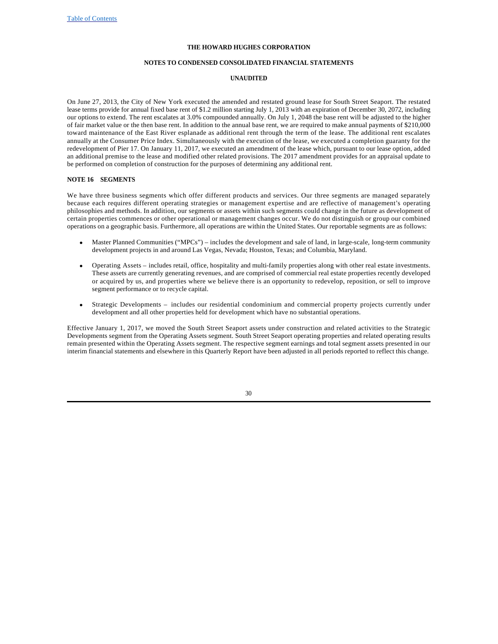# **NOTES TO CONDENSED CONSOLIDATED FINANCIAL STATEMENTS**

# **UNAUDITED**

On June 27, 2013, the City of New York executed the amended and restated ground lease for South Street Seaport. The restated lease terms provide for annual fixed base rent of \$1.2 million starting July 1, 2013 with an expiration of December 30, 2072, including our options to extend. The rent escalates at 3.0% compounded annually. On July 1, 2048 the base rent will be adjusted to the higher of fair market value or the then base rent. In addition to the annual base rent, we are required to make annual payments of \$210,000 toward maintenance of the East River esplanade as additional rent through the term of the lease. The additional rent escalates annually at the Consumer Price Index. Simultaneously with the execution of the lease, we executed a completion guaranty for the redevelopment of Pier 17. On January 11, 2017, we executed an amendment of the lease which, pursuant to our lease option, added an additional premise to the lease and modified other related provisions. The 2017 amendment provides for an appraisal update to be performed on completion of construction for the purposes of determining any additional rent.

# **NOTE 16 SEGMENTS**

We have three business segments which offer different products and services. Our three segments are managed separately because each requires different operating strategies or management expertise and are reflective of management's operating philosophies and methods. In addition, our segments or assets within such segments could change in the future as development of certain properties commences or other operational or management changes occur. We do not distinguish or group our combined operations on a geographic basis. Furthermore, all operations are within the United States. Our reportable segments are as follows:

- Master Planned Communities ("MPCs") includes the development and sale of land, in large-scale, long-term community development projects in and around Las Vegas, Nevada; Houston, Texas; and Columbia, Maryland.
- · Operating Assets includes retail, office, hospitality and multi-family properties along with other real estate investments. These assets are currently generating revenues, and are comprised of commercial real estate properties recently developed or acquired by us, and properties where we believe there is an opportunity to redevelop, reposition, or sell to improve segment performance or to recycle capital.
- · Strategic Developments includes our residential condominium and commercial property projects currently under development and all other properties held for development which have no substantial operations.

Effective January 1, 2017, we moved the South Street Seaport assets under construction and related activities to the Strategic Developments segment from the Operating Assets segment. South Street Seaport operating properties and related operating results remain presented within the Operating Assets segment. The respective segment earnings and total segment assets presented in our interim financial statements and elsewhere in this Quarterly Report have been adjusted in all periods reported to reflect this change.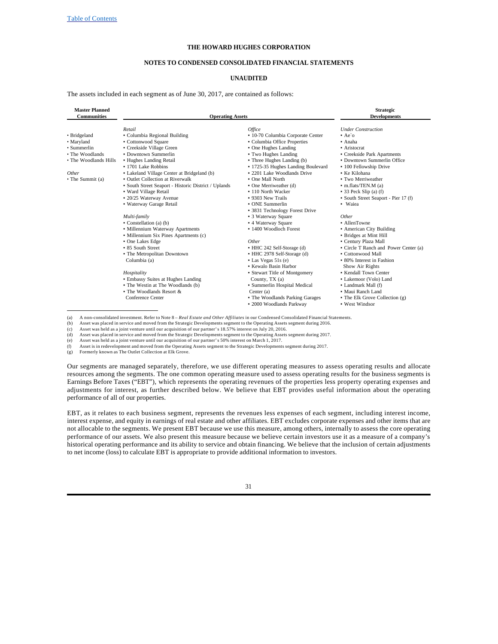# **NOTES TO CONDENSED CONSOLIDATED FINANCIAL STATEMENTS**

### **UNAUDITED**

The assets included in each segment as of June 30, 2017, are contained as follows:

| <b>Master Planned</b><br><b>Communities</b> | <b>Operating Assets</b>                              | <b>Strategic</b><br><b>Developments</b> |                                       |  |  |
|---------------------------------------------|------------------------------------------------------|-----------------------------------------|---------------------------------------|--|--|
|                                             | Retail                                               | Office                                  | <b>Under Construction</b>             |  |  |
| • Bridgeland                                | • Columbia Regional Building                         | · 10-70 Columbia Corporate Center       | $Ae$ `o                               |  |  |
| • Maryland                                  | • Cottonwood Square                                  | • Columbia Office Properties            | • Anaha                               |  |  |
| • Summerlin                                 | • Creekside Village Green                            | • One Hughes Landing                    | • Aristocrat                          |  |  |
| • The Woodlands                             | • Downtown Summerlin                                 | • Two Hughes Landing                    | • Creekside Park Apartments           |  |  |
| • The Woodlands Hills                       | • Hughes Landing Retail                              | • Three Hughes Landing (b)              | • Downtown Summerlin Office           |  |  |
|                                             | • 1701 Lake Robbins                                  | • 1725-35 Hughes Landing Boulevard      | • 100 Fellowship Drive                |  |  |
| Other                                       | • Lakeland Village Center at Bridgeland (b)          | • 2201 Lake Woodlands Drive             | • Ke Kilohana                         |  |  |
| • The Summit (a)                            | • Outlet Collection at Riverwalk                     | • One Mall North                        | • Two Merriweather                    |  |  |
|                                             | • South Street Seaport - Historic District / Uplands | • One Merriweather (d)                  | $\bullet$ m.flats/TEN.M (a)           |  |  |
|                                             | • Ward Village Retail                                | • 110 North Wacker                      | $\bullet$ 33 Peck Slip (a) (f)        |  |  |
|                                             | • 20/25 Waterway Avenue                              | • 9303 New Trails                       | • South Street Seaport - Pier 17 (f)  |  |  |
|                                             | · Waterway Garage Retail                             | • ONE Summerlin                         | • Waiea                               |  |  |
|                                             |                                                      | • 3831 Technology Forest Drive          |                                       |  |  |
|                                             | Multi-family                                         | • 3 Waterway Square                     | Other                                 |  |  |
|                                             | • Constellation (a) (b)                              | • 4 Waterway Square                     | • AllenTowne                          |  |  |
|                                             | • Millennium Waterway Apartments                     | • 1400 Woodloch Forest                  | • American City Building              |  |  |
|                                             | • Millennium Six Pines Apartments (c)                |                                         | • Bridges at Mint Hill                |  |  |
|                                             | • One Lakes Edge                                     | Other                                   | • Century Plaza Mall                  |  |  |
|                                             | • 85 South Street                                    | • HHC 242 Self-Storage (d)              | • Circle T Ranch and Power Center (a) |  |  |
|                                             | • The Metropolitan Downtown                          | • HHC 2978 Self-Storage (d)             | • Cottonwood Mall                     |  |  |
|                                             | Columbia (a)                                         | $\bullet$ Las Vegas 51s (e)             | • 80% Interest in Fashion             |  |  |
|                                             |                                                      | • Kewalo Basin Harbor                   | Show Air Rights                       |  |  |
|                                             | Hospitality                                          | • Stewart Title of Montgomery           | • Kendall Town Center                 |  |  |
|                                             | • Embassy Suites at Hughes Landing                   | County, TX (a)                          | • Lakemoor (Volo) Land                |  |  |
|                                             | • The Westin at The Woodlands (b)                    | · Summerlin Hospital Medical            | • Landmark Mall (f)                   |  |  |
|                                             | • The Woodlands Resort $\&$                          | Center (a)                              | • Maui Ranch Land                     |  |  |
|                                             | Conference Center                                    | • The Woodlands Parking Garages         | • The Elk Grove Collection (g)        |  |  |
|                                             |                                                      | • 2000 Woodlands Parkway                | • West Windsor                        |  |  |

- (b) Asset was placed in service and moved from the Strategic Developments segment to the Operating Assets segment during 2016.<br>(c) Asset was held as a joint venture until our acquisition of our partner's 18.57% interest on
- (d) Asset was placed in service and moved from the Strategic Developments segment to the Operating Assets segment during 2017.
- Asset was held as a joint venture until our acquisition of our partner's 50% interest on March 1, 2017.
- (f) Asset is in redevelopment and moved from the Operating Assets segment to the Strategic Developments segment during 2017.

Formerly known as The Outlet Collection at Elk Grove.

Our segments are managed separately, therefore, we use different operating measures to assess operating results and allocate resources among the segments. The one common operating measure used to assess operating results for the business segments is Earnings Before Taxes ("EBT"), which represents the operating revenues of the properties less property operating expenses and adjustments for interest, as further described below. We believe that EBT provides useful information about the operating performance of all of our properties.

EBT, as it relates to each business segment, represents the revenues less expenses of each segment, including interest income, interest expense, and equity in earnings of real estate and other affiliates. EBT excludes corporate expenses and other items that are not allocable to the segments. We present EBT because we use this measure, among others, internally to assess the core operating performance of our assets. We also present this measure because we believe certain investors use it as a measure of a company's historical operating performance and its ability to service and obtain financing. We believe that the inclusion of certain adjustments to net income (loss) to calculate EBT is appropriate to provide additional information to investors.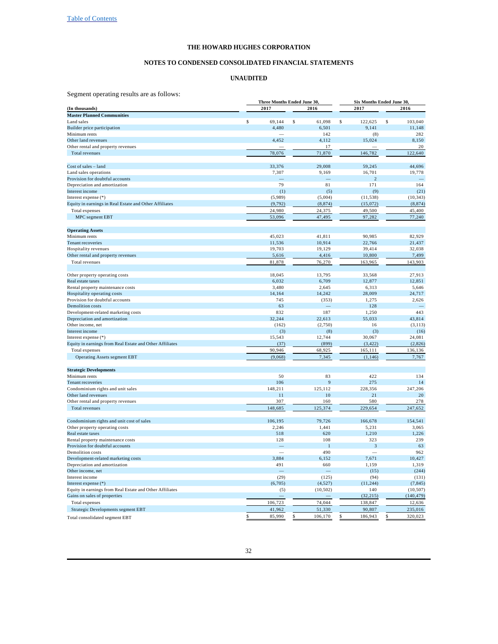#### **NOTES TO CONDENSED CONSOLIDATED FINANCIAL STATEMENTS**

### **UNAUDITED**

Segment operating results are as follows:

|                                                          | Three Months Ended June 30, |               | Six Months Ended June 30, |               |
|----------------------------------------------------------|-----------------------------|---------------|---------------------------|---------------|
| (In thousands)                                           | 2017                        | 2016          | 2017                      | 2016          |
| <b>Master Planned Communities</b>                        |                             |               |                           |               |
| Land sales                                               | \$<br>69,144                | \$<br>61,098  | \$<br>122,625             | \$<br>103,040 |
| Builder price participation                              | 4,480                       | 6,501         | 9,141                     | 11,148        |
| Minimum rents                                            |                             | 142           | (8)                       | 282           |
| Other land revenues                                      | 4,452                       | 4,112         | 15,024                    | 8,150         |
| Other rental and property revenues                       |                             | 17            |                           | 20            |
| Total revenues                                           | 78,076                      | 71,870        | 146,782                   | 122,640       |
| Cost of sales - land                                     | 33,376                      | 29,008        | 59,245                    | 44,696        |
| Land sales operations                                    | 7,307                       | 9,169         | 16,701                    | 19,778        |
| Provision for doubtful accounts                          |                             |               | $\overline{c}$            |               |
| Depreciation and amortization                            | 79                          | 81            | 171                       | 164           |
| Interest income                                          | (1)                         | (5)           | (9)                       | (21)          |
| Interest expense (*)                                     | (5,989)                     | (5,004)       | (11, 538)                 | (10, 343)     |
| Equity in earnings in Real Estate and Other Affiliates   | (9, 792)                    | (8, 874)      | (15,072)                  | (8, 874)      |
| Total expenses                                           | 24,980                      | 24,375        | 49,500                    | 45,400        |
| MPC segment EBT                                          | 53,096                      | 47,495        | 97,282                    | 77,240        |
|                                                          |                             |               |                           |               |
| <b>Operating Assets</b>                                  |                             |               |                           |               |
| Minimum rents                                            | 45,023                      | 41,811        | 90,985                    | 82,929        |
| Tenant recoveries                                        | 11,536                      | 10,914        | 22,766                    | 21,437        |
| Hospitality revenues                                     | 19,703                      | 19,129        | 39,414                    | 32,038        |
| Other rental and property revenues                       | 5,616                       | 4,416         | 10,800                    | 7,499         |
| Total revenues                                           | 81,878                      | 76,270        | 163,965                   | 143,903       |
| Other property operating costs                           | 18,045                      | 13,795        | 33,568                    | 27,913        |
| Real estate taxes                                        | 6,032                       | 6,709         | 12,877                    | 12,851        |
| Rental property maintenance costs                        | 3,480                       | 2,645         | 6,313                     | 5,646         |
| Hospitality operating costs                              | 14,164                      | 14,242        | 28,009                    | 24,717        |
| Provision for doubtful accounts                          | 745                         | (353)         | 1,275                     | 2,626         |
| <b>Demolition</b> costs                                  | 63                          |               | 128                       |               |
| Development-related marketing costs                      | 832                         | 187           | 1,250                     | 443           |
| Depreciation and amortization                            | 32,244                      | 22,613        | 55,033                    | 43,814        |
| Other income, net                                        | (162)                       | (2,750)       | 16                        | (3, 113)      |
| Interest income                                          | (3)                         | (8)           | (3)                       | (16)          |
| Interest expense (*)                                     | 15,543                      | 12,744        | 30,067                    | 24,081        |
| Equity in earnings from Real Estate and Other Affiliates | (37)                        | (899)         | (3, 422)                  | (2,826)       |
| Total expenses                                           | 90,946                      | 68,925        | 165,111                   | 136,136       |
| <b>Operating Assets segment EBT</b>                      | (9,068)                     | 7,345         | (1, 146)                  | 7,767         |
|                                                          |                             |               |                           |               |
| <b>Strategic Developments</b>                            |                             |               |                           |               |
| Minimum rents                                            | 50                          | 83            | 422                       | 134           |
| <b>Tenant recoveries</b>                                 | 106                         | 9             | 275                       | 14            |
| Condominium rights and unit sales                        | 148,211                     | 125,112       | 228,356                   | 247,206       |
| Other land revenues                                      | 11<br>307                   | 10<br>160     | 21<br>580                 | 20<br>278     |
| Other rental and property revenues                       |                             |               |                           |               |
| Total revenues                                           | 148,685                     | 125,374       | 229,654                   | 247,652       |
| Condominium rights and unit cost of sales                | 106,195                     | 79,726        | 166,678                   | 154,541       |
| Other property operating costs                           | 2,246                       | 1,441         | 5,231                     | 3,065         |
| Real estate taxes                                        | 518                         | 620           | 1,210                     | 1,226         |
| Rental property maintenance costs                        | 128                         | 108           | 323                       | 239           |
| Provision for doubtful accounts                          |                             |               | 3                         | 63            |
| Demolition costs                                         |                             | 490           |                           | 962           |
| Development-related marketing costs                      | 3,884                       | 6,152         | 7,671                     | 10,427        |
| Depreciation and amortization                            | 491                         | 660           | 1,159                     | 1,319         |
| Other income, net                                        |                             |               | (15)                      | (244)         |
| Interest income                                          | (29)                        | (125)         | (94)                      | (131)         |
| Interest expense (*)                                     | (6,705)                     | (4,527)       | (11, 244)                 | (7, 845)      |
| Equity in earnings from Real Estate and Other Affiliates | (5)                         | (10, 502)     | 140                       | (10, 507)     |
| Gains on sales of properties                             |                             |               | (32, 215)                 | (140, 479)    |
| Total expenses                                           | 106,723                     | 74,044        | 138,847                   | 12,636        |
| Strategic Developments segment EBT                       | 41,962                      | 51,330        | 90,807                    | 235,016       |
| Total consolidated segment EBT                           | \$<br>85,990                | \$<br>106,170 | \$<br>186,943             | \$<br>320,023 |
|                                                          |                             |               |                           |               |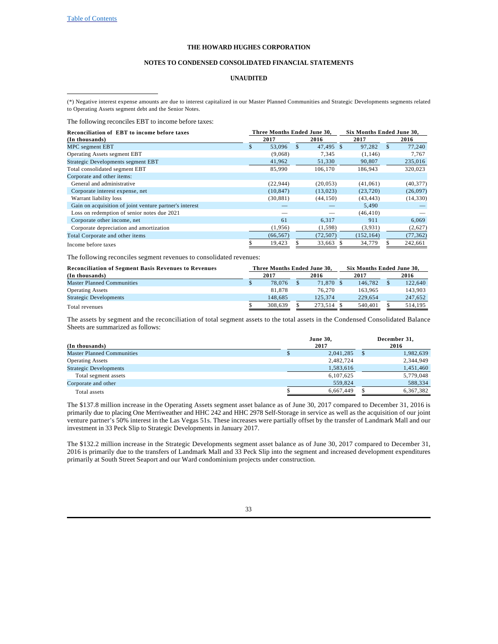#### **NOTES TO CONDENSED CONSOLIDATED FINANCIAL STATEMENTS**

# **UNAUDITED**

(\*) Negative interest expense amounts are due to interest capitalized in our Master Planned Communities and Strategic Developments segments related to Operating Assets segment debt and the Senior Notes.

The following reconciles EBT to income before taxes:

| Reconciliation of EBT to income before taxes            | Three Months Ended June 30. |               |           | Six Months Ended June 30. |            |  |           |
|---------------------------------------------------------|-----------------------------|---------------|-----------|---------------------------|------------|--|-----------|
| (In thousands)                                          | 2017                        |               | 2016      |                           | 2017       |  | 2016      |
| <b>MPC</b> segment EBT                                  | \$<br>53,096                | <sup>\$</sup> | 47,495 \$ |                           | 97.282     |  | 77,240    |
| <b>Operating Assets segment EBT</b>                     | (9,068)                     |               | 7,345     |                           | (1, 146)   |  | 7,767     |
| Strategic Developments segment EBT                      | 41,962                      |               | 51,330    |                           | 90,807     |  | 235,016   |
| Total consolidated segment EBT                          | 85,990                      |               | 106,170   |                           | 186,943    |  | 320,023   |
| Corporate and other items:                              |                             |               |           |                           |            |  |           |
| General and administrative                              | (22, 944)                   |               | (20, 053) |                           | (41,061)   |  | (40, 377) |
| Corporate interest expense, net                         | (10, 847)                   |               | (13,023)  |                           | (23,720)   |  | (26,097)  |
| Warrant liability loss                                  | (30, 881)                   |               | (44, 150) |                           | (43, 443)  |  | (14, 330) |
| Gain on acquisition of joint venture partner's interest |                             |               |           |                           | 5,490      |  |           |
| Loss on redemption of senior notes due 2021             |                             |               |           |                           | (46, 410)  |  |           |
| Corporate other income, net                             | 61                          |               | 6,317     |                           | 911        |  | 6,069     |
| Corporate depreciation and amortization                 | (1,956)                     |               | (1, 598)  |                           | (3,931)    |  | (2,627)   |
| Total Corporate and other items                         | (66, 567)                   |               | (72, 507) |                           | (152, 164) |  | (77, 362) |
| Income before taxes                                     | 19.423                      |               | 33.663 \$ |                           | 34,779     |  | 242.661   |

The following reconciles segment revenues to consolidated revenues:

| <b>Reconciliation of Segment Basis Revenues to Revenues</b> | Three Months Ended June 30.<br>Six Months Ended June 30. |  |            |  |         |  |         |  |  |
|-------------------------------------------------------------|----------------------------------------------------------|--|------------|--|---------|--|---------|--|--|
| (In thousands)                                              | 2017                                                     |  | 2016       |  | 2017    |  | 2016    |  |  |
| <b>Master Planned Communities</b>                           | 78,076                                                   |  | 71.870 \$  |  | 146,782 |  | 122,640 |  |  |
| <b>Operating Assets</b>                                     | 81.878                                                   |  | 76.270     |  | 163.965 |  | 143.903 |  |  |
| <b>Strategic Developments</b>                               | 148.685                                                  |  | 125,374    |  | 229,654 |  | 247,652 |  |  |
| Total revenues                                              | 308,639                                                  |  | 273.514 \$ |  | 540,401 |  | 514.195 |  |  |

The assets by segment and the reconciliation of total segment assets to the total assets in the Condensed Consolidated Balance Sheets are summarized as follows:

| (In thousands)                    | June 30,<br>2017 | December 31,<br>2016 |
|-----------------------------------|------------------|----------------------|
| <b>Master Planned Communities</b> | 2,041,285        | 1,982,639            |
| <b>Operating Assets</b>           | 2,482,724        | 2,344,949            |
| <b>Strategic Developments</b>     | 1,583,616        | 1,451,460            |
| Total segment assets              | 6,107,625        | 5,779,048            |
| Corporate and other               | 559.824          | 588,334              |
| Total assets                      | 6,667,449        | 6,367,382            |

The \$137.8 million increase in the Operating Assets segment asset balance as of June 30, 2017 compared to December 31, 2016 is primarily due to placing One Merriweather and HHC 242 and HHC 2978 Self-Storage in service as well as the acquisition of our joint venture partner's 50% interest in the Las Vegas 51s. These increases were partially offset by the transfer of Landmark Mall and our investment in 33 Peck Slip to Strategic Developments in January 2017.

The \$132.2 million increase in the Strategic Developments segment asset balance as of June 30, 2017 compared to December 31, 2016 is primarily due to the transfers of Landmark Mall and 33 Peck Slip into the segment and increased development expenditures primarily at South Street Seaport and our Ward condominium projects under construction.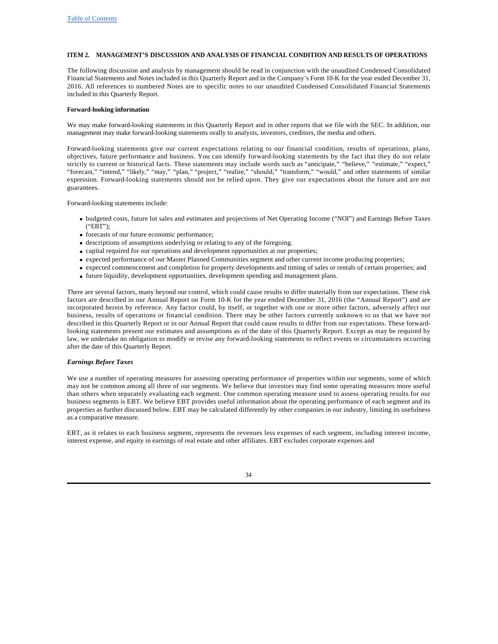### **ITEM 2. MANAGEMENT'S DISCUSSION AND ANALYSIS OF FINANCIAL CONDITION AND RESULTS OF OPERATIONS**

The following discussion and analysis by management should be read in conjunction with the unaudited Condensed Consolidated Financial Statements and Notes included in this Quarterly Report and in the Company's Form 10-K for the year ended December 31, 2016. All references to numbered Notes are to specific notes to our unaudited Condensed Consolidated Financial Statements included in this Quarterly Report.

### **Forward-looking information**

We may make forward-looking statements in this Quarterly Report and in other reports that we file with the SEC. In addition, our management may make forward-looking statements orally to analysts, investors, creditors, the media and others.

Forward-looking statements give our current expectations relating to our financial condition, results of operations, plans, objectives, future performance and business. You can identify forward-looking statements by the fact that they do not relate strictly to current or historical facts. These statements may include words such as "anticipate," "believe," "estimate," "expect," "forecast," "intend," "likely," "may," "plan," "project," "realize," "should," "transform," "would," and other statements of similar expression. Forward-looking statements should not be relied upon. They give our expectations about the future and are not guarantees.

Forward-looking statements include:

- · budgeted costs, future lot sales and estimates and projections of Net Operating Income ("NOI") and Earnings Before Taxes ("EBT");
- · forecasts of our future economic performance;
- · descriptions of assumptions underlying or relating to any of the foregoing.
- · capital required for our operations and development opportunities at our properties;
- · expected performance of our Master Planned Communities segment and other current income producing properties;
- · expected commencement and completion for property developments and timing of sales or rentals of certain properties; and
- · future liquidity, development opportunities, development spending and management plans.

There are several factors, many beyond our control, which could cause results to differ materially from our expectations. These risk factors are described in our Annual Report on Form 10-K for the year ended December 31, 2016 (the "Annual Report") and are incorporated herein by reference. Any factor could, by itself, or together with one or more other factors, adversely affect our business, results of operations or financial condition. There may be other factors currently unknown to us that we have not described in this Quarterly Report or in our Annual Report that could cause results to differ from our expectations. These forwardlooking statements present our estimates and assumptions as of the date of this Quarterly Report. Except as may be required by law, we undertake no obligation to modify or revise any forward-looking statements to reflect events or circumstances occurring after the date of this Quarterly Report.

## *Earnings Before Taxes*

We use a number of operating measures for assessing operating performance of properties within our segments, some of which may not be common among all three of our segments. We believe that investors may find some operating measures more useful than others when separately evaluating each segment. One common operating measure used to assess operating results for our business segments is EBT. We believe EBT provides useful information about the operating performance of each segment and its properties as further discussed below. EBT may be calculated differently by other companies in our industry, limiting its usefulness as a comparative measure.

EBT, as it relates to each business segment, represents the revenues less expenses of each segment, including interest income, interest expense, and equity in earnings of real estate and other affiliates. EBT excludes corporate expenses and

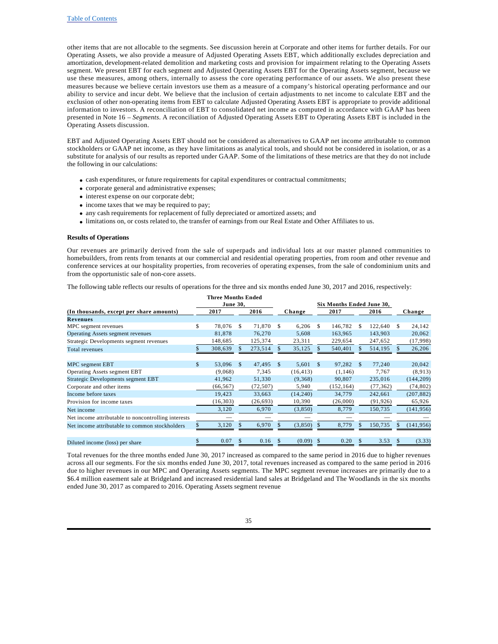other items that are not allocable to the segments. See discussion herein at Corporate and other items for further details. For our Operating Assets, we also provide a measure of Adjusted Operating Assets EBT, which additionally excludes depreciation and amortization, development-related demolition and marketing costs and provision for impairment relating to the Operating Assets segment. We present EBT for each segment and Adjusted Operating Assets EBT for the Operating Assets segment, because we use these measures, among others, internally to assess the core operating performance of our assets. We also present these measures because we believe certain investors use them as a measure of a company's historical operating performance and our ability to service and incur debt. We believe that the inclusion of certain adjustments to net income to calculate EBT and the exclusion of other non-operating items from EBT to calculate Adjusted Operating Assets EBT is appropriate to provide additional information to investors. A reconciliation of EBT to consolidated net income as computed in accordance with GAAP has been presented in Note 16 – *Segments*. A reconciliation of Adjusted Operating Assets EBT to Operating Assets EBT is included in the Operating Assets discussion.

EBT and Adjusted Operating Assets EBT should not be considered as alternatives to GAAP net income attributable to common stockholders or GAAP net income, as they have limitations as analytical tools, and should not be considered in isolation, or as a substitute for analysis of our results as reported under GAAP. Some of the limitations of these metrics are that they do not include the following in our calculations:

- · cash expenditures, or future requirements for capital expenditures or contractual commitments;
- · corporate general and administrative expenses;
- · interest expense on our corporate debt;
- · income taxes that we may be required to pay;
- · any cash requirements for replacement of fully depreciated or amortized assets; and
- · limitations on, or costs related to, the transfer of earnings from our Real Estate and Other Affiliates to us.

### **Results of Operations**

Our revenues are primarily derived from the sale of superpads and individual lots at our master planned communities to homebuilders, from rents from tenants at our commercial and residential operating properties, from room and other revenue and conference services at our hospitality properties, from recoveries of operating expenses, from the sale of condominium units and from the opportunistic sale of non-core assets.

The following table reflects our results of operations for the three and six months ended June 30, 2017 and 2016, respectively:

| <b>Three Months Ended</b>                           |               |                 |               |           |               |           |                           |            |               |           |     |            |
|-----------------------------------------------------|---------------|-----------------|---------------|-----------|---------------|-----------|---------------------------|------------|---------------|-----------|-----|------------|
|                                                     |               | <b>June 30,</b> |               |           |               |           | Six Months Ended June 30, |            |               |           |     |            |
| (In thousands, except per share amounts)            |               | 2017            |               | 2016      |               | Change    | 2017                      |            | 2016          |           |     | Change     |
| Revenues                                            |               |                 |               |           |               |           |                           |            |               |           |     |            |
| MPC segment revenues                                | \$            | 78,076          | \$.           | 71,870    | \$.           | 6,206     | \$                        | 146,782    | S             | 122,640   | \$. | 24,142     |
| Operating Assets segment revenues                   |               | 81,878          |               | 76,270    |               | 5,608     |                           | 163,965    |               | 143,903   |     | 20,062     |
| Strategic Developments segment revenues             |               | 148,685         |               | 125,374   |               | 23,311    |                           | 229,654    |               | 247,652   |     | (17,998)   |
| Total revenues                                      |               | 308,639         |               | 273,514   |               | 35,125    |                           | 540,401    |               | 514,195   |     | 26,206     |
|                                                     |               |                 |               |           |               |           |                           |            |               |           |     |            |
| MPC segment EBT                                     | $\mathcal{S}$ | 53,096          | $\mathbb{S}$  | 47,495    | <sup>\$</sup> | 5,601     | $\mathcal{S}$             | 97,282     | <sup>\$</sup> | 77,240    |     | 20,042     |
| <b>Operating Assets segment EBT</b>                 |               | (9,068)         |               | 7,345     |               | (16, 413) |                           | (1, 146)   |               | 7,767     |     | (8,913)    |
| Strategic Developments segment EBT                  |               | 41,962          |               | 51,330    |               | (9,368)   |                           | 90,807     |               | 235,016   |     | (144, 209) |
| Corporate and other items                           |               | (66, 567)       |               | (72, 507) |               | 5,940     |                           | (152, 164) |               | (77, 362) |     | (74, 802)  |
| Income before taxes                                 |               | 19,423          |               | 33,663    |               | (14,240)  |                           | 34,779     |               | 242,661   |     | (207, 882) |
| Provision for income taxes                          |               | (16, 303)       |               | (26, 693) |               | 10,390    |                           | (26,000)   |               | (91, 926) |     | 65,926     |
| Net income                                          |               | 3,120           |               | 6,970     |               | (3,850)   |                           | 8,779      |               | 150,735   |     | (141, 956) |
| Net income attributable to noncontrolling interests |               |                 |               |           |               |           |                           |            |               |           |     |            |
| Net income attributable to common stockholders      |               | 3,120           | <sup>\$</sup> | 6,970     | \$.           | (3,850)   | -S                        | 8,779      |               | 150,735   |     | (141, 956) |
|                                                     |               | 0.07            | <sup>\$</sup> | 0.16      | <b>S</b>      | (0.09)    |                           | 0.20       |               | 3.53      | S.  | (3.33)     |
| Diluted income (loss) per share                     |               |                 |               |           |               |           |                           |            |               |           |     |            |

Total revenues for the three months ended June 30, 2017 increased as compared to the same period in 2016 due to higher revenues across all our segments. For the six months ended June 30, 2017, total revenues increased as compared to the same period in 2016 due to higher revenues in our MPC and Operating Assets segments. The MPC segment revenue increases are primarily due to a \$6.4 million easement sale at Bridgeland and increased residential land sales at Bridgeland and The Woodlands in the six months ended June 30, 2017 as compared to 2016. Operating Assets segment revenue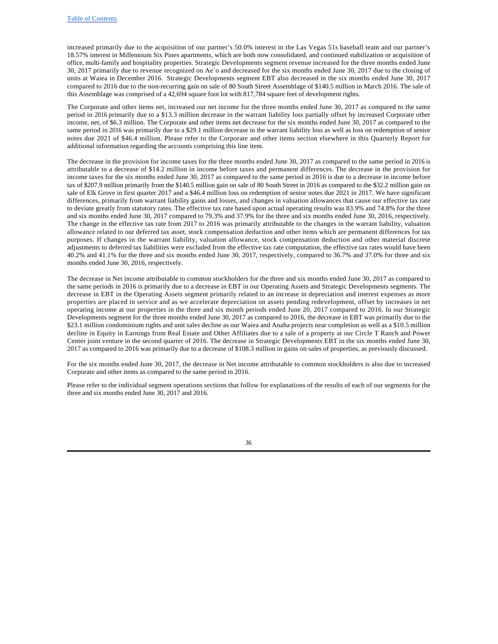increased primarily due to the acquisition of our partner's 50.0% interest in the Las Vegas 51s baseball team and our partner's 18.57% interest in Millennium Six Pines apartments, which are both now consolidated, and continued stabilization or acquisition of office, multi-family and hospitality properties. Strategic Developments segment revenue increased for the three months ended June 30, 2017 primarily due to revenue recognized on Ae`o and decreased for the six months ended June 30, 2017 due to the closing of units at Waiea in December 2016. Strategic Developments segment EBT also decreased in the six months ended June 30, 2017 compared to 2016 due to the non-recurring gain on sale of 80 South Street Assemblage of \$140.5 million in March 2016. The sale of this Assemblage was comprised of a 42,694 square foot lot with 817,784 square feet of development rights.

The Corporate and other items net, increased our net income for the three months ended June 30, 2017 as compared to the same period in 2016 primarily due to a \$13.3 million decrease in the warrant liability loss partially offset by increased Corporate other income, net, of \$6.3 million. The Corporate and other items net decrease for the six months ended June 30, 2017 as compared to the same period in 2016 was primarily due to a \$29.1 million decrease in the warrant liability loss as well as loss on redemption of senior notes due 2021 of \$46.4 million. Please refer to the Corporate and other items section elsewhere in this Quarterly Report for additional information regarding the accounts comprising this line item.

The decrease in the provision for income taxes for the three months ended June 30, 2017 as compared to the same period in 2016 is attributable to a decrease of \$14.2 million in income before taxes and permanent differences. The decrease in the provision for income taxes for the six months ended June 30, 2017 as compared to the same period in 2016 is due to a decrease in income before tax of \$207.9 million primarily from the \$140.5 million gain on sale of 80 South Street in 2016 as compared to the \$32.2 million gain on sale of Elk Grove in first quarter 2017 and a \$46.4 million loss on redemption of senior notes due 2021 in 2017. We have significant differences, primarily from warrant liability gains and losses, and changes in valuation allowances that cause our effective tax rate to deviate greatly from statutory rates. The effective tax rate based upon actual operating results was 83.9% and 74.8% for the three and six months ended June 30, 2017 compared to 79.3% and 37.9% for the three and six months ended June 30, 2016, respectively. The change in the effective tax rate from 2017 to 2016 was primarily attributable to the changes in the warrant liability, valuation allowance related to our deferred tax asset, stock compensation deduction and other items which are permanent differences for tax purposes. If changes in the warrant liability, valuation allowance, stock compensation deduction and other material discrete adjustments to deferred tax liabilities were excluded from the effective tax rate computation, the effective tax rates would have been 40.2% and 41.1% for the three and six months ended June 30, 2017, respectively, compared to 36.7% and 37.0% for three and six months ended June 30, 2016, respectively.

The decrease in Net income attributable to common stockholders for the three and six months ended June 30, 2017 as compared to the same periods in 2016 is primarily due to a decrease in EBT in our Operating Assets and Strategic Developments segments. The decrease in EBT in the Operating Assets segment primarily related to an increase in depreciation and interest expenses as more properties are placed in service and as we accelerate depreciation on assets pending redevelopment, offset by increases in net operating income at our properties in the three and six month periods ended June 20, 2017 compared to 2016. In our Strategic Developments segment for the three months ended June 30, 2017 as compared to 2016, the decrease in EBT was primarily due to the \$23.1 million condominium rights and unit sales decline as our Waiea and Anaha projects near completion as well as a \$10.5 million decline in Equity in Earnings from Real Estate and Other Affiliates due to a sale of a property at our Circle T Ranch and Power Center joint venture in the second quarter of 2016. The decrease in Strategic Developments EBT in the six months ended June 30, 2017 as compared to 2016 was primarily due to a decrease of \$108.3 million in gains on sales of properties, as previously discussed.

For the six months ended June 30, 2017, the decrease in Net income attributable to common stockholders is also due to increased Corporate and other items as compared to the same period in 2016.

Please refer to the individual segment operations sections that follow for explanations of the results of each of our segments for the three and six months ended June 30, 2017 and 2016.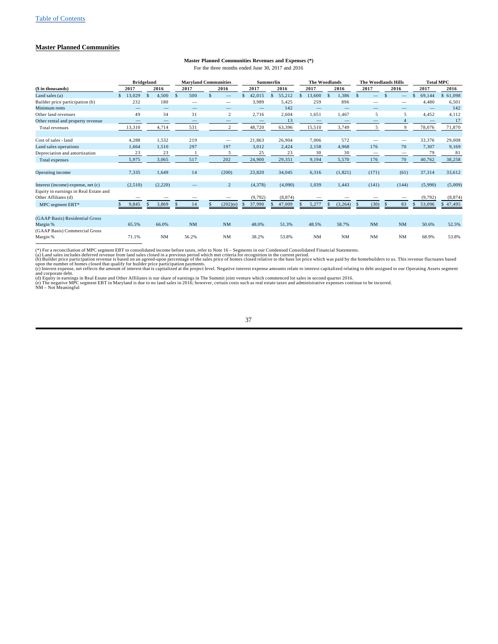# **Master Planned Communities**

# **Master Planned Communities Revenues and Expenses (\*)**

For the three months ended June 30, 2017 and 2016

|                                       |    | <b>Bridgeland</b> |               |           | <b>Maryland Communities</b> |           |  | Summerlin      |  |          | <b>The Woodlands</b> |          |  |           | <b>The Woodlands Hills</b> |           |  |           | <b>Total MPC</b> |                          |  |          |              |
|---------------------------------------|----|-------------------|---------------|-----------|-----------------------------|-----------|--|----------------|--|----------|----------------------|----------|--|-----------|----------------------------|-----------|--|-----------|------------------|--------------------------|--|----------|--------------|
| (\$ in thousands)                     |    | 2017              |               | 2016      |                             | 2017      |  | 2016           |  | 2017     |                      | 2016     |  | 2017      |                            | 2016      |  | 2017      |                  | 2016                     |  | 2017     | 2016         |
| Land sales $(a)$                      | \$ | 13.029            | $\mathcal{S}$ | 4,500     | $\mathbf{s}$                | 500       |  |                |  | 42,015   |                      | 55,212   |  | 13,600    |                            | 1,386     |  |           |                  |                          |  | 69,144   | 61,098<br>\$ |
| Builder price participation (b)       |    | 232               |               | 180       |                             |           |  |                |  | 3,989    |                      | 5,425    |  | 259       |                            | 896       |  |           |                  | —                        |  | 4.480    | 6,501        |
| Minimum rents                         |    |                   |               |           |                             |           |  |                |  |          |                      | 142      |  |           |                            |           |  |           |                  |                          |  |          | 142          |
| Other land revenues                   |    | 49                |               | 34        |                             | 31        |  | $\overline{c}$ |  | 2,716    |                      | 2,604    |  | 1.651     |                            | 1,467     |  | 5         |                  | 5                        |  | 4,452    | 4,112        |
| Other rental and property revenue     |    |                   |               |           |                             |           |  |                |  |          |                      | 13       |  |           |                            |           |  |           |                  |                          |  |          | 17           |
| Total revenues                        |    | 13,310            |               | 4,714     |                             | 531       |  | $\overline{c}$ |  | 48,720   |                      | 63,396   |  | 15,510    |                            | 3,749     |  |           |                  | 9                        |  | 78,076   | 71,870       |
|                                       |    |                   |               |           |                             |           |  |                |  |          |                      |          |  |           |                            |           |  |           |                  |                          |  |          |              |
| Cost of sales - land                  |    | 4,288             |               | 1,532     |                             | 219       |  |                |  | 21,863   |                      | 26.904   |  | 7,006     |                            | 572       |  |           |                  | $\qquad \qquad$          |  | 33,376   | 29,008       |
| Land sales operations                 |    | 1,664             |               | 1,510     |                             | 297       |  | 197            |  | 3,012    |                      | 2,424    |  | 2,158     |                            | 4,968     |  | 176       |                  | 70                       |  | 7,307    | 9,169        |
| Depreciation and amortization         |    | 23                |               | 23        |                             |           |  | 5              |  | 25       |                      | 23       |  | 30        |                            | 30        |  |           |                  | $\overline{\phantom{a}}$ |  | 79       | 81           |
| Total expenses                        |    | 5,975             |               | 3,065     |                             | 517       |  | 202            |  | 24,900   |                      | 29,351   |  | 9,194     |                            | 5,570     |  | 176       |                  | 70                       |  | 40,762   | 38,258       |
|                                       |    |                   |               |           |                             |           |  |                |  |          |                      |          |  |           |                            |           |  |           |                  |                          |  |          |              |
| Operating income                      |    | 7,335             |               | 1,649     |                             | 14        |  | (200)          |  | 23,820   |                      | 34,045   |  | 6,316     |                            | (1,821)   |  | (171)     |                  | (61)                     |  | 37,314   | 33,612       |
|                                       |    |                   |               |           |                             |           |  |                |  |          |                      |          |  |           |                            |           |  |           |                  |                          |  |          |              |
| Interest (income) expense, net (c)    |    | (2,510)           |               | (2,220)   |                             |           |  | $\overline{c}$ |  | (4,378)  |                      | (4,090)  |  | 1,039     |                            | 1,443     |  | (141)     |                  | (144)                    |  | (5,990)  | (5,009)      |
| Equity in earnings in Real Estate and |    |                   |               |           |                             |           |  |                |  |          |                      |          |  |           |                            |           |  |           |                  |                          |  |          |              |
| Other Affiliates (d)                  |    |                   |               |           |                             |           |  |                |  | (9, 792) |                      | (8, 874) |  |           |                            |           |  |           |                  |                          |  | (9, 792) | (8, 874)     |
| MPC segment EBT*                      |    | 9,845             | -8            | 3,869     |                             | 14        |  | (202)(e)       |  | 37,990   |                      | 47,009   |  | 5,277     |                            | (3,264)   |  | (30)      |                  | 83                       |  | 53,096   | 47,495<br>S  |
|                                       |    |                   |               |           |                             |           |  |                |  |          |                      |          |  |           |                            |           |  |           |                  |                          |  |          |              |
| (GAAP Basis) Residential Gross        |    |                   |               |           |                             |           |  |                |  |          |                      |          |  |           |                            |           |  |           |                  |                          |  |          |              |
| Margin %                              |    | 65.5%             |               | 66.0%     |                             | <b>NM</b> |  | NM             |  | 48.0%    |                      | 51.3%    |  | 48.5%     |                            | 58.7%     |  | <b>NM</b> |                  | <b>NM</b>                |  | 50.6%    | 52.5%        |
| (GAAP Basis) Commercial Gross         |    |                   |               |           |                             |           |  |                |  |          |                      |          |  |           |                            |           |  |           |                  |                          |  |          |              |
| Margin %                              |    | 71.1%             |               | <b>NM</b> |                             | 56.2%     |  | <b>NM</b>      |  | 38.2%    |                      | 53.8%    |  | <b>NM</b> |                            | <b>NM</b> |  | <b>NM</b> |                  | <b>NM</b>                |  | 68.9%    | 53.8%        |

(\*) For a reconciliation of MPC segment EBT in consolidated income before taxes, refer to Note 16 – Segments in our Condensed Consolidated Financial Statements.<br>(a) Land sales includes deferred revenue from land sales clos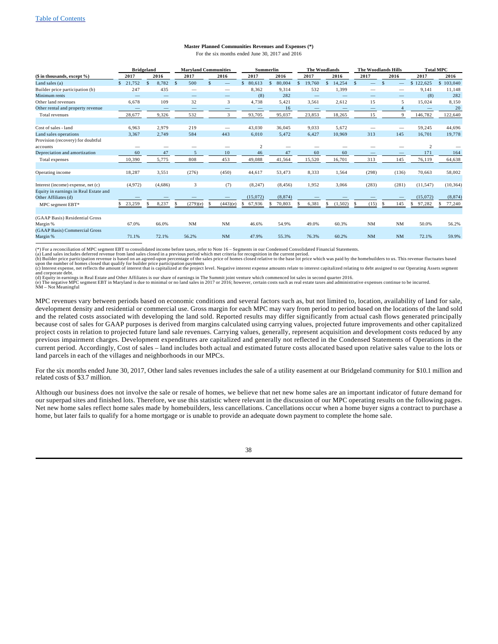# **Master Planned Communities Revenues and Expenses (\*)**

For the six months ended June 30, 2017 and 2016

|                                                               | <b>Bridgeland</b> |                        |                      | <b>Maryland Communities</b><br><b>Summerlin</b><br><b>The Woodlands</b> |          |                         |        | <b>The Woodlands Hills</b> | <b>Total MPC</b> |       |                         |                         |
|---------------------------------------------------------------|-------------------|------------------------|----------------------|-------------------------------------------------------------------------|----------|-------------------------|--------|----------------------------|------------------|-------|-------------------------|-------------------------|
| (\$ in thousands, except %)                                   | 2017              | 2016                   | 2017                 | 2016                                                                    | 2017     | 2016                    | 2017   | 2016                       | 2017             | 2016  | 2017                    | 2016                    |
| Land sales (a)                                                | \$21,752          | 8.782<br>$\mathcal{S}$ | 500<br><sup>\$</sup> | \$                                                                      | 80.613   | 80,004<br>$\mathcal{S}$ | 19,760 | 14,254<br>$\mathbf{s}$     |                  |       | \$122,625               | 103,040<br>$\mathbf{s}$ |
| Builder price participation (b)                               | 247               | 435                    |                      |                                                                         | 8,362    | 9,314                   | 532    | 1,399                      |                  |       | 9,141                   | 11,148                  |
| Minimum rents                                                 |                   |                        |                      |                                                                         | (8)      | 282                     | -      |                            |                  |       | (8)                     | 282                     |
| Other land revenues                                           | 6,678             | 109                    | 32                   | 3                                                                       | 4,738    | 5,421                   | 3,561  | 2,612                      | 15               | 5     | 15,024                  | 8,150                   |
| Other rental and property revenue                             |                   |                        |                      |                                                                         |          | 16                      |        |                            |                  |       |                         | 20                      |
| Total revenues                                                | 28,677            | 9,326                  | 532                  | 3                                                                       | 93,705   | 95,037                  | 23,853 | 18,265                     | 15               | 9     | 146,782                 | 122,640                 |
| Cost of sales - land                                          | 6,963             | 2,979                  | 219                  | -                                                                       | 43,030   | 36,045                  | 9,033  | 5,672                      |                  | –     | 59,245                  | 44,696                  |
| Land sales operations                                         | 3,367             | 2.749                  | 584                  | 443                                                                     | 6,010    | 5,472                   | 6,427  | 10,969                     | 313              | 145   | 16,701                  | 19,778                  |
| Provision (recovery) for doubtful<br>accounts                 |                   |                        |                      |                                                                         | 2        |                         |        |                            |                  |       | $\overline{\mathbf{c}}$ |                         |
| Depreciation and amortization                                 | 60                | 47                     | 5                    | 10                                                                      | 46       | 47                      | 60     | 60                         |                  | -     | 171                     | 164                     |
| Total expenses                                                | 10,390            | 5,775                  | 808                  | 453                                                                     | 49,088   | 41,564                  | 15,520 | 16,701                     | 313              | 145   | 76,119                  | 64,638                  |
| Operating income                                              | 18,287            | 3,551                  | (276)                | (450)                                                                   | 44,617   | 53,473                  | 8,333  | 1,564                      | (298)            | (136) | 70,663                  | 58,002                  |
| Interest (income) expense, net (c)                            | (4,972)           | (4,686)                | 3                    | (7)                                                                     | (8, 247) | (8, 456)                | 1,952  | 3,066                      | (283)            | (281) | (11, 547)               | (10, 364)               |
| Equity in earnings in Real Estate and<br>Other Affiliates (d) |                   |                        |                      |                                                                         | (15,072) | (8, 874)                |        |                            |                  |       | (15,072)                | (8, 874)                |
| MPC segment EBT*                                              | 23,259            | 8,237                  | (279)(e)             | (443)(e)                                                                | 67,936   | 70,803                  | 6,381  | (1, 502)                   | (15)             | 145   | 97,282                  | 77,240                  |
| (GAAP Basis) Residential Gross<br>Margin %                    | 67.0%             | 66.0%                  | <b>NM</b>            | NM                                                                      | 46.6%    | 54.9%                   | 49.0%  | 60.3%                      | NM               | NM    | 50.0%                   | 56.2%                   |
| (GAAP Basis) Commercial Gross<br>Margin %                     | 71.1%             | 72.1%                  | 56.2%                | NM                                                                      | 47.9%    | 55.3%                   | 76.3%  | 60.2%                      | NM               | NM    | 72.1%                   | 59.9%                   |

(\*) For a reconciliation of MPC segment EBT to consolidated income before taxes, refer to Note 16 – Segments in our Condensed Consolidated Financial Statements.<br>(a) Land sales includes deferred revenue from land sales clos

(d) Equity in earnings in Real Estate and Other Affiliates is our share of earnings in The Summit joint venture which commenced lot sales in second quarter 2016.<br>(e) The negative MPC segment EBT in Maryland is due to minim

MPC revenues vary between periods based on economic conditions and several factors such as, but not limited to, location, availability of land for sale, development density and residential or commercial use. Gross margin for each MPC may vary from period to period based on the locations of the land sold and the related costs associated with developing the land sold. Reported results may differ significantly from actual cash flows generated principally because cost of sales for GAAP purposes is derived from margins calculated using carrying values, projected future improvements and other capitalized project costs in relation to projected future land sale revenues. Carrying values, generally, represent acquisition and development costs reduced by any previous impairment charges. Development expenditures are capitalized and generally not reflected in the Condensed Statements of Operations in the current period. Accordingly, Cost of sales – land includes both actual and estimated future costs allocated based upon relative sales value to the lots or land parcels in each of the villages and neighborhoods in our MPCs.

For the six months ended June 30, 2017, Other land sales revenues includes the sale of a utility easement at our Bridgeland community for \$10.1 million and related costs of \$3.7 million.

Although our business does not involve the sale or resale of homes, we believe that net new home sales are an important indicator of future demand for our superpad sites and finished lots. Therefore, we use this statistic where relevant in the discussion of our MPC operating results on the following pages. Net new home sales reflect home sales made by homebuilders, less cancellations. Cancellations occur when a home buyer signs a contract to purchase a home, but later fails to qualify for a home mortgage or is unable to provide an adequate down payment to complete the home sale.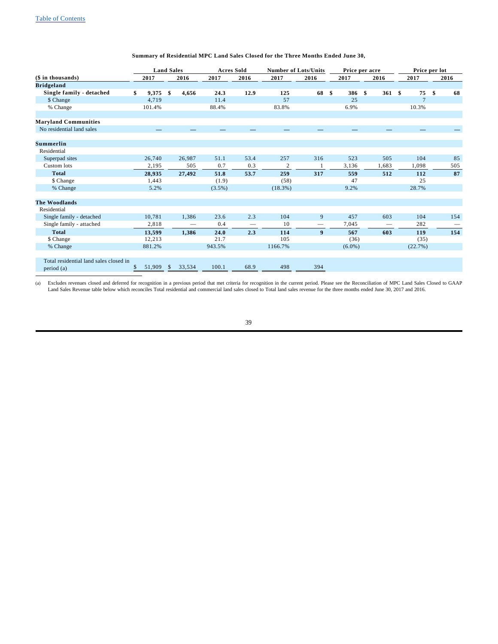**Summary of Residential MPC Land Sales Closed for the Three Months Ended June 30,**

|                                        |              | <b>Land Sales</b> |                                 |           | <b>Acres Sold</b> | <b>Number of Lots/Units</b> |                                 |             | Price per acre                  | Price per lot  |      |      |
|----------------------------------------|--------------|-------------------|---------------------------------|-----------|-------------------|-----------------------------|---------------------------------|-------------|---------------------------------|----------------|------|------|
| (\$ in thousands)                      | 2017         |                   | 2016                            | 2017      | 2016              | 2017                        | 2016                            | 2017        | 2016                            | 2017           |      | 2016 |
| <b>Bridgeland</b>                      |              |                   |                                 |           |                   |                             |                                 |             |                                 |                |      |      |
| Single family - detached               | \$<br>9,375  | \$                | 4,656                           | 24.3      | 12.9              | 125                         | 68                              | - \$<br>386 | - \$<br>361S                    | 75             | - \$ | 68   |
| \$ Change                              | 4,719        |                   |                                 | 11.4      |                   | 57                          |                                 | 25          |                                 | $\overline{7}$ |      |      |
| % Change                               | 101.4%       |                   |                                 | 88.4%     |                   | 83.8%                       |                                 | 6.9%        |                                 | 10.3%          |      |      |
|                                        |              |                   |                                 |           |                   |                             |                                 |             |                                 |                |      |      |
| <b>Maryland Communities</b>            |              |                   |                                 |           |                   |                             |                                 |             |                                 |                |      |      |
| No residential land sales              |              |                   |                                 |           |                   |                             |                                 |             |                                 |                |      |      |
|                                        |              |                   |                                 |           |                   |                             |                                 |             |                                 |                |      |      |
| <b>Summerlin</b>                       |              |                   |                                 |           |                   |                             |                                 |             |                                 |                |      |      |
| Residential                            |              |                   |                                 |           |                   |                             |                                 |             |                                 |                |      |      |
| Superpad sites                         | 26,740       |                   | 26,987                          | 51.1      | 53.4              | 257                         | 316                             | 523         | 505                             | 104            |      | 85   |
| Custom lots                            | 2,195        |                   | 505                             | 0.7       | 0.3               | $\overline{c}$              |                                 | 3,136       | 1,683                           | 1,098          |      | 505  |
| <b>Total</b>                           | 28,935       |                   | 27,492                          | 51.8      | 53.7              | 259                         | 317                             | 559         | 512                             | 112            |      | 87   |
| \$ Change                              | 1,443        |                   |                                 | (1.9)     |                   | (58)                        |                                 | 47          |                                 | 25             |      |      |
| % Change                               | 5.2%         |                   |                                 | $(3.5\%)$ |                   | (18.3%)                     |                                 | 9.2%        |                                 | 28.7%          |      |      |
|                                        |              |                   |                                 |           |                   |                             |                                 |             |                                 |                |      |      |
| The Woodlands                          |              |                   |                                 |           |                   |                             |                                 |             |                                 |                |      |      |
| Residential                            |              |                   |                                 |           |                   |                             |                                 |             |                                 |                |      |      |
| Single family - detached               | 10,781       |                   | 1,386                           | 23.6      | 2.3               | 104                         | 9                               | 457         | 603                             | 104            |      | 154  |
| Single family - attached               | 2,818        |                   | $\hspace{0.1mm}-\hspace{0.1mm}$ | 0.4       |                   | 10                          | $\hspace{0.1mm}-\hspace{0.1mm}$ | 7,045       | $\hspace{0.1mm}-\hspace{0.1mm}$ | 282            |      |      |
| <b>Total</b>                           | 13,599       |                   | 1,386                           | 24.0      | 2.3               | 114                         | 9                               | 567         | 603                             | 119            |      | 154  |
| \$ Change                              | 12,213       |                   |                                 | 21.7      |                   | 105                         |                                 | (36)        |                                 | (35)           |      |      |
| % Change                               | 881.2%       |                   |                                 | 943.5%    |                   | 1166.7%                     |                                 | $(6.0\%)$   |                                 | (22.7%)        |      |      |
|                                        |              |                   |                                 |           |                   |                             |                                 |             |                                 |                |      |      |
| Total residential land sales closed in |              |                   |                                 |           |                   |                             |                                 |             |                                 |                |      |      |
| period (a)                             | \$<br>51,909 | £.                | 33,534                          | 100.1     | 68.9              | 498                         | 394                             |             |                                 |                |      |      |

Excludes revenues closed and deferred for recognition in a previous period that met criteria for recognition in the current period. Please see the Reconciliation of MPC Land Sales Closed to GAAP<br>Land Sales Revenue table be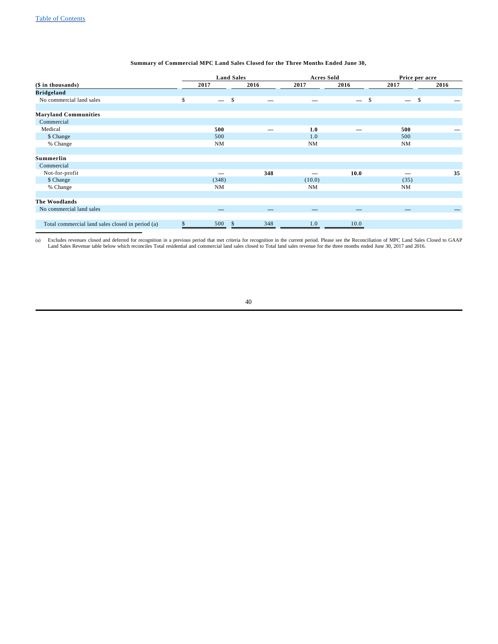# **Summary of Commercial MPC Land Sales Closed for the Three Months Ended June 30,**

|                                                  | <b>Land Sales</b>              |           |           | <b>Acres Sold</b> | Price per acre |      |  |  |
|--------------------------------------------------|--------------------------------|-----------|-----------|-------------------|----------------|------|--|--|
| (\$ in thousands)                                | 2017                           | 2016      | 2017      | 2016              | 2017           | 2016 |  |  |
| <b>Bridgeland</b>                                |                                |           |           |                   |                |      |  |  |
| No commercial land sales                         | \$<br>$\overline{\phantom{m}}$ | \$        |           |                   | $\mathbb{S}$   | \$   |  |  |
| <b>Maryland Communities</b>                      |                                |           |           |                   |                |      |  |  |
| Commercial                                       |                                |           |           |                   |                |      |  |  |
| Medical                                          | 500                            | –         | 1.0       | -                 | 500            |      |  |  |
| \$ Change                                        | 500                            |           | 1.0       |                   | 500            |      |  |  |
| % Change                                         | <b>NM</b>                      |           | $\rm{NM}$ |                   | <b>NM</b>      |      |  |  |
| Summerlin                                        |                                |           |           |                   |                |      |  |  |
| Commercial                                       |                                |           |           |                   |                |      |  |  |
| Not-for-profit                                   |                                | 348       |           | 10.0              |                | 35   |  |  |
| \$ Change                                        | (348)                          |           | (10.0)    |                   | (35)           |      |  |  |
| % Change                                         | <b>NM</b>                      |           | <b>NM</b> |                   | <b>NM</b>      |      |  |  |
|                                                  |                                |           |           |                   |                |      |  |  |
| The Woodlands                                    |                                |           |           |                   |                |      |  |  |
| No commercial land sales                         |                                |           |           |                   |                |      |  |  |
| Total commercial land sales closed in period (a) | \$<br>500                      | 348<br>\$ | 1.0       | 10.0              |                |      |  |  |

(a) Excludes revenues closed and deferred for recognition in a previous period that met criteria for recognition in the current period. Please see the Reconciliation of MPC Land Sales Closed to GAAP Land Sales Revenue table below which reconciles Total residential and commercial land sales closed to Total land sales revenue for the three months ended June 30, 2017 and 2016.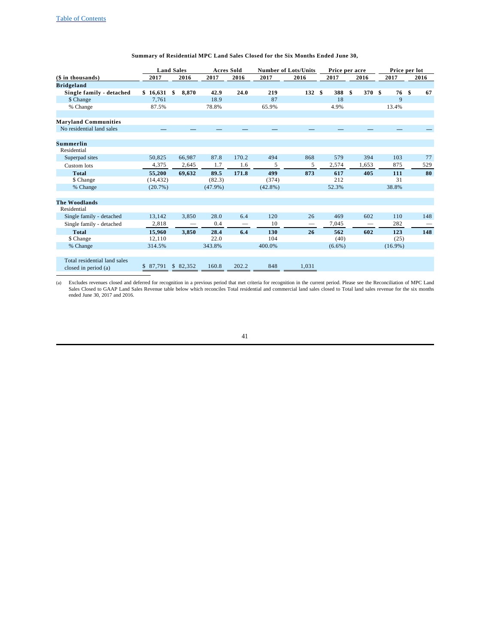# **Summary of Residential MPC Land Sales Closed for the Six Months Ended June 30,**

|                              | <b>Land Sales</b><br><b>Acres Sold</b><br><b>Number of Lots/Units</b> |             |            |                 | Price per acre |                                 | Price per lot |              |            |      |
|------------------------------|-----------------------------------------------------------------------|-------------|------------|-----------------|----------------|---------------------------------|---------------|--------------|------------|------|
| (\$ in thousands)            | 2017                                                                  | 2016        | 2017       | 2016            | 2017           | 2016                            | 2017          | 2016         | 2017       | 2016 |
| <b>Bridgeland</b>            |                                                                       |             |            |                 |                |                                 |               |              |            |      |
| Single family - detached     | \$16,631                                                              | \$<br>8,870 | 42.9       | 24.0            | 219            | 132S                            | 388           | 370 \$<br>\$ | 76 \$      | 67   |
| \$ Change                    | 7,761                                                                 |             | 18.9       |                 | 87             |                                 | 18            |              | 9          |      |
| % Change                     | 87.5%                                                                 |             | 78.8%      |                 | 65.9%          |                                 | 4.9%          |              | 13.4%      |      |
|                              |                                                                       |             |            |                 |                |                                 |               |              |            |      |
| <b>Maryland Communities</b>  |                                                                       |             |            |                 |                |                                 |               |              |            |      |
| No residential land sales    |                                                                       |             |            |                 |                |                                 |               |              |            |      |
|                              |                                                                       |             |            |                 |                |                                 |               |              |            |      |
| <b>Summerlin</b>             |                                                                       |             |            |                 |                |                                 |               |              |            |      |
| Residential                  |                                                                       |             |            |                 |                |                                 |               |              |            |      |
| Superpad sites               | 50,825                                                                | 66,987      | 87.8       | 170.2           | 494            | 868                             | 579           | 394          | 103        | 77   |
| Custom lots                  | 4,375                                                                 | 2,645       | 1.7        | 1.6             | 5              | 5                               | 2,574         | 1,653        | 875        | 529  |
| <b>Total</b>                 | 55,200                                                                | 69,632      | 89.5       | 171.8           | 499            | 873                             | 617           | 405          | 111        | 80   |
| \$ Change                    | (14, 432)                                                             |             | (82.3)     |                 | (374)          |                                 | 212           |              | 31         |      |
| % Change                     | (20.7%)                                                               |             | $(47.9\%)$ |                 | $(42.8\%)$     |                                 | 52.3%         |              | 38.8%      |      |
|                              |                                                                       |             |            |                 |                |                                 |               |              |            |      |
| The Woodlands                |                                                                       |             |            |                 |                |                                 |               |              |            |      |
| Residential                  |                                                                       |             |            |                 |                |                                 |               |              |            |      |
| Single family - detached     | 13,142                                                                | 3,850       | 28.0       | 6.4             | 120            | 26                              | 469           | 602          | 110        | 148  |
| Single family - detached     | 2,818                                                                 |             | 0.4        | $\qquad \qquad$ | 10             | $\hspace{0.1mm}-\hspace{0.1mm}$ | 7,045         |              | 282        |      |
| <b>Total</b>                 | 15,960                                                                | 3,850       | 28.4       | 6.4             | 130            | 26                              | 562           | 602          | 123        | 148  |
| \$ Change                    | 12,110                                                                |             | 22.0       |                 | 104            |                                 | (40)          |              | (25)       |      |
| % Change                     | 314.5%                                                                |             | 343.8%     |                 | 400.0%         |                                 | $(6.6\%)$     |              | $(16.9\%)$ |      |
|                              |                                                                       |             |            |                 |                |                                 |               |              |            |      |
| Total residential land sales |                                                                       |             |            |                 |                |                                 |               |              |            |      |
| closed in period (a)         | \$87,791                                                              | \$ 82,352   | 160.8      | 202.2           | 848            | 1.031                           |               |              |            |      |
|                              |                                                                       |             |            |                 |                |                                 |               |              |            |      |

(a) Excludes revenues closed and deferred for recognition in a previous period that met criteria for recognition in the current period. Please see the Reconciliation of MPC Land Sales Closed to GAAP Land Sales Revenue table below which reconciles Total residential and commercial land sales closed to Total land sales revenue for the six months ended June 30, 2017 and 2016.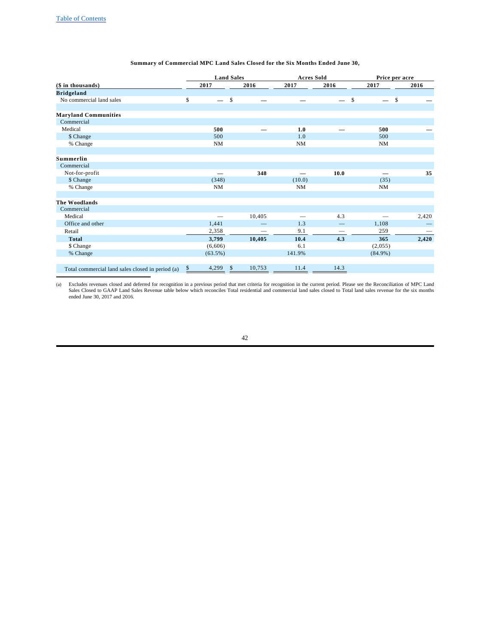# **Summary of Commercial MPC Land Sales Closed for the Six Months Ended June 30,**

|                                                  |             | <b>Land Sales</b>       |        | <b>Acres Sold</b> |            | Price per acre |
|--------------------------------------------------|-------------|-------------------------|--------|-------------------|------------|----------------|
| (\$ in thousands)                                | 2017        | 2016                    | 2017   | 2016              | 2017       | 2016           |
| <b>Bridgeland</b>                                |             |                         |        |                   |            |                |
| No commercial land sales                         | \$          | \$                      |        |                   | \$         | \$             |
|                                                  |             |                         |        |                   |            |                |
| <b>Maryland Communities</b>                      |             |                         |        |                   |            |                |
| Commercial                                       |             |                         |        |                   |            |                |
| Medical                                          | 500         |                         | 1.0    |                   | 500        |                |
| \$ Change                                        | 500         |                         | 1.0    |                   | 500        |                |
| % Change                                         | NM          |                         | NM     |                   | <b>NM</b>  |                |
|                                                  |             |                         |        |                   |            |                |
| Summerlin                                        |             |                         |        |                   |            |                |
| Commercial                                       |             |                         |        |                   |            |                |
| Not-for-profit                                   |             | 348                     |        | 10.0              |            | 35             |
| \$ Change                                        | (348)       |                         | (10.0) |                   | (35)       |                |
| % Change                                         | NM          |                         | NM     |                   | NM         |                |
|                                                  |             |                         |        |                   |            |                |
| The Woodlands                                    |             |                         |        |                   |            |                |
| Commercial                                       |             |                         |        |                   |            |                |
| Medical                                          |             | 10,405                  | -      | 4.3               |            | 2,420          |
| Office and other                                 | 1,441       |                         | 1.3    |                   | 1,108      |                |
| Retail                                           | 2,358       |                         | 9.1    |                   | 259        |                |
| <b>Total</b>                                     | 3,799       | 10,405                  | 10.4   | 4.3               | 365        | 2,420          |
| \$ Change                                        | (6,606)     |                         | 6.1    |                   | (2,055)    |                |
| % Change                                         | $(63.5\%)$  |                         | 141.9% |                   | $(84.9\%)$ |                |
|                                                  |             |                         |        |                   |            |                |
| Total commercial land sales closed in period (a) | 4,299<br>\$ | 10,753<br><sup>\$</sup> | 11.4   | 14.3              |            |                |

(a) Excludes revenues closed and deferred for recognition in a previous period that met criteria for recognition in the current period. Please see the Reconciliation of MPC Land Sales Closed to GAAP Land Sales Revenue tabl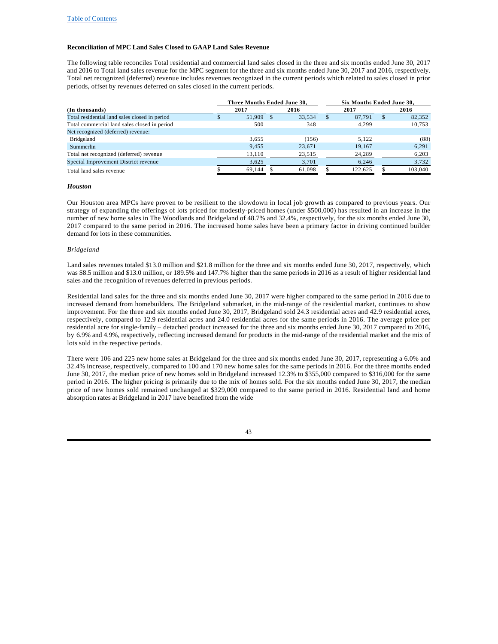# **Reconciliation of MPC Land Sales Closed to GAAP Land Sales Revenue**

The following table reconciles Total residential and commercial land sales closed in the three and six months ended June 30, 2017 and 2016 to Total land sales revenue for the MPC segment for the three and six months ended June 30, 2017 and 2016, respectively. Total net recognized (deferred) revenue includes revenues recognized in the current periods which related to sales closed in prior periods, offset by revenues deferred on sales closed in the current periods.

|                                               |      | Three Months Ended June 30, |        | Six Months Ended June 30, |         |  |         |  |
|-----------------------------------------------|------|-----------------------------|--------|---------------------------|---------|--|---------|--|
| (In thousands)                                | 2017 |                             | 2016   |                           | 2017    |  | 2016    |  |
| Total residential land sales closed in period |      | 51,909                      | 33.534 |                           | 87.791  |  | 82,352  |  |
| Total commercial land sales closed in period  |      | 500                         | 348    |                           | 4.299   |  | 10.753  |  |
| Net recognized (deferred) revenue:            |      |                             |        |                           |         |  |         |  |
| Bridgeland                                    |      | 3,655                       | (156)  |                           | 5.122   |  | (88)    |  |
| Summerlin                                     |      | 9,455                       | 23,671 |                           | 19,167  |  | 6,291   |  |
| Total net recognized (deferred) revenue       |      | 13.110                      | 23,515 |                           | 24,289  |  | 6,203   |  |
| Special Improvement District revenue          |      | 3,625                       | 3,701  |                           | 6.246   |  | 3,732   |  |
| Total land sales revenue                      |      | 69,144                      | 61,098 |                           | 122.625 |  | 103,040 |  |

### *Houston*

Our Houston area MPCs have proven to be resilient to the slowdown in local job growth as compared to previous years. Our strategy of expanding the offerings of lots priced for modestly-priced homes (under \$500,000) has resulted in an increase in the number of new home sales in The Woodlands and Bridgeland of 48.7% and 32.4%, respectively, for the six months ended June 30, 2017 compared to the same period in 2016. The increased home sales have been a primary factor in driving continued builder demand for lots in these communities.

### *Bridgeland*

Land sales revenues totaled \$13.0 million and \$21.8 million for the three and six months ended June 30, 2017, respectively, which was \$8.5 million and \$13.0 million, or 189.5% and 147.7% higher than the same periods in 2016 as a result of higher residential land sales and the recognition of revenues deferred in previous periods.

Residential land sales for the three and six months ended June 30, 2017 were higher compared to the same period in 2016 due to increased demand from homebuilders. The Bridgeland submarket, in the mid-range of the residential market, continues to show improvement. For the three and six months ended June 30, 2017, Bridgeland sold 24.3 residential acres and 42.9 residential acres, respectively, compared to 12.9 residential acres and 24.0 residential acres for the same periods in 2016. The average price per residential acre for single-family – detached product increased for the three and six months ended June 30, 2017 compared to 2016, by 6.9% and 4.9%, respectively, reflecting increased demand for products in the mid-range of the residential market and the mix of lots sold in the respective periods.

There were 106 and 225 new home sales at Bridgeland for the three and six months ended June 30, 2017, representing a 6.0% and 32.4% increase, respectively, compared to 100 and 170 new home sales for the same periods in 2016. For the three months ended June 30, 2017, the median price of new homes sold in Bridgeland increased 12.3% to \$355,000 compared to \$316,000 for the same period in 2016. The higher pricing is primarily due to the mix of homes sold. For the six months ended June 30, 2017, the median price of new homes sold remained unchanged at \$329,000 compared to the same period in 2016. Residential land and home absorption rates at Bridgeland in 2017 have benefited from the wide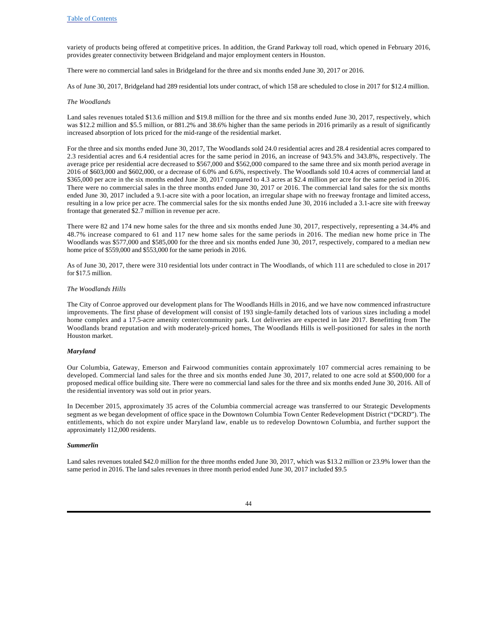variety of products being offered at competitive prices. In addition, the Grand Parkway toll road, which opened in February 2016, provides greater connectivity between Bridgeland and major employment centers in Houston.

There were no commercial land sales in Bridgeland for the three and six months ended June 30, 2017 or 2016.

As of June 30, 2017, Bridgeland had 289 residential lots under contract, of which 158 are scheduled to close in 2017 for \$12.4 million.

### *The Woodlands*

Land sales revenues totaled \$13.6 million and \$19.8 million for the three and six months ended June 30, 2017, respectively, which was \$12.2 million and \$5.5 million, or 881.2% and 38.6% higher than the same periods in 2016 primarily as a result of significantly increased absorption of lots priced for the mid-range of the residential market.

For the three and six months ended June 30, 2017, The Woodlands sold 24.0 residential acres and 28.4 residential acres compared to 2.3 residential acres and 6.4 residential acres for the same period in 2016, an increase of 943.5% and 343.8%, respectively. The average price per residential acre decreased to \$567,000 and \$562,000 compared to the same three and six month period average in 2016 of \$603,000 and \$602,000, or a decrease of 6.0% and 6.6%, respectively. The Woodlands sold 10.4 acres of commercial land at \$365,000 per acre in the six months ended June 30, 2017 compared to 4.3 acres at \$2.4 million per acre for the same period in 2016. There were no commercial sales in the three months ended June 30, 2017 or 2016. The commercial land sales for the six months ended June 30, 2017 included a 9.1-acre site with a poor location, an irregular shape with no freeway frontage and limited access, resulting in a low price per acre. The commercial sales for the six months ended June 30, 2016 included a 3.1-acre site with freeway frontage that generated \$2.7 million in revenue per acre.

There were 82 and 174 new home sales for the three and six months ended June 30, 2017, respectively, representing a 34.4% and 48.7% increase compared to 61 and 117 new home sales for the same periods in 2016. The median new home price in The Woodlands was \$577,000 and \$585,000 for the three and six months ended June 30, 2017, respectively, compared to a median new home price of \$559,000 and \$553,000 for the same periods in 2016.

As of June 30, 2017, there were 310 residential lots under contract in The Woodlands, of which 111 are scheduled to close in 2017 for \$17.5 million.

### *The Woodlands Hills*

The City of Conroe approved our development plans for The Woodlands Hills in 2016, and we have now commenced infrastructure improvements. The first phase of development will consist of 193 single-family detached lots of various sizes including a model home complex and a 17.5-acre amenity center/community park. Lot deliveries are expected in late 2017. Benefitting from The Woodlands brand reputation and with moderately-priced homes, The Woodlands Hills is well-positioned for sales in the north Houston market.

### *Maryland*

Our Columbia, Gateway, Emerson and Fairwood communities contain approximately 107 commercial acres remaining to be developed. Commercial land sales for the three and six months ended June 30, 2017, related to one acre sold at \$500,000 for a proposed medical office building site. There were no commercial land sales for the three and six months ended June 30, 2016. All of the residential inventory was sold out in prior years.

In December 2015, approximately 35 acres of the Columbia commercial acreage was transferred to our Strategic Developments segment as we began development of office space in the Downtown Columbia Town Center Redevelopment District ("DCRD"). The entitlements, which do not expire under Maryland law, enable us to redevelop Downtown Columbia, and further support the approximately 112,000 residents.

### *Summerlin*

Land sales revenues totaled \$42.0 million for the three months ended June 30, 2017, which was \$13.2 million or 23.9% lower than the same period in 2016. The land sales revenues in three month period ended June 30, 2017 included \$9.5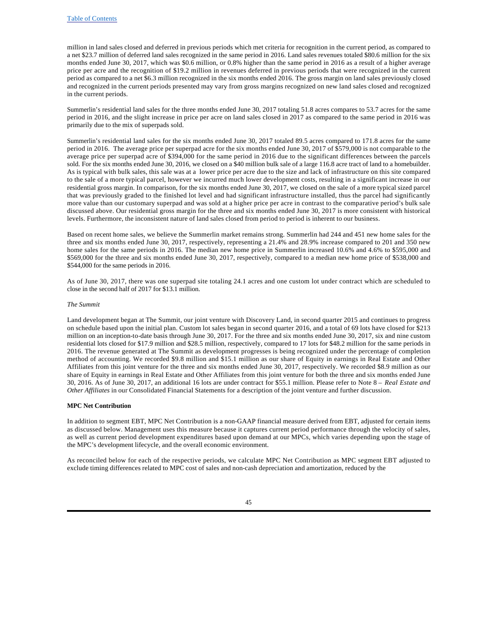million in land sales closed and deferred in previous periods which met criteria for recognition in the current period, as compared to a net \$23.7 million of deferred land sales recognized in the same period in 2016. Land sales revenues totaled \$80.6 million for the six months ended June 30, 2017, which was \$0.6 million, or 0.8% higher than the same period in 2016 as a result of a higher average price per acre and the recognition of \$19.2 million in revenues deferred in previous periods that were recognized in the current period as compared to a net \$6.3 million recognized in the six months ended 2016. The gross margin on land sales previously closed and recognized in the current periods presented may vary from gross margins recognized on new land sales closed and recognized in the current periods.

Summerlin's residential land sales for the three months ended June 30, 2017 totaling 51.8 acres compares to 53.7 acres for the same period in 2016, and the slight increase in price per acre on land sales closed in 2017 as compared to the same period in 2016 was primarily due to the mix of superpads sold.

Summerlin's residential land sales for the six months ended June 30, 2017 totaled 89.5 acres compared to 171.8 acres for the same period in 2016. The average price per superpad acre for the six months ended June 30, 2017 of \$579,000 is not comparable to the average price per superpad acre of \$394,000 for the same period in 2016 due to the significant differences between the parcels sold. For the six months ended June 30, 2016, we closed on a \$40 million bulk sale of a large 116.8 acre tract of land to a homebuilder. As is typical with bulk sales, this sale was at a lower price per acre due to the size and lack of infrastructure on this site compared to the sale of a more typical parcel, however we incurred much lower development costs, resulting in a significant increase in our residential gross margin. In comparison, for the six months ended June 30, 2017, we closed on the sale of a more typical sized parcel that was previously graded to the finished lot level and had significant infrastructure installed, thus the parcel had significantly more value than our customary superpad and was sold at a higher price per acre in contrast to the comparative period's bulk sale discussed above. Our residential gross margin for the three and six months ended June 30, 2017 is more consistent with historical levels. Furthermore, the inconsistent nature of land sales closed from period to period is inherent to our business.

Based on recent home sales, we believe the Summerlin market remains strong. Summerlin had 244 and 451 new home sales for the three and six months ended June 30, 2017, respectively, representing a 21.4% and 28.9% increase compared to 201 and 350 new home sales for the same periods in 2016. The median new home price in Summerlin increased 10.6% and 4.6% to \$595,000 and \$569,000 for the three and six months ended June 30, 2017, respectively, compared to a median new home price of \$538,000 and \$544,000 for the same periods in 2016.

As of June 30, 2017, there was one superpad site totaling 24.1 acres and one custom lot under contract which are scheduled to close in the second half of 2017 for \$13.1 million.

### *The Summit*

Land development began at The Summit, our joint venture with Discovery Land, in second quarter 2015 and continues to progress on schedule based upon the initial plan. Custom lot sales began in second quarter 2016, and a total of 69 lots have closed for \$213 million on an inception-to-date basis through June 30, 2017. For the three and six months ended June 30, 2017, six and nine custom residential lots closed for \$17.9 million and \$28.5 million, respectively, compared to 17 lots for \$48.2 million for the same periods in 2016. The revenue generated at The Summit as development progresses is being recognized under the percentage of completion method of accounting. We recorded \$9.8 million and \$15.1 million as our share of Equity in earnings in Real Estate and Other Affiliates from this joint venture for the three and six months ended June 30, 2017, respectively. We recorded \$8.9 million as our share of Equity in earnings in Real Estate and Other Affiliates from this joint venture for both the three and six months ended June 30, 2016. As of June 30, 2017, an additional 16 lots are under contract for \$55.1 million. Please refer to Note 8 – *Real Estate and Other Affiliates* in our Consolidated Financial Statements for a description of the joint venture and further discussion.

### **MPC Net Contribution**

In addition to segment EBT, MPC Net Contribution is a non-GAAP financial measure derived from EBT, adjusted for certain items as discussed below. Management uses this measure because it captures current period performance through the velocity of sales, as well as current period development expenditures based upon demand at our MPCs, which varies depending upon the stage of the MPC's development lifecycle, and the overall economic environment.

As reconciled below for each of the respective periods, we calculate MPC Net Contribution as MPC segment EBT adjusted to exclude timing differences related to MPC cost of sales and non-cash depreciation and amortization, reduced by the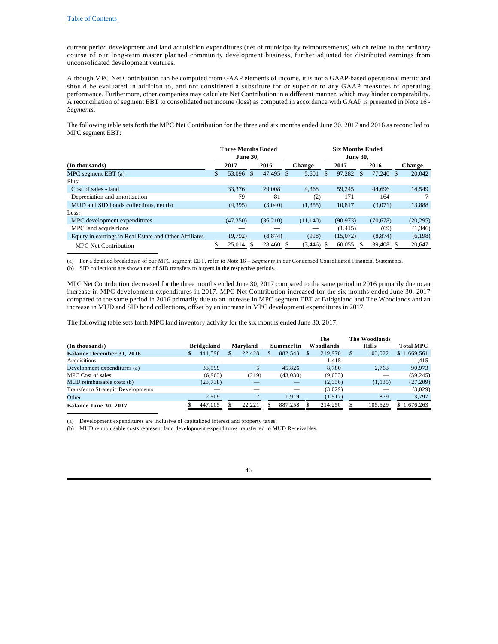current period development and land acquisition expenditures (net of municipality reimbursements) which relate to the ordinary course of our long-term master planned community development business, further adjusted for distributed earnings from unconsolidated development ventures.

Although MPC Net Contribution can be computed from GAAP elements of income, it is not a GAAP-based operational metric and should be evaluated in addition to, and not considered a substitute for or superior to any GAAP measures of operating performance. Furthermore, other companies may calculate Net Contribution in a different manner, which may hinder comparability. A reconciliation of segment EBT to consolidated net income (loss) as computed in accordance with GAAP is presented in Note 16 - *Segments*.

The following table sets forth the MPC Net Contribution for the three and six months ended June 30, 2017 and 2016 as reconciled to MPC segment EBT:

|                                                        | <b>Three Months Ended</b><br><b>June 30.</b> |           |    |          |               | <b>Six Months Ended</b><br><b>June 30.</b> |    |           |    |           |           |
|--------------------------------------------------------|----------------------------------------------|-----------|----|----------|---------------|--------------------------------------------|----|-----------|----|-----------|-----------|
| (In thousands)                                         |                                              | 2017      |    | 2016     |               | Change                                     |    | 2017      |    | 2016      | Change    |
| MPC segment $EBT(a)$                                   | \$                                           | 53.096 \$ |    | 47.495   | <sup>\$</sup> | 5.601                                      | S  | 97.282    | \$ | 77,240 \$ | 20,042    |
| Plus:                                                  |                                              |           |    |          |               |                                            |    |           |    |           |           |
| Cost of sales - land                                   |                                              | 33.376    |    | 29,008   |               | 4.368                                      |    | 59.245    |    | 44,696    | 14.549    |
| Depreciation and amortization                          |                                              | 79        |    | 81       |               | (2)                                        |    | 171       |    | 164       |           |
| MUD and SID bonds collections, net (b)                 |                                              | (4,395)   |    | (3,040)  |               | (1,355)                                    |    | 10.817    |    | (3,071)   | 13,888    |
| Less:                                                  |                                              |           |    |          |               |                                            |    |           |    |           |           |
| MPC development expenditures                           |                                              | (47.350)  |    | (36.210) |               | (11.140)                                   |    | (90, 973) |    | (70.678)  | (20, 295) |
| MPC land acquisitions                                  |                                              |           |    |          |               |                                            |    | (1.415)   |    | (69)      | (1,346)   |
| Equity in earnings in Real Estate and Other Affiliates |                                              | (9,792)   |    | (8,874)  |               | (918)                                      |    | (15,072)  |    | (8, 874)  | (6,198)   |
| <b>MPC</b> Net Contribution                            |                                              | 25.014    | -S | 28.460   |               | (3.446)                                    | -S | 60.055    |    | 39,408    | 20,647    |

(a) For a detailed breakdown of our MPC segment EBT, refer to Note 16 – *Segments* in our Condensed Consolidated Financial Statements.

(b) SID collections are shown net of SID transfers to buyers in the respective periods.

MPC Net Contribution decreased for the three months ended June 30, 2017 compared to the same period in 2016 primarily due to an increase in MPC development expenditures in 2017. MPC Net Contribution increased for the six months ended June 30, 2017 compared to the same period in 2016 primarily due to an increase in MPC segment EBT at Bridgeland and The Woodlands and an increase in MUD and SID bond collections, offset by an increase in MPC development expenditures in 2017.

The following table sets forth MPC land inventory activity for the six months ended June 30, 2017:

| (In thousands)                            |   | <b>Bridgeland</b> | Marvland | Summerlin | The<br>Woodlands |   | The Woodlands<br><b>Hills</b> | <b>Total MPC</b> |
|-------------------------------------------|---|-------------------|----------|-----------|------------------|---|-------------------------------|------------------|
| <b>Balance December 31, 2016</b>          | S | 441.598           | 22,428   | 882.543   | 219,970          | S | 103,022                       | 1,669,561<br>S.  |
| Acquisitions                              |   |                   |          |           | 1.415            |   |                               | 1.415            |
| Development expenditures (a)              |   | 33.599            |          | 45.826    | 8.780            |   | 2.763                         | 90.973           |
| MPC Cost of sales                         |   | (6.963)           | (219)    | (43,030)  | (9,033)          |   |                               | (59, 245)        |
| MUD reimbursable costs (b)                |   | (23, 738)         |          |           | (2,336)          |   | (1, 135)                      | (27, 209)        |
| <b>Transfer to Strategic Developments</b> |   |                   |          |           | (3,029)          |   |                               | (3,029)          |
| Other                                     |   | 2,509             |          | 1.919     | (1,517)          |   | 879                           | 3,797            |
| Balance June 30, 2017                     |   | 447,005           | 22.221   | 887.258   | 214,250          |   | 105.529                       | 1,676,263<br>SS. |

(a) Development expenditures are inclusive of capitalized interest and property taxes.

(b) MUD reimbursable costs represent land development expenditures transferred to MUD Receivables.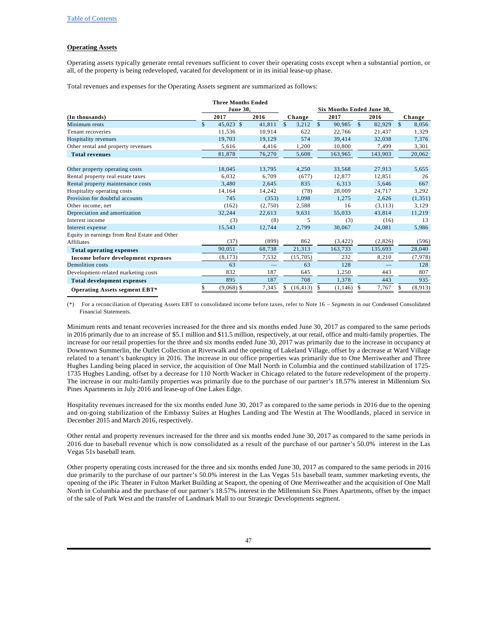### **Operating Assets**

Operating assets typically generate rental revenues sufficient to cover their operating costs except when a substantial portion, or all, of the property is being redeveloped, vacated for development or in its initial lease-up phase.

Total revenues and expenses for the Operating Assets segment are summarized as follows:

|                                               | <b>Three Months Ended</b><br>June 30, |         |              |           |               | Six Months Ended June 30, |              |          |              |          |
|-----------------------------------------------|---------------------------------------|---------|--------------|-----------|---------------|---------------------------|--------------|----------|--------------|----------|
| (In thousands)                                | 2017                                  | 2016    |              | Change    |               | 2017                      |              | 2016     | Change       |          |
| Minimum rents                                 | \$<br>$45,023$ \$                     | 41,811  | $\mathbf{s}$ | 3,212     | $\mathcal{S}$ | 90,985                    | $\mathbb{S}$ | 82,929   | $\mathbb{S}$ | 8,056    |
| Tenant recoveries                             | 11,536                                | 10,914  |              | 622       |               | 22,766                    |              | 21,437   |              | 1,329    |
| Hospitality revenues                          | 19,703                                | 19,129  |              | 574       |               | 39,414                    |              | 32,038   |              | 7,376    |
| Other rental and property revenues            | 5,616                                 | 4,416   |              | 1,200     |               | 10,800                    |              | 7,499    |              | 3,301    |
| <b>Total revenues</b>                         | 81,878                                | 76,270  |              | 5,608     |               | 163,965                   |              | 143,903  |              | 20,062   |
| Other property operating costs                | 18,045                                | 13,795  |              | 4,250     |               | 33,568                    |              | 27,913   |              | 5,655    |
| Rental property real estate taxes             | 6,032                                 | 6,709   |              | (677)     |               | 12,877                    |              | 12,851   |              | 26       |
| Rental property maintenance costs             | 3,480                                 | 2,645   |              | 835       |               | 6,313                     |              | 5,646    |              | 667      |
| Hospitality operating costs                   | 14,164                                | 14,242  |              | (78)      |               | 28,009                    |              | 24,717   |              | 3,292    |
| Provision for doubtful accounts               | 745                                   | (353)   |              | 1,098     |               | 1,275                     |              | 2.626    |              | (1, 351) |
| Other income, net                             | (162)                                 | (2,750) |              | 2,588     |               | 16                        |              | (3, 113) |              | 3,129    |
| Depreciation and amortization                 | 32,244                                | 22,613  |              | 9,631     |               | 55,033                    |              | 43,814   |              | 11,219   |
| Interest income                               | (3)                                   | (8)     |              | 5         |               | (3)                       |              | (16)     |              | 13       |
| Interest expense                              | 15,543                                | 12,744  |              | 2,799     |               | 30,067                    |              | 24,081   |              | 5,986    |
| Equity in earnings from Real Estate and Other |                                       |         |              |           |               |                           |              |          |              |          |
| <b>Affiliates</b>                             | (37)                                  | (899)   |              | 862       |               | (3, 422)                  |              | (2,826)  |              | (596)    |
| <b>Total operating expenses</b>               | 90,051                                | 68,738  |              | 21,313    |               | 163,733                   |              | 135,693  |              | 28,040   |
| Income before development expenses            | (8, 173)                              | 7,532   |              | (15,705)  |               | 232                       |              | 8,210    |              | (7,978)  |
| Demolition costs                              | 63                                    |         |              | 63        |               | 128                       |              |          |              | 128      |
| Development-related marketing costs           | 832                                   | 187     |              | 645       |               | 1,250                     |              | 443      |              | 807      |
| <b>Total development expenses</b>             | 895                                   | 187     |              | 708       |               | 1,378                     |              | 443      |              | 935      |
| <b>Operating Assets segment EBT*</b>          | \$<br>$(9,068)$ \$                    | 7,345   | \$.          | (16, 413) | -S            | (1, 146)                  | \$           | 7,767    | \$           | (8,913)  |

(\*) For a reconciliation of Operating Assets EBT to consolidated income before taxes, refer to Note 16 – *Segments* in our Condensed Consolidated Financial Statements.

Minimum rents and tenant recoveries increased for the three and six months ended June 30, 2017 as compared to the same periods in 2016 primarily due to an increase of \$5.1 million and \$11.5 million, respectively, at our retail, office and multi-family properties. The increase for our retail properties for the three and six months ended June 30, 2017 was primarily due to the increase in occupancy at Downtown Summerlin, the Outlet Collection at Riverwalk and the opening of Lakeland Village, offset by a decrease at Ward Village related to a tenant's bankruptcy in 2016. The increase in our office properties was primarily due to One Merriweather and Three Hughes Landing being placed in service, the acquisition of One Mall North in Columbia and the continued stabilization of 1725- 1735 Hughes Landing, offset by a decrease for 110 North Wacker in Chicago related to the future redevelopment of the property. The increase in our multi-family properties was primarily due to the purchase of our partner's 18.57% interest in Millennium Six Pines Apartments in July 2016 and lease-up of One Lakes Edge.

Hospitality revenues increased for the six months ended June 30, 2017 as compared to the same periods in 2016 due to the opening and on-going stabilization of the Embassy Suites at Hughes Landing and The Westin at The Woodlands, placed in service in December 2015 and March 2016, respectively.

Other rental and property revenues increased for the three and six months ended June 30, 2017 as compared to the same periods in 2016 due to baseball revenue which is now consolidated as a result of the purchase of our partner's 50.0% interest in the Las Vegas 51s baseball team.

Other property operating costs increased for the three and six months ended June 30, 2017 as compared to the same periods in 2016 due primarily to the purchase of our partner's 50.0% interest in the Las Vegas 51s baseball team, summer marketing events, the opening of the iPic Theater in Fulton Market Building at Seaport, the opening of One Merriweather and the acquisition of One Mall North in Columbia and the purchase of our partner's 18.57% interest in the Millennium Six Pines Apartments, offset by the impact of the sale of Park West and the transfer of Landmark Mall to our Strategic Developments segment.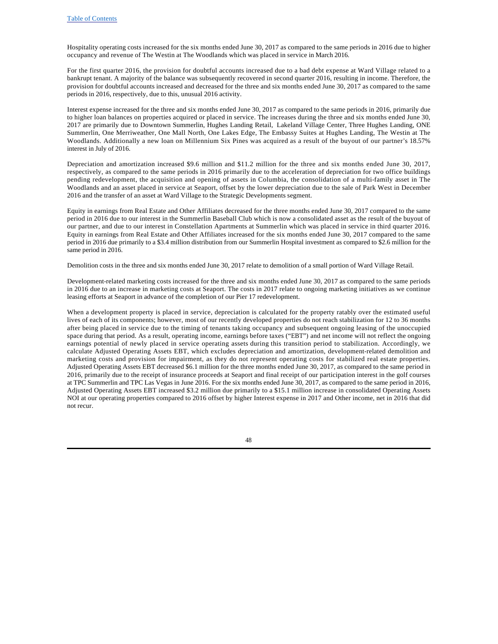Hospitality operating costs increased for the six months ended June 30, 2017 as compared to the same periods in 2016 due to higher occupancy and revenue of The Westin at The Woodlands which was placed in service in March 2016.

For the first quarter 2016, the provision for doubtful accounts increased due to a bad debt expense at Ward Village related to a bankrupt tenant. A majority of the balance was subsequently recovered in second quarter 2016, resulting in income. Therefore, the provision for doubtful accounts increased and decreased for the three and six months ended June 30, 2017 as compared to the same periods in 2016, respectively, due to this, unusual 2016 activity.

Interest expense increased for the three and six months ended June 30, 2017 as compared to the same periods in 2016, primarily due to higher loan balances on properties acquired or placed in service. The increases during the three and six months ended June 30, 2017 are primarily due to Downtown Summerlin, Hughes Landing Retail, Lakeland Village Center, Three Hughes Landing, ONE Summerlin, One Merriweather, One Mall North, One Lakes Edge, The Embassy Suites at Hughes Landing, The Westin at The Woodlands. Additionally a new loan on Millennium Six Pines was acquired as a result of the buyout of our partner's 18.57% interest in July of 2016.

Depreciation and amortization increased \$9.6 million and \$11.2 million for the three and six months ended June 30, 2017, respectively, as compared to the same periods in 2016 primarily due to the acceleration of depreciation for two office buildings pending redevelopment, the acquisition and opening of assets in Columbia, the consolidation of a multi-family asset in The Woodlands and an asset placed in service at Seaport, offset by the lower depreciation due to the sale of Park West in December 2016 and the transfer of an asset at Ward Village to the Strategic Developments segment.

Equity in earnings from Real Estate and Other Affiliates decreased for the three months ended June 30, 2017 compared to the same period in 2016 due to our interest in the Summerlin Baseball Club which is now a consolidated asset as the result of the buyout of our partner, and due to our interest in Constellation Apartments at Summerlin which was placed in service in third quarter 2016. Equity in earnings from Real Estate and Other Affiliates increased for the six months ended June 30, 2017 compared to the same period in 2016 due primarily to a \$3.4 million distribution from our Summerlin Hospital investment as compared to \$2.6 million for the same period in 2016.

Demolition costs in the three and six months ended June 30, 2017 relate to demolition of a small portion of Ward Village Retail.

Development-related marketing costs increased for the three and six months ended June 30, 2017 as compared to the same periods in 2016 due to an increase in marketing costs at Seaport. The costs in 2017 relate to ongoing marketing initiatives as we continue leasing efforts at Seaport in advance of the completion of our Pier 17 redevelopment.

When a development property is placed in service, depreciation is calculated for the property ratably over the estimated useful lives of each of its components; however, most of our recently developed properties do not reach stabilization for 12 to 36 months after being placed in service due to the timing of tenants taking occupancy and subsequent ongoing leasing of the unoccupied space during that period. As a result, operating income, earnings before taxes ("EBT") and net income will not reflect the ongoing earnings potential of newly placed in service operating assets during this transition period to stabilization. Accordingly, we calculate Adjusted Operating Assets EBT, which excludes depreciation and amortization, development-related demolition and marketing costs and provision for impairment, as they do not represent operating costs for stabilized real estate properties. Adjusted Operating Assets EBT decreased \$6.1 million for the three months ended June 30, 2017, as compared to the same period in 2016, primarily due to the receipt of insurance proceeds at Seaport and final receipt of our participation interest in the golf courses at TPC Summerlin and TPC Las Vegas in June 2016. For the six months ended June 30, 2017, as compared to the same period in 2016, Adjusted Operating Assets EBT increased \$3.2 million due primarily to a \$15.1 million increase in consolidated Operating Assets NOI at our operating properties compared to 2016 offset by higher Interest expense in 2017 and Other income, net in 2016 that did not recur.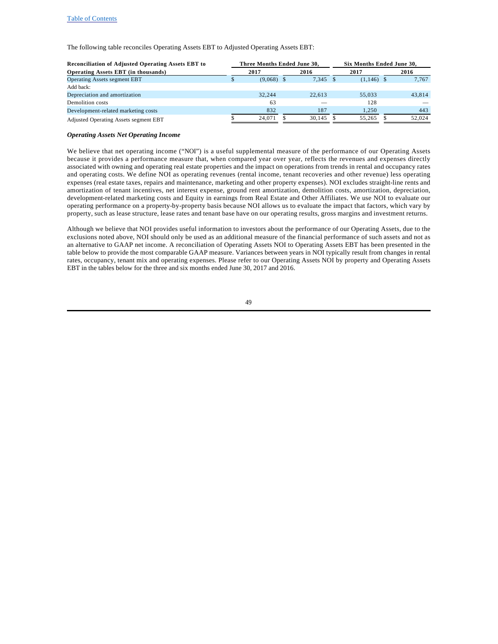The following table reconciles Operating Assets EBT to Adjusted Operating Assets EBT:

| <b>Reconciliation of Adjusted Operating Assets EBT to</b> | Three Months Ended June 30. |             | Six Months Ended June 30. |              |  |        |  |
|-----------------------------------------------------------|-----------------------------|-------------|---------------------------|--------------|--|--------|--|
| <b>Operating Assets EBT</b> (in thousands)                | 2017                        | 2016        |                           | 2017         |  | 2016   |  |
| <b>Operating Assets segment EBT</b>                       | $(9,068)$ \$                | 7.345 \$    |                           | $(1,146)$ \$ |  | 7.767  |  |
| Add back:                                                 |                             |             |                           |              |  |        |  |
| Depreciation and amortization                             | 32,244                      | 22,613      |                           | 55,033       |  | 43,814 |  |
| Demolition costs                                          | 63                          |             |                           | 128          |  |        |  |
| Development-related marketing costs                       | 832                         | 187         |                           | 1.250        |  | 443    |  |
| Adjusted Operating Assets segment EBT                     | 24,071                      | $30.145$ \$ |                           | 55.265       |  | 52,024 |  |

### *Operating Assets Net Operating Income*

We believe that net operating income ("NOI") is a useful supplemental measure of the performance of our Operating Assets because it provides a performance measure that, when compared year over year, reflects the revenues and expenses directly associated with owning and operating real estate properties and the impact on operations from trends in rental and occupancy rates and operating costs. We define NOI as operating revenues (rental income, tenant recoveries and other revenue) less operating expenses (real estate taxes, repairs and maintenance, marketing and other property expenses). NOI excludes straight-line rents and amortization of tenant incentives, net interest expense, ground rent amortization, demolition costs, amortization, depreciation, development-related marketing costs and Equity in earnings from Real Estate and Other Affiliates. We use NOI to evaluate our operating performance on a property-by-property basis because NOI allows us to evaluate the impact that factors, which vary by property, such as lease structure, lease rates and tenant base have on our operating results, gross margins and investment returns.

Although we believe that NOI provides useful information to investors about the performance of our Operating Assets, due to the exclusions noted above, NOI should only be used as an additional measure of the financial performance of such assets and not as an alternative to GAAP net income. A reconciliation of Operating Assets NOI to Operating Assets EBT has been presented in the table below to provide the most comparable GAAP measure. Variances between years in NOI typically result from changes in rental rates, occupancy, tenant mix and operating expenses. Please refer to our Operating Assets NOI by property and Operating Assets EBT in the tables below for the three and six months ended June 30, 2017 and 2016.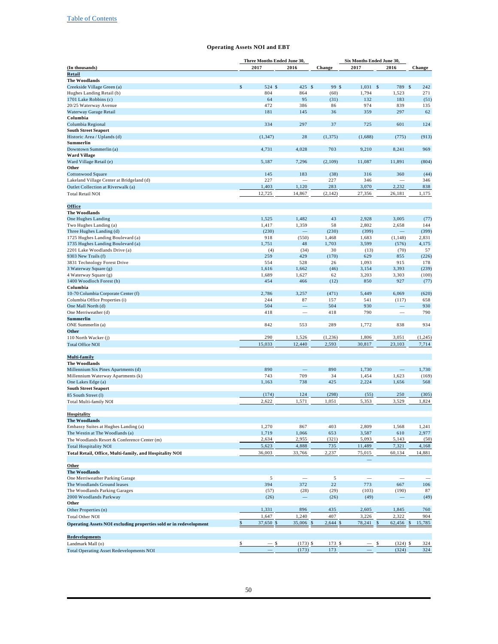# **Operating Assets NOI and EBT**

|                                                                       | Three Months Ended June 30,             |                          | Six Months Ended June 30, |                |                              |                   |
|-----------------------------------------------------------------------|-----------------------------------------|--------------------------|---------------------------|----------------|------------------------------|-------------------|
| (In thousands)                                                        | 2017                                    | 2016                     | Change                    | 2017           | 2016                         | Change            |
| Retail                                                                |                                         |                          |                           |                |                              |                   |
| <b>The Woodlands</b>                                                  |                                         |                          |                           |                |                              |                   |
| Creekside Village Green (a)                                           | \$<br>524 \$<br>804                     | 425S<br>864              | 99 <sup>°</sup><br>(60)   | 1,031<br>1,794 | $\mathbb{S}$<br>789<br>1,523 | -\$<br>242<br>271 |
| Hughes Landing Retail (b)<br>1701 Lake Robbins (c)                    | 64                                      | 95                       | (31)                      | 132            | 183                          | (51)              |
| 20/25 Waterway Avenue                                                 | 472                                     | 386                      | 86                        | 974            | 839                          | 135               |
| Waterway Garage Retail                                                | 181                                     | 145                      | 36                        | 359            | 297                          | 62                |
| Columbia                                                              |                                         |                          |                           |                |                              |                   |
| Columbia Regional                                                     | 334                                     | 297                      | 37                        | 725            | 601                          | 124               |
| <b>South Street Seaport</b>                                           |                                         |                          |                           |                |                              |                   |
| Historic Area / Uplands (d)                                           | (1, 347)                                | 28                       | (1, 375)                  | (1,688)        | (775)                        | (913)             |
| Summerlin                                                             |                                         |                          |                           |                |                              |                   |
| Downtown Summerlin (a)                                                | 4,731                                   | 4,028                    | 703                       | 9,210          | 8,241                        | 969               |
| <b>Ward Village</b>                                                   |                                         |                          |                           |                |                              |                   |
| Ward Village Retail (e)                                               | 5,187                                   | 7,296                    | (2,109)                   | 11,087         | 11,891                       | (804)             |
| Other<br>Cottonwood Square                                            | 145                                     | 183                      | (38)                      | 316            | 360                          | (44)              |
| Lakeland Village Center at Bridgeland (d)                             | 227                                     |                          | 227                       | 346            |                              | 346               |
| Outlet Collection at Riverwalk (a)                                    | 1,403                                   | 1,120                    | 283                       | 3,070          | 2,232                        | 838               |
| <b>Total Retail NOI</b>                                               | 12,725                                  | 14,867                   | (2, 142)                  | 27,356         | 26,181                       | 1,175             |
|                                                                       |                                         |                          |                           |                |                              |                   |
| Office                                                                |                                         |                          |                           |                |                              |                   |
| <b>The Woodlands</b>                                                  |                                         |                          |                           |                |                              |                   |
| One Hughes Landing                                                    | 1,525                                   | 1,482                    | 43                        | 2,928          | 3,005                        | (77)              |
| Two Hughes Landing (a)                                                | 1,417                                   | 1,359                    | 58                        | 2,802          | 2,658                        | 144               |
| Three Hughes Landing (d)                                              | (230)                                   |                          | (230)                     | (399)          |                              | (399)             |
| 1725 Hughes Landing Boulevard (a)                                     | 918                                     | (550)                    | 1,468                     | 1,683          | (1, 148)                     | 2,831             |
| 1735 Hughes Landing Boulevard (a)                                     | 1,751                                   | 48                       | 1,703                     | 3,599          | (576)                        | 4,175             |
| 2201 Lake Woodlands Drive (a)                                         | (4)                                     | (34)                     | 30                        | (13)           | (70)                         | 57                |
| 9303 New Trails (f)                                                   | 259                                     | 429                      | (170)                     | 629            | 855                          | (226)             |
| 3831 Technology Forest Drive                                          | 554                                     | 528                      | 26                        | 1,093          | 915                          | 178               |
| 3 Waterway Square (g)                                                 | 1,616                                   | 1,662                    | (46)                      | 3,154          | 3,393                        | (239)             |
| 4 Waterway Square (g)                                                 | 1,689                                   | 1,627                    | 62                        | 3,203          | 3,303                        | (100)             |
| 1400 Woodloch Forest (h)                                              | 454                                     | 466                      | (12)                      | 850            | 927                          | (77)              |
| Columbia                                                              |                                         |                          |                           |                |                              |                   |
| 10-70 Columbia Corporate Center (f)<br>Columbia Office Properties (i) | 2,786<br>244                            | 3,257<br>87              | (471)<br>157              | 5,449<br>541   | 6,069<br>(117)               | (620)<br>658      |
| One Mall North (d)                                                    | 504                                     |                          | 504                       | 930            |                              | 930               |
| One Merriweather (d)                                                  | 418                                     | $\overline{\phantom{0}}$ | 418                       | 790            | $\frac{1}{2}$                | 790               |
| Summerlin                                                             |                                         |                          |                           |                |                              |                   |
| ONE Summerlin (a)                                                     | 842                                     | 553                      | 289                       | 1,772          | 838                          | 934               |
| Other                                                                 |                                         |                          |                           |                |                              |                   |
| 110 North Wacker (j)                                                  | 290                                     | 1,526                    | (1,236)                   | 1,806          | 3,051                        | (1,245)           |
| <b>Total Office NOI</b>                                               | 15,033                                  | 12,440                   | 2,593                     | 30,817         | 23,103                       | 7,714             |
|                                                                       |                                         |                          |                           |                |                              |                   |
| Multi-family                                                          |                                         |                          |                           |                |                              |                   |
| <b>The Woodlands</b>                                                  |                                         |                          |                           |                |                              |                   |
| Millennium Six Pines Apartments (d)                                   | 890                                     |                          | 890                       | 1,730          | L,                           | 1,730             |
| Millennium Waterway Apartments (k)                                    | 743                                     | 709                      | 34                        | 1,454          | 1,623                        | (169)             |
| One Lakes Edge (a)                                                    | 1,163                                   | 738                      | 425                       | 2,224          | 1,656                        | 568               |
| <b>South Street Seaport</b>                                           |                                         |                          |                           |                |                              |                   |
| 85 South Street (1)                                                   | (174)                                   | 124                      | (298)                     | (55)           | 250                          | (305)             |
| Total Multi-family NOI                                                | 2,622                                   | 1,571                    | 1,051                     | 5,353          | 3,529                        | 1,824             |
|                                                                       |                                         |                          |                           |                |                              |                   |
| <b>Hospitality</b>                                                    |                                         |                          |                           |                |                              |                   |
| <b>The Woodlands</b>                                                  |                                         |                          |                           |                |                              |                   |
| Embassy Suites at Hughes Landing (a)                                  | 1,270                                   | 867                      | 403                       | 2,809          | 1,568                        | 1,241             |
| The Westin at The Woodlands (a)                                       | 1,719                                   | 1,066                    | 653                       | 3,587          | 610                          | 2,977             |
| The Woodlands Resort & Conference Center (m)                          | 2,634                                   | 2,955                    | (321)                     | 5,093          | 5,143                        | (50)              |
| <b>Total Hospitality NOI</b>                                          | 5,623                                   | 4,888                    | 735                       | 11,489         | 7,321                        | 4,168             |
| Total Retail, Office, Multi-family, and Hospitality NOI               | 36,003                                  | 33,766                   | 2,237                     | 75,015<br>-    | 60,134                       | 14,881            |
|                                                                       |                                         |                          |                           |                |                              |                   |
| Other<br><b>The Woodlands</b>                                         |                                         |                          |                           |                |                              |                   |
| One Merriweather Parking Garage                                       | 5                                       | $\overline{\phantom{0}}$ | 5                         |                |                              |                   |
| The Woodlands Ground leases                                           | 394                                     | 372                      | 22                        | 773            | 667                          | 106               |
| The Woodlands Parking Garages                                         | (57)                                    | (28)                     | (29)                      | (103)          | (190)                        | 87                |
| 2000 Woodlands Parkway                                                | (26)                                    |                          | (26)                      | (49)           |                              | (49)              |
| Other                                                                 |                                         |                          |                           |                |                              |                   |
| Other Properties (n)                                                  | 1,331                                   | 896                      | 435                       | 2,605          | 1,845                        | 760               |
| <b>Total Other NOI</b>                                                | 1,647                                   | 1,240                    | 407                       | 3,226          | 2,322                        | 904               |
| Operating Assets NOI excluding properties sold or in redevelopment    | 37,650 \$<br>\$                         | 35,006 \$                | 2,644 \$                  | 78,241         | $\mathbb{S}$<br>62,456       | 15,785<br>\$      |
|                                                                       |                                         |                          |                           |                |                              |                   |
| <b>Redevelopments</b>                                                 |                                         |                          |                           |                |                              |                   |
| Landmark Mall (o)                                                     | $\frac{\mathsf{s}}{\mathsf{a}}$<br>— \$ | $(173)$ \$               | 173 \$                    |                | $(324)$ \$<br>\$             | 324               |
| <b>Total Operating Asset Redevelopments NOI</b>                       |                                         | (173)                    | 173                       |                | (324)                        | 324               |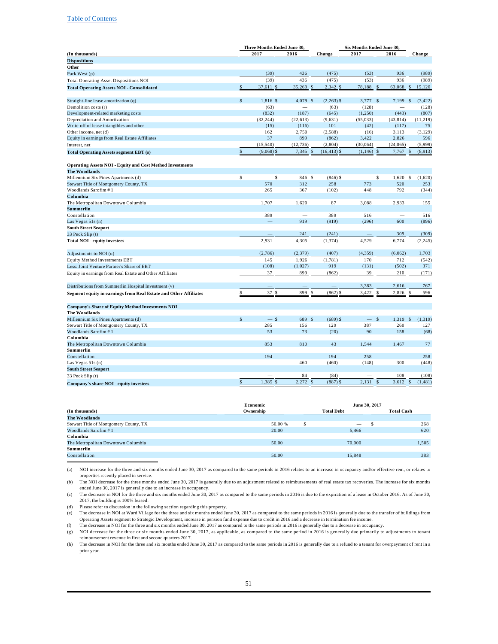# Table of Contents

|                                                                  | Three Months Ended June 30, | Six Months Ended June 30,          |           |                             |                          |                       |                          |
|------------------------------------------------------------------|-----------------------------|------------------------------------|-----------|-----------------------------|--------------------------|-----------------------|--------------------------|
| (In thousands)                                                   |                             | 2017                               | 2016      | Change                      | 2017                     | 2016                  | Change                   |
| <b>Dispositions</b>                                              |                             |                                    |           |                             |                          |                       |                          |
| Other                                                            |                             |                                    |           |                             |                          |                       |                          |
| Park West (p)                                                    |                             | (39)                               | 436       | (475)                       | (53)                     | 936                   | (989)                    |
| <b>Total Operating Asset Dispositions NOI</b>                    |                             | (39)                               | 436       | (475)                       | (53)                     | 936                   | (989)                    |
| <b>Total Operating Assets NOI - Consolidated</b>                 | \$                          | 37,611 \$                          | 35,269    | 2,342 \$                    | 78,188                   | 63,068                | 15,120                   |
|                                                                  |                             |                                    |           |                             |                          |                       |                          |
| Straight-line lease amortization (q)                             | \$                          | 1,816 \$                           | 4,079 \$  | $(2,263)$ \$                | $3,777$ \$               | 7,199                 | (3, 422)<br>\$           |
| Demolition costs (r)                                             |                             | (63)                               |           | (63)                        | (128)                    |                       | (128)                    |
| Development-related marketing costs                              |                             | (832)                              | (187)     | (645)                       | (1,250)                  | (443)                 | (807)                    |
| Depreciation and Amortization                                    |                             | (32, 244)                          | (22, 613) | (9,631)                     | (55, 033)                | (43, 814)             | (11, 219)                |
| Write-off of lease intangibles and other                         |                             | (15)                               | (116)     | 101                         | (42)                     | (117)                 | 75                       |
| Other income, net (d)                                            |                             | 162                                | 2,750     | (2,588)                     | (16)                     | 3,113                 | (3, 129)                 |
| Equity in earnings from Real Estate Affiliates                   |                             | 37                                 | 899       | (862)                       | 3,422                    | 2,826                 | 596                      |
| Interest, net                                                    |                             | (15, 540)                          | (12, 736) | (2,804)                     | (30,064)                 | (24,065)              | (5,999)                  |
| <b>Total Operating Assets segment EBT (s)</b>                    | \$                          | $(9,068)$ \$                       | 7,345     | $(16, 413)$ \$              | (1, 146)                 | 7,767                 | $\mathcal{S}$<br>(8,913) |
|                                                                  |                             |                                    |           |                             |                          |                       |                          |
| <b>Operating Assets NOI - Equity and Cost Method Investments</b> |                             |                                    |           |                             |                          |                       |                          |
| <b>The Woodlands</b>                                             |                             |                                    |           |                             |                          |                       |                          |
| Millennium Six Pines Apartments (d)                              | \$                          | <sup>\$</sup><br>$\qquad \qquad -$ | 846 \$    | $(846)$ \$                  | $-$                      | \$<br>1,620           | \$<br>(1,620)            |
| Stewart Title of Montgomery County, TX                           |                             | 570                                | 312       | 258                         | 773                      | 520                   | 253                      |
| Woodlands Sarofim #1                                             |                             | 265                                | 367       | (102)                       | 448                      | 792                   | (344)                    |
| Columbia                                                         |                             |                                    |           |                             |                          |                       |                          |
| The Metropolitan Downtown Columbia                               |                             | 1,707                              | 1,620     | 87                          | 3,088                    | 2,933                 | 155                      |
| Summerlin                                                        |                             |                                    |           |                             |                          |                       |                          |
| Constellation                                                    |                             | 389                                |           | 389                         | 516                      |                       | 516                      |
| Las Vegas 51s (n)                                                |                             |                                    | 919       | (919)                       | (296)                    | 600                   | (896)                    |
| <b>South Street Seaport</b>                                      |                             |                                    |           |                             |                          |                       |                          |
| 33 Peck Slip (t)                                                 |                             |                                    | 241       | (241)                       |                          | 309                   | (309)                    |
| <b>Total NOI - equity investees</b>                              |                             | 2,931                              | 4,305     | (1, 374)                    | 4,529                    | 6,774                 | (2, 245)                 |
|                                                                  |                             |                                    |           |                             |                          |                       |                          |
| Adjustments to NOI (u)                                           |                             | (2,786)                            | (2,379)   | (407)                       | (4,359)                  | (6,062)               | 1,703                    |
| <b>Equity Method Investments EBT</b>                             |                             | 145                                | 1,926     | (1,781)                     | 170                      | 712                   | (542)                    |
| Less: Joint Venture Partner's Share of EBT                       |                             | (108)                              | (1,027)   | 919                         | (131)                    | (502)                 | 371                      |
| Equity in earnings from Real Estate and Other Affiliates         |                             | 37                                 | 899       | (862)                       | 39                       | 210                   | (171)                    |
|                                                                  |                             |                                    |           |                             |                          |                       |                          |
| Distributions from Summerlin Hospital Investment (v)             |                             |                                    |           |                             | 3,383                    | 2,616                 | 767                      |
| Segment equity in earnings from Real Estate and Other Affiliates | \$                          | 37 \$                              | 899       | \$<br>$(862)$ \$            | 3,422                    | \$<br>2,826           | \$<br>596                |
|                                                                  |                             |                                    |           |                             |                          |                       |                          |
| <b>Company's Share of Equity Method Investments NOI</b>          |                             |                                    |           |                             |                          |                       |                          |
| The Woodlands                                                    |                             |                                    |           |                             |                          |                       |                          |
| Millennium Six Pines Apartments (d)                              | \$                          | $-$ \$                             | 689 \$    | $(689)$ \$                  | $\overline{\phantom{0}}$ | $\mathbf{s}$<br>1,319 | (1, 319)<br>S            |
| Stewart Title of Montgomery County, TX                           |                             | 285                                | 156       | 129                         | 387                      | 260                   | 127                      |
| Woodlands Sarofim #1                                             |                             | 53                                 | 73        | (20)                        | 90                       | 158                   | (68)                     |
| Columbia                                                         |                             |                                    |           |                             |                          |                       |                          |
| The Metropolitan Downtown Columbia                               |                             | 853                                | 810       | 43                          | 1,544                    | 1,467                 | 77                       |
| Summerlin                                                        |                             |                                    |           |                             |                          |                       |                          |
| Constellation                                                    |                             | 194                                | ÷.        | 194                         | 258                      | ÷.                    | 258                      |
| Las Vegas 51s (n)                                                |                             |                                    | 460       | (460)                       | (148)                    | 300                   | (448)                    |
| <b>South Street Seaport</b>                                      |                             |                                    |           |                             |                          |                       |                          |
| 33 Peck Slip (t)                                                 |                             |                                    | 84        | (84)                        |                          | 108                   | (108)                    |
| Company's share NOI - equity investees                           | \$                          | 1,385 \$                           | 2,272     | $\mathcal{S}$<br>$(887)$ \$ | 2,131                    | \$<br>3,612           | \$<br>(1, 481)           |

|                                        | Economic  | June 30, 2017     |  |                   |  |  |  |
|----------------------------------------|-----------|-------------------|--|-------------------|--|--|--|
| (In thousands)                         | Ownership | <b>Total Debt</b> |  | <b>Total Cash</b> |  |  |  |
| <b>The Woodlands</b>                   |           |                   |  |                   |  |  |  |
| Stewart Title of Montgomery County, TX | 50.00 %   |                   |  | 268               |  |  |  |
| Woodlands Sarofim #1                   | 20.00     | 5.466             |  | 620               |  |  |  |
| Columbia                               |           |                   |  |                   |  |  |  |
| The Metropolitan Downtown Columbia     | 50.00     | 70,000            |  | 1.505             |  |  |  |
| Summerlin                              |           |                   |  |                   |  |  |  |
| Constellation                          | 50.00     | 15,848            |  | 383               |  |  |  |

(a) NOI increase for the three and six months ended June 30, 2017 as compared to the same periods in 2016 relates to an increase in occupancy and/or effective rent, or relates to properties recently placed in service.

(b) The NOI decrease for the three months ended June 30, 2017 is generally due to an adjustment related to reimbursements of real estate tax recoveries. The increase for six months ended June 30, 2017 is generally due to an increase in occupancy.

(c) The decrease in NOI for the three and six months ended June 30, 2017 as compared to the same periods in 2016 is due to the expiration of a lease in October 2016. As of June 30, 2017, the building is 100% leased.

(d) Please refer to discussion in the following section regarding this property.

(e) The decrease in NOI at Ward Village for the three and six months ended June 30, 2017 as compared to the same periods in 2016 is generally due to the transfer of buildings from Operating Assets segment to Strategic Development, increase in pension fund expense due to credit in 2016 and a decrease in termination fee income.

(f) The decrease in NOI for the three and six months ended June 30, 2017 as compared to the same periods in 2016 is generally due to a decrease in occupancy.

(g) NOI decrease for the three or six months ended June 30, 2017, as applicable, as compared to the same period in 2016 is generally due primarily to adjustments to tenant reimbursement revenue in first and second quarters 2017.

(h) The decrease in NOI for the three and six months ended June 30, 2017 as compared to the same periods in 2016 is generally due to a refund to a tenant for overpayment of rent in a prior year.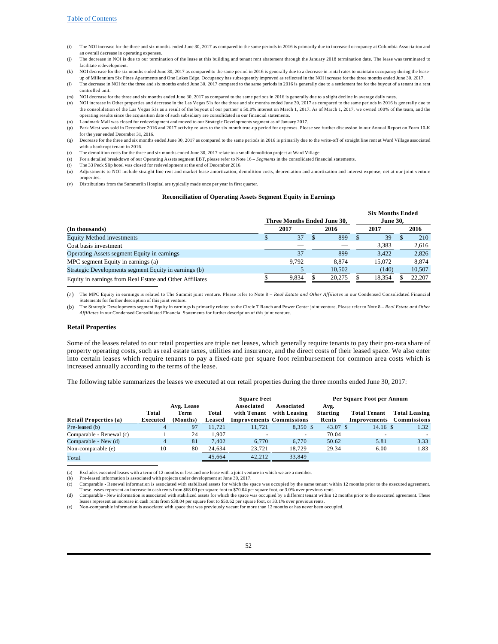- (i) The NOI increase for the three and six months ended June 30, 2017 as compared to the same periods in 2016 is primarily due to increased occupancy at Columbia Association and an overall decrease in operating expenses.
- (j) The decrease in NOI is due to our termination of the lease at this building and tenant rent abatement through the January 2018 termination date. The lease was terminated to facilitate redevelopment.
- (k) NOI decrease for the six months ended June 30, 2017 as compared to the same period in 2016 is generally due to a decrease in rental rates to maintain occupancy during the leaseup of Millennium Six Pines Apartments and One Lakes Edge. Occupancy has subsequently improved as reflected in the NOI increase for the three months ended June 30, 2017.
- (l) The decrease in NOI for the three and six months ended June 30, 2017 compared to the same periods in 2016 is generally due to a settlement fee for the buyout of a tenant in a rent controlled unit.
- (m) NOI decrease for the three and six months ended June 30, 2017 as compared to the same periods in 2016 is generally due to a slight decline in average daily rates.
- (n) NOI increase in Other properties and decrease in the Las Vegas 51s for the three and six months ended June 30, 2017 as compared to the same periods in 2016 is generally due to the consolidation of the Las Vegas 51s as a result of the buyout of our partner's 50.0% interest on March 1, 2017. As of March 1, 2017, we owned 100% of the team, and the operating results since the acquisition date of such subsidiary are consolidated in our financial statements.
- (o) Landmark Mall was closed for redevelopment and moved to our Strategic Developments segment as of January 2017.
- (p) Park West was sold in December 2016 and 2017 activity relates to the six month true-up period for expenses. Please see further discussion in our Annual Report on Form 10-K for the year ended December 31, 2016.
- (q) Decrease for the three and six months ended June 30, 2017 as compared to the same periods in 2016 is primarily due to the write-off of straight line rent at Ward Village associated with a bankrupt tenant in 2016.
- (r) The demolition costs for the three and six months ended June 30, 2017 relate to a small demolition project at Ward Village.
- (s) For a detailed breakdown of our Operating Assets segment EBT, please refer to Note 16 *Segments* in the consolidated financial statements.
- (t) The 33 Peck Slip hotel was closed for redevelopment at the end of December 2016.
- (u) Adjustments to NOI include straight line rent and market lease amortization, demolition costs, depreciation and amortization and interest expense, net at our joint venture properties.
- (v) Distributions from the Summerlin Hospital are typically made once per year in first quarter.

### **Reconciliation of Operating Assets Segment Equity in Earnings**

|                                                          |                             |        |     | <b>Six Months Ended</b> |        |
|----------------------------------------------------------|-----------------------------|--------|-----|-------------------------|--------|
|                                                          | Three Months Ended June 30, |        |     | <b>June 30.</b>         |        |
| (In thousands)                                           | 2017                        | 2016   |     | 2017                    | 2016   |
| <b>Equity Method investments</b>                         | 37                          | 899    | \$. | 39                      | 210    |
| Cost basis investment                                    |                             |        |     | 3,383                   | 2,616  |
| Operating Assets segment Equity in earnings              | 37                          | 899    |     | 3.422                   | 2,826  |
| MPC segment Equity in earnings (a)                       | 9.792                       | 8.874  |     | 15.072                  | 8.874  |
| Strategic Developments segment Equity in earnings (b)    |                             | 10,502 |     | (140)                   | 10,507 |
| Equity in earnings from Real Estate and Other Affiliates | 9.834                       | 20,275 |     | 18,354                  | 22,207 |

(a) The MPC Equity in earnings is related to The Summit joint venture. Please refer to Note 8 – *Real Estate and Other Affiliates* in our Condensed Consolidated Financial Statements for further description of this joint venture.

(b) The Strategic Developments segment Equity in earnings is primarily related to the Circle T Ranch and Power Center joint venture. Please refer to Note 8 – *Real Estate and Other Affiliates* in our Condensed Consolidated Financial Statements for further description of this joint venture.

#### **Retail Properties**

Some of the leases related to our retail properties are triple net leases, which generally require tenants to pay their pro-rata share of property operating costs, such as real estate taxes, utilities and insurance, and the direct costs of their leased space. We also enter into certain leases which require tenants to pay a fixed-rate per square foot reimbursement for common area costs which is increased annually according to the terms of the lease.

The following table summarizes the leases we executed at our retail properties during the three months ended June 30, 2017:

|                              |          |                    |              | <b>Square Feet</b>              |                            |                         | Per Square Foot per Annum |                          |  |  |  |
|------------------------------|----------|--------------------|--------------|---------------------------------|----------------------------|-------------------------|---------------------------|--------------------------|--|--|--|
|                              | Total    | Avg. Lease<br>Term | <b>Total</b> | Associated<br>with Tenant       | Associated<br>with Leasing | Avg.<br><b>Starting</b> | <b>Total Tenant</b>       | <b>Total Leasing</b>     |  |  |  |
| <b>Retail Properties (a)</b> | Executed | (Months)           | Leased       | <b>Improvements Commissions</b> |                            | Rents                   |                           | Improvements Commissions |  |  |  |
| Pre-leased (b)               | 4        | 97                 | 11.721       | 11.721                          | 8,350 \$                   | 43.07 S                 | 14.16 <sup>°</sup>        | 1.32                     |  |  |  |
| Comparable - Renewal (c)     |          | 24                 | 1.907        |                                 | $\overline{\phantom{a}}$   | 70.04                   | $\overline{\phantom{a}}$  |                          |  |  |  |
| Comparable - New (d)         | 4        | 81                 | 7.402        | 6.770                           | 6.770                      | 50.62                   | 5.81                      | 3.33                     |  |  |  |
| Non-comparable (e)           | 10       | 80                 | 24.634       | 23.721                          | 18.729                     | 29.34                   | 6.00                      | 1.83                     |  |  |  |
| Total                        |          |                    | 45,664       | 42.212                          | 33,849                     |                         |                           |                          |  |  |  |

(a) Excludes executed leases with a term of 12 months or less and one lease with a joint venture in which we are a member.

Pre-leased information is associated with projects under development at June 30, 2017.

(d) Comparable - New information is associated with stabilized assets for which the space was occupied by a different tenant within 12 months prior to the executed agreement. These leases represent an increase in cash rents from \$38.04 per square foot to \$50.62 per square foot, or 33.1% over previous rents.

(e) Non-comparable information is associated with space that was previously vacant for more than 12 months or has never been occupied.

<sup>(</sup>c) Comparable - Renewal information is associated with stabilized assets for which the space was occupied by the same tenant within 12 months prior to the executed agreement. These leases represent an increase in cash rents from \$68.00 per square foot to \$70.04 per square foot, or 3.0% over previous rents.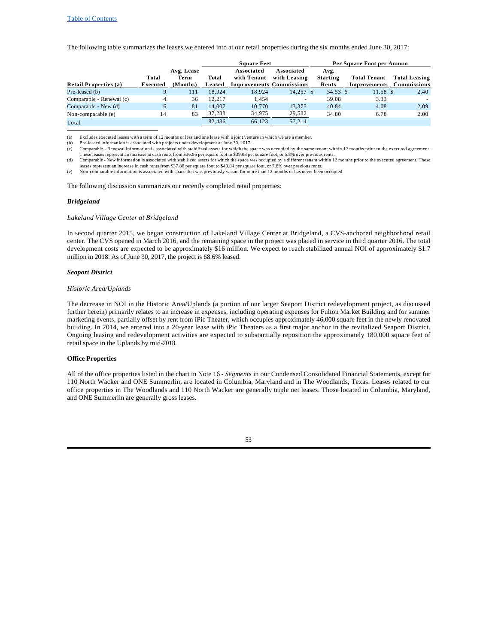The following table summarizes the leases we entered into at our retail properties during the six months ended June 30, 2017:

|                              |              |                    |              | <b>Square Feet</b>              |                            |                         | Per Square Foot per Annum |                      |
|------------------------------|--------------|--------------------|--------------|---------------------------------|----------------------------|-------------------------|---------------------------|----------------------|
|                              | <b>Total</b> | Avg. Lease<br>Term | <b>Total</b> | Associated<br>with Tenant       | Associated<br>with Leasing | Avg.<br><b>Starting</b> | <b>Total Tenant</b>       | <b>Total Leasing</b> |
| <b>Retail Properties (a)</b> | Executed     | (Months)           | Leased       | <b>Improvements Commissions</b> |                            | Rents                   | Improvements              | Commissions          |
| Pre-leased (b)               | 9.           | 111                | 18.924       | 18.924                          | $14,257$ \$                | 54.53 \$                | 11.58S                    | 2.40                 |
| Comparable - Renewal (c)     | 4            | 36                 | 12.217       | 1.454                           | -                          | 39.08                   | 3.33                      |                      |
| Comparable - New (d)         | 6            | 81                 | 14,007       | 10.770                          | 13.375                     | 40.84                   | 4.08                      | 2.09                 |
| Non-comparable (e)           | 14           | 83                 | 37,288       | 34.975                          | 29,582                     | 34.80                   | 6.78                      | 2.00                 |
| Total                        |              |                    | 82,436       | 66.123                          | 57.214                     |                         |                           |                      |

(a) Excludes executed leases with a term of 12 months or less and one lease with a joint venture in which we are a member.

(b) Pre-leased information is associated with projects under development at June 30, 2017.<br>(c) Comparable - Renewal information is associated with stabilized assets for which the space was occupied by the same tenant withi These leases represent an increase in cash rents from \$36.95 per square foot to \$39.08 per square foot, or 5.8% over previous rents.

(d) Comparable - New information is associated with stabilized assets for which the space was occupied by a different tenant within 12 months prior to the executed agreement. These leases represent an increase in cash rents from \$37.88 per square foot to \$40.84 per square foot, or 7.8% over previous rents.

(e) Non-comparable information is associated with space that was previously vacant for more than 12 months or has never been occupied.

The following discussion summarizes our recently completed retail properties:

### *Bridgeland*

### *Lakeland Village Center at Bridgeland*

In second quarter 2015, we began construction of Lakeland Village Center at Bridgeland, a CVS-anchored neighborhood retail center. The CVS opened in March 2016, and the remaining space in the project was placed in service in third quarter 2016. The total development costs are expected to be approximately \$16 million. We expect to reach stabilized annual NOI of approximately \$1.7 million in 2018. As of June 30, 2017, the project is 68.6% leased.

### *Seaport District*

### *Historic Area/Uplands*

The decrease in NOI in the Historic Area/Uplands (a portion of our larger Seaport District redevelopment project, as discussed further herein) primarily relates to an increase in expenses, including operating expenses for Fulton Market Building and for summer marketing events, partially offset by rent from iPic Theater, which occupies approximately 46,000 square feet in the newly renovated building. In 2014, we entered into a 20-year lease with iPic Theaters as a first major anchor in the revitalized Seaport District. Ongoing leasing and redevelopment activities are expected to substantially reposition the approximately 180,000 square feet of retail space in the Uplands by mid-2018.

### **Office Properties**

All of the office properties listed in the chart in Note 16 - *Segments* in our Condensed Consolidated Financial Statements, except for 110 North Wacker and ONE Summerlin, are located in Columbia, Maryland and in The Woodlands, Texas. Leases related to our office properties in The Woodlands and 110 North Wacker are generally triple net leases. Those located in Columbia, Maryland, and ONE Summerlin are generally gross leases.

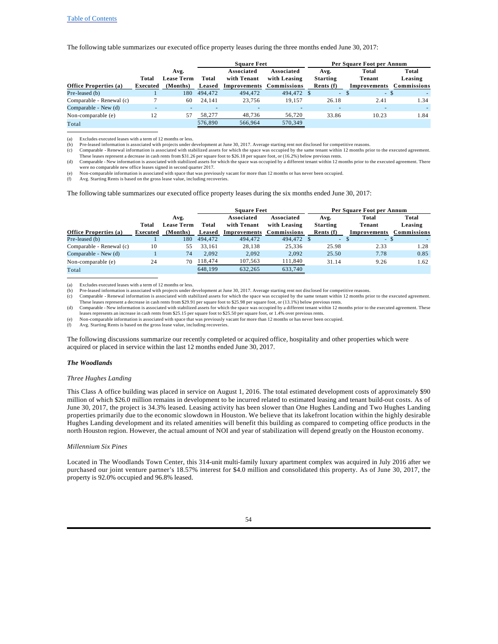The following table summarizes our executed office property leases during the three months ended June 30, 2017:

|                              |                          |            |         | <b>Square Feet</b> |              |                 | Per Square Foot per Annum |             |  |  |  |
|------------------------------|--------------------------|------------|---------|--------------------|--------------|-----------------|---------------------------|-------------|--|--|--|
|                              |                          | Avg.       |         | Associated         | Associated   | Avg.            | Total                     | Total       |  |  |  |
|                              | Total                    | Lease Term | Total   | with Tenant        | with Leasing | <b>Starting</b> | Tenant                    | Leasing     |  |  |  |
| <b>Office Properties (a)</b> | Executed                 | (Months)   | Leased  | Improvements       | Commissions  | Rents $(f)$     | Improvements              | Commissions |  |  |  |
| Pre-leased (b)               |                          | 180        | 494,472 | 494,472            | 494,472 \$   | u,              | - S                       |             |  |  |  |
| Comparable - Renewal (c)     |                          | 60         | 24.141  | 23.756             | 19.157       | 26.18           | 2.41                      | 1.34        |  |  |  |
| Comparable - New (d)         | $\overline{\phantom{a}}$ |            |         |                    |              |                 |                           |             |  |  |  |
| Non-comparable (e)           | 12                       | 57         | 58.277  | 48.736             | 56,720       | 33.86           | 10.23                     | 1.84        |  |  |  |
| Total                        |                          |            | 576,890 | 566,964            | 570,349      |                 |                           |             |  |  |  |

(a) Excludes executed leases with a term of 12 months or less.

(b) Pre-leased information is associated with projects under development at June 30, 2017. Average starting rent not disclosed for competitive reasons.

(c) Comparable - Renewal information is associated with stabilized assets for which the space was occupied by the same tenant within 12 months prior to the executed agreement. These leases represent a decrease in cash rents from \$31.26 per square foot to \$26.18 per square foot, or (16.2%) below previous rents.

(d) Comparable - New information is associated with stabilized assets for which the space was occupied by a different tenant within 12 months prior to the executed agreement. There were no comparable new office leases signed in second quarter 2017.

(e) Non-comparable information is associated with space that was previously vacant for more than 12 months or has never been occupied.

(f) Avg. Starting Rents is based on the gross lease value, including recoveries.

The following table summarizes our executed office property leases during the six months ended June 30, 2017:

|                              |          |                   |         | <b>Square Feet</b>              |              |                 | Per Square Foot per Annum |              |
|------------------------------|----------|-------------------|---------|---------------------------------|--------------|-----------------|---------------------------|--------------|
|                              |          | Avg.              |         | Associated                      | Associated   | Avg.            | <b>Total</b>              | <b>Total</b> |
|                              | Total    | <b>Lease Term</b> | Total   | with Tenant                     | with Leasing | <b>Starting</b> | Tenant                    | Leasing      |
| <b>Office Properties (a)</b> | Executed | (Months)          | Leased  | <b>Improvements Commissions</b> |              | Rents (f)       | Improvements              | Commissions  |
| Pre-leased (b)               |          | 180               | 494,472 | 494,472                         | 494,472 \$   | ÷.              | - \$                      |              |
| Comparable - Renewal (c)     | 10       | 55                | 33.161  | 28.138                          | 25.336       | 25.98           | 2.33                      | 1.28         |
| Comparable - New (d)         |          | 74                | 2.092   | 2.092                           | 2.092        | 25.50           | 7.78                      | 0.85         |
| Non-comparable (e)           | 24       | 70                | 118,474 | 107,563                         | 111,840      | 31.14           | 9.26                      | 1.62         |
| Total                        |          |                   | 648.199 | 632,265                         | 633,740      |                 |                           |              |

Excludes executed leases with a term of 12 months or less.

(b) Pre-leased information is associated with projects under development at June 30, 2017. Average starting rent not disclosed for competitive reasons.

(c) Comparable - Renewal information is associated with stabilized assets for which the space was occupied by the same tenant within 12 months prior to the executed agreement.

These leases represent a decrease in cash rents from \$29.91 per square foot to \$25.98 per square foot, or (13.1%) below previous rents.<br>(d) Comparable - New information is associated with stabilized assets for which the sp leases represents an increase in cash rents from \$25.15 per square foot to \$25.50 per square foot, or 1.4% over previous rents.

(e) Non-comparable information is associated with space that was previously vacant for more than 12 months or has never been occupied. (f) Avg. Starting Rents is based on the gross lease value, including recoveries.

The following discussions summarize our recently completed or acquired office, hospitality and other properties which were acquired or placed in service within the last 12 months ended June 30, 2017.

#### *The Woodlands*

### *Three Hughes Landing*

This Class A office building was placed in service on August 1, 2016. The total estimated development costs of approximately \$90 million of which \$26.0 million remains in development to be incurred related to estimated leasing and tenant build-out costs. As of June 30, 2017, the project is 34.3% leased. Leasing activity has been slower than One Hughes Landing and Two Hughes Landing properties primarily due to the economic slowdown in Houston. We believe that its lakefront location within the highly desirable Hughes Landing development and its related amenities will benefit this building as compared to competing office products in the north Houston region. However, the actual amount of NOI and year of stabilization will depend greatly on the Houston economy.

### *Millennium Six Pines*

Located in The Woodlands Town Center, this 314-unit multi-family luxury apartment complex was acquired in July 2016 after we purchased our joint venture partner's 18.57% interest for \$4.0 million and consolidated this property. As of June 30, 2017, the property is 92.0% occupied and 96.8% leased.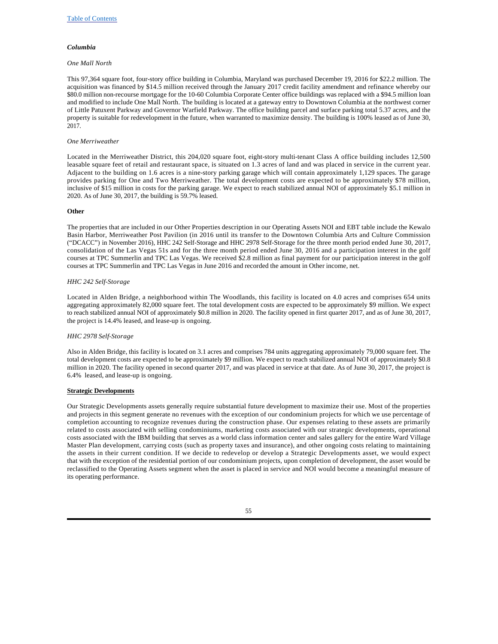# *Columbia*

### *One Mall North*

This 97,364 square foot, four-story office building in Columbia, Maryland was purchased December 19, 2016 for \$22.2 million. The acquisition was financed by \$14.5 million received through the January 2017 credit facility amendment and refinance whereby our \$80.0 million non-recourse mortgage for the 10-60 Columbia Corporate Center office buildings was replaced with a \$94.5 million loan and modified to include One Mall North. The building is located at a gateway entry to Downtown Columbia at the northwest corner of Little Patuxent Parkway and Governor Warfield Parkway. The office building parcel and surface parking total 5.37 acres, and the property is suitable for redevelopment in the future, when warranted to maximize density. The building is 100% leased as of June 30, 2017.

### *One Merriweather*

Located in the Merriweather District, this 204,020 square foot, eight-story multi-tenant Class A office building includes 12,500 leasable square feet of retail and restaurant space, is situated on 1.3 acres of land and was placed in service in the current year. Adjacent to the building on 1.6 acres is a nine-story parking garage which will contain approximately 1,129 spaces. The garage provides parking for One and Two Merriweather. The total development costs are expected to be approximately \$78 million, inclusive of \$15 million in costs for the parking garage. We expect to reach stabilized annual NOI of approximately \$5.1 million in 2020. As of June 30, 2017, the building is 59.7% leased.

### **Other**

The properties that are included in our Other Properties description in our Operating Assets NOI and EBT table include the Kewalo Basin Harbor, Merriweather Post Pavilion (in 2016 until its transfer to the Downtown Columbia Arts and Culture Commission ("DCACC") in November 2016), HHC 242 Self-Storage and HHC 2978 Self-Storage for the three month period ended June 30, 2017, consolidation of the Las Vegas 51s and for the three month period ended June 30, 2016 and a participation interest in the golf courses at TPC Summerlin and TPC Las Vegas. We received \$2.8 million as final payment for our participation interest in the golf courses at TPC Summerlin and TPC Las Vegas in June 2016 and recorded the amount in Other income, net.

### *HHC 242 Self-Storage*

Located in Alden Bridge, a neighborhood within The Woodlands, this facility is located on 4.0 acres and comprises 654 units aggregating approximately 82,000 square feet. The total development costs are expected to be approximately \$9 million. We expect to reach stabilized annual NOI of approximately \$0.8 million in 2020. The facility opened in first quarter 2017, and as of June 30, 2017, the project is 14.4% leased, and lease-up is ongoing.

### *HHC 2978 Self-Storage*

Also in Alden Bridge, this facility is located on 3.1 acres and comprises 784 units aggregating approximately 79,000 square feet. The total development costs are expected to be approximately \$9 million. We expect to reach stabilized annual NOI of approximately \$0.8 million in 2020. The facility opened in second quarter 2017, and was placed in service at that date. As of June 30, 2017, the project is 6.4% leased, and lease-up is ongoing.

### **Strategic Developments**

Our Strategic Developments assets generally require substantial future development to maximize their use. Most of the properties and projects in this segment generate no revenues with the exception of our condominium projects for which we use percentage of completion accounting to recognize revenues during the construction phase. Our expenses relating to these assets are primarily related to costs associated with selling condominiums, marketing costs associated with our strategic developments, operational costs associated with the IBM building that serves as a world class information center and sales gallery for the entire Ward Village Master Plan development, carrying costs (such as property taxes and insurance), and other ongoing costs relating to maintaining the assets in their current condition. If we decide to redevelop or develop a Strategic Developments asset, we would expect that with the exception of the residential portion of our condominium projects, upon completion of development, the asset would be reclassified to the Operating Assets segment when the asset is placed in service and NOI would become a meaningful measure of its operating performance.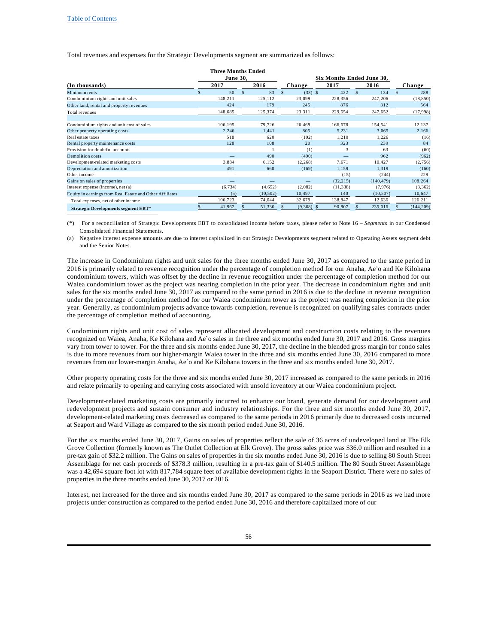Total revenues and expenses for the Strategic Developments segment are summarized as follows:

|                                                          | <b>Three Months Ended</b><br><b>June 30.</b> |               |           |     |              | Six Months Ended June 30, |               |            |            |
|----------------------------------------------------------|----------------------------------------------|---------------|-----------|-----|--------------|---------------------------|---------------|------------|------------|
| (In thousands)                                           | 2017                                         |               | 2016      |     | Change       | 2017                      |               | 2016       | Change     |
| Minimum rents                                            | 50                                           | $\mathcal{S}$ | 83        | \$. | $(33)$ \$    | 422                       | $\mathcal{S}$ | 134        | 288        |
| Condominium rights and unit sales                        | 148,211                                      |               | 125,112   |     | 23,099       | 228,356                   |               | 247,206    | (18, 850)  |
| Other land, rental and property revenues                 | 424                                          |               | 179       |     | 245          | 876                       |               | 312        | 564        |
| Total revenues                                           | 148,685                                      |               | 125,374   |     | 23,311       | 229,654                   |               | 247,652    | (17,998)   |
|                                                          |                                              |               |           |     |              |                           |               |            |            |
| Condominium rights and unit cost of sales                | 106,195                                      |               | 79,726    |     | 26,469       | 166,678                   |               | 154,541    | 12,137     |
| Other property operating costs                           | 2,246                                        |               | 1,441     |     | 805          | 5,231                     |               | 3,065      | 2,166      |
| Real estate taxes                                        | 518                                          |               | 620       |     | (102)        | 1,210                     |               | 1,226      | (16)       |
| Rental property maintenance costs                        | 128                                          |               | 108       |     | 20           | 323                       |               | 239        | 84         |
| Provision for doubtful accounts                          |                                              |               |           |     | (1)          | 3                         |               | 63         | (60)       |
| Demolition costs                                         |                                              |               | 490       |     | (490)        |                           |               | 962        | (962)      |
| Development-related marketing costs                      | 3,884                                        |               | 6,152     |     | (2, 268)     | 7,671                     |               | 10,427     | (2,756)    |
| Depreciation and amortization                            | 491                                          |               | 660       |     | (169)        | 1.159                     |               | 1.319      | (160)      |
| Other income                                             |                                              |               |           |     |              | (15)                      |               | (244)      | 229        |
| Gains on sales of properties                             |                                              |               |           |     |              | (32, 215)                 |               | (140, 479) | 108,264    |
| Interest expense (income), net (a)                       | (6, 734)                                     |               | (4,652)   |     | (2,082)      | (11, 338)                 |               | (7,976)    | (3,362)    |
| Equity in earnings from Real Estate and Other Affiliates | (5)                                          |               | (10, 502) |     | 10,497       | 140                       |               | (10, 507)  | 10,647     |
| Total expenses, net of other income                      | 106,723                                      |               | 74,044    |     | 32,679       | 138,847                   |               | 12,636     | 126,211    |
| <b>Strategic Developments segment EBT*</b>               | 41,962                                       |               | 51,330    |     | $(9,368)$ \$ | 90,807                    |               | 235,016    | (144, 209) |

(\*) For a reconciliation of Strategic Developments EBT to consolidated income before taxes, please refer to Note 16 – *Segments* in our Condensed Consolidated Financial Statements.

(a) Negative interest expense amounts are due to interest capitalized in our Strategic Developments segment related to Operating Assets segment debt and the Senior Notes.

The increase in Condominium rights and unit sales for the three months ended June 30, 2017 as compared to the same period in 2016 is primarily related to revenue recognition under the percentage of completion method for our Anaha, Ae'o and Ke Kilohana condominium towers, which was offset by the decline in revenue recognition under the percentage of completion method for our Waiea condominium tower as the project was nearing completion in the prior year. The decrease in condominium rights and unit sales for the six months ended June 30, 2017 as compared to the same period in 2016 is due to the decline in revenue recognition under the percentage of completion method for our Waiea condominium tower as the project was nearing completion in the prior year. Generally, as condominium projects advance towards completion, revenue is recognized on qualifying sales contracts under the percentage of completion method of accounting.

Condominium rights and unit cost of sales represent allocated development and construction costs relating to the revenues recognized on Waiea, Anaha, Ke Kilohana and Ae`o sales in the three and six months ended June 30, 2017 and 2016. Gross margins vary from tower to tower. For the three and six months ended June 30, 2017, the decline in the blended gross margin for condo sales is due to more revenues from our higher-margin Waiea tower in the three and six months ended June 30, 2016 compared to more revenues from our lower-margin Anaha, Ae`o and Ke Kilohana towers in the three and six months ended June 30, 2017.

Other property operating costs for the three and six months ended June 30, 2017 increased as compared to the same periods in 2016 and relate primarily to opening and carrying costs associated with unsold inventory at our Waiea condominium project.

Development-related marketing costs are primarily incurred to enhance our brand, generate demand for our development and redevelopment projects and sustain consumer and industry relationships. For the three and six months ended June 30, 2017, development-related marketing costs decreased as compared to the same periods in 2016 primarily due to decreased costs incurred at Seaport and Ward Village as compared to the six month period ended June 30, 2016.

For the six months ended June 30, 2017, Gains on sales of properties reflect the sale of 36 acres of undeveloped land at The Elk Grove Collection (formerly known as The Outlet Collection at Elk Grove). The gross sales price was \$36.0 million and resulted in a pre-tax gain of \$32.2 million. The Gains on sales of properties in the six months ended June 30, 2016 is due to selling 80 South Street Assemblage for net cash proceeds of \$378.3 million, resulting in a pre-tax gain of \$140.5 million. The 80 South Street Assemblage was a 42,694 square foot lot with 817,784 square feet of available development rights in the Seaport District. There were no sales of properties in the three months ended June 30, 2017 or 2016.

Interest, net increased for the three and six months ended June 30, 2017 as compared to the same periods in 2016 as we had more projects under construction as compared to the period ended June 30, 2016 and therefore capitalized more of our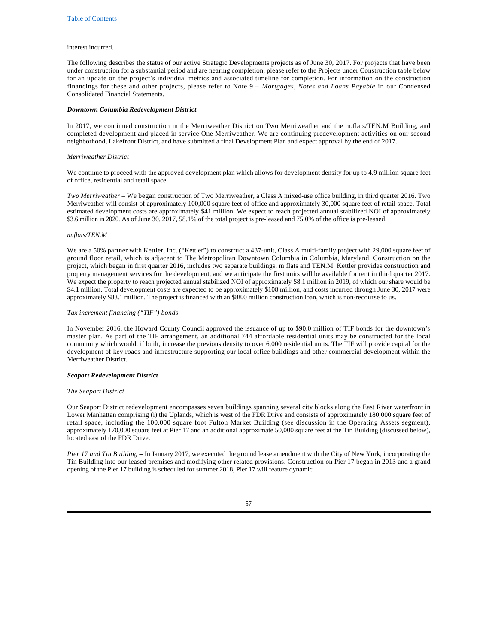### interest incurred.

The following describes the status of our active Strategic Developments projects as of June 30, 2017. For projects that have been under construction for a substantial period and are nearing completion, please refer to the Projects under Construction table below for an update on the project's individual metrics and associated timeline for completion. For information on the construction financings for these and other projects, please refer to Note 9 – *Mortgages, Notes and Loans Payable* in our Condensed Consolidated Financial Statements.

### *Downtown Columbia Redevelopment District*

In 2017, we continued construction in the Merriweather District on Two Merriweather and the m.flats/TEN.M Building, and completed development and placed in service One Merriweather. We are continuing predevelopment activities on our second neighborhood, Lakefront District, and have submitted a final Development Plan and expect approval by the end of 2017.

### *Merriweather District*

We continue to proceed with the approved development plan which allows for development density for up to 4.9 million square feet of office, residential and retail space.

*Two Merriweather –* We began construction of Two Merriweather, a Class A mixed-use office building, in third quarter 2016. Two Merriweather will consist of approximately 100,000 square feet of office and approximately 30,000 square feet of retail space. Total estimated development costs are approximately \$41 million. We expect to reach projected annual stabilized NOI of approximately \$3.6 million in 2020. As of June 30, 2017, 58.1% of the total project is pre-leased and 75.0% of the office is pre-leased.

### *m.flats/TEN.M*

We are a 50% partner with Kettler, Inc. ("Kettler") to construct a 437-unit, Class A multi-family project with 29,000 square feet of ground floor retail, which is adjacent to The Metropolitan Downtown Columbia in Columbia, Maryland. Construction on the project, which began in first quarter 2016, includes two separate buildings, m.flats and TEN.M. Kettler provides construction and property management services for the development, and we anticipate the first units will be available for rent in third quarter 2017. We expect the property to reach projected annual stabilized NOI of approximately \$8.1 million in 2019, of which our share would be \$4.1 million. Total development costs are expected to be approximately \$108 million, and costs incurred through June 30, 2017 were approximately \$83.1 million. The project is financed with an \$88.0 million construction loan, which is non-recourse to us.

### *Tax increment financing ("TIF") bonds*

In November 2016, the Howard County Council approved the issuance of up to \$90.0 million of TIF bonds for the downtown's master plan. As part of the TIF arrangement, an additional 744 affordable residential units may be constructed for the local community which would, if built, increase the previous density to over 6,000 residential units. The TIF will provide capital for the development of key roads and infrastructure supporting our local office buildings and other commercial development within the Merriweather District.

### *Seaport Redevelopment District*

### *The Seaport District*

Our Seaport District redevelopment encompasses seven buildings spanning several city blocks along the East River waterfront in Lower Manhattan comprising (i) the Uplands, which is west of the FDR Drive and consists of approximately 180,000 square feet of retail space, including the 100,000 square foot Fulton Market Building (see discussion in the Operating Assets segment), approximately 170,000 square feet at Pier 17 and an additional approximate 50,000 square feet at the Tin Building (discussed below), located east of the FDR Drive.

*Pier 17 and Tin Building* **–** In January 2017, we executed the ground lease amendment with the City of New York, incorporating the Tin Building into our leased premises and modifying other related provisions. Construction on Pier 17 began in 2013 and a grand opening of the Pier 17 building is scheduled for summer 2018, Pier 17 will feature dynamic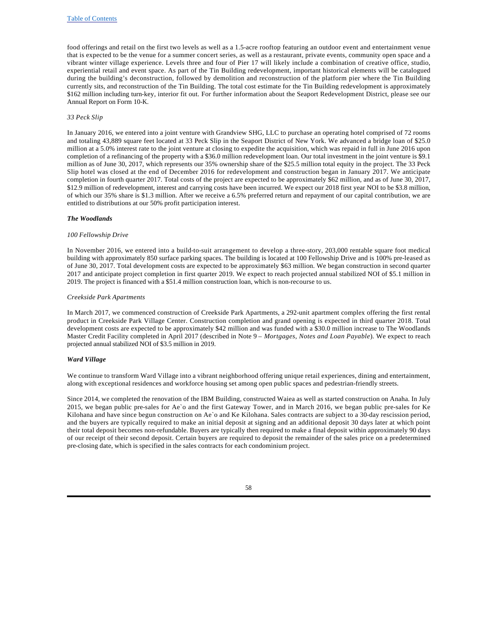food offerings and retail on the first two levels as well as a 1.5-acre rooftop featuring an outdoor event and entertainment venue that is expected to be the venue for a summer concert series, as well as a restaurant, private events, community open space and a vibrant winter village experience. Levels three and four of Pier 17 will likely include a combination of creative office, studio, experiential retail and event space. As part of the Tin Building redevelopment, important historical elements will be catalogued during the building's deconstruction, followed by demolition and reconstruction of the platform pier where the Tin Building currently sits, and reconstruction of the Tin Building. The total cost estimate for the Tin Building redevelopment is approximately \$162 million including turn-key, interior fit out. For further information about the Seaport Redevelopment District, please see our Annual Report on Form 10-K.

### *33 Peck Slip*

In January 2016, we entered into a joint venture with Grandview SHG, LLC to purchase an operating hotel comprised of 72 rooms and totaling 43,889 square feet located at 33 Peck Slip in the Seaport District of New York. We advanced a bridge loan of \$25.0 million at a 5.0% interest rate to the joint venture at closing to expedite the acquisition, which was repaid in full in June 2016 upon completion of a refinancing of the property with a \$36.0 million redevelopment loan. Our total investment in the joint venture is \$9.1 million as of June 30, 2017, which represents our 35% ownership share of the \$25.5 million total equity in the project. The 33 Peck Slip hotel was closed at the end of December 2016 for redevelopment and construction began in January 2017. We anticipate completion in fourth quarter 2017. Total costs of the project are expected to be approximately \$62 million, and as of June 30, 2017, \$12.9 million of redevelopment, interest and carrying costs have been incurred. We expect our 2018 first year NOI to be \$3.8 million, of which our 35% share is \$1.3 million. After we receive a 6.5% preferred return and repayment of our capital contribution, we are entitled to distributions at our 50% profit participation interest.

### *The Woodlands*

### *100 Fellowship Drive*

In November 2016, we entered into a build-to-suit arrangement to develop a three-story, 203,000 rentable square foot medical building with approximately 850 surface parking spaces. The building is located at 100 Fellowship Drive and is 100% pre-leased as of June 30, 2017. Total development costs are expected to be approximately \$63 million. We began construction in second quarter 2017 and anticipate project completion in first quarter 2019. We expect to reach projected annual stabilized NOI of \$5.1 million in 2019. The project is financed with a \$51.4 million construction loan, which is non-recourse to us.

### *Creekside Park Apartments*

In March 2017, we commenced construction of Creekside Park Apartments, a 292-unit apartment complex offering the first rental product in Creekside Park Village Center. Construction completion and grand opening is expected in third quarter 2018. Total development costs are expected to be approximately \$42 million and was funded with a \$30.0 million increase to The Woodlands Master Credit Facility completed in April 2017 (described in Note 9 – *Mortgages, Notes and Loan Payable*). We expect to reach projected annual stabilized NOI of \$3.5 million in 2019.

### *Ward Village*

We continue to transform Ward Village into a vibrant neighborhood offering unique retail experiences, dining and entertainment, along with exceptional residences and workforce housing set among open public spaces and pedestrian-friendly streets.

Since 2014, we completed the renovation of the IBM Building, constructed Waiea as well as started construction on Anaha. In July 2015, we began public pre-sales for Ae`o and the first Gateway Tower, and in March 2016, we began public pre-sales for Ke Kilohana and have since begun construction on Ae`o and Ke Kilohana. Sales contracts are subject to a 30-day rescission period, and the buyers are typically required to make an initial deposit at signing and an additional deposit 30 days later at which point their total deposit becomes non-refundable. Buyers are typically then required to make a final deposit within approximately 90 days of our receipt of their second deposit. Certain buyers are required to deposit the remainder of the sales price on a predetermined pre-closing date, which is specified in the sales contracts for each condominium project.

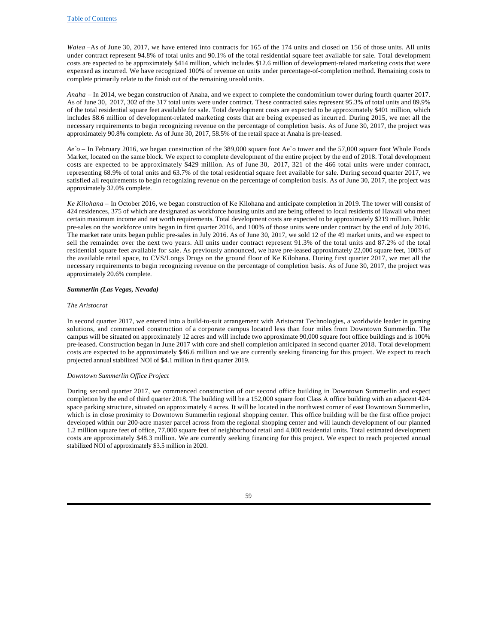*Waiea* –As of June 30, 2017, we have entered into contracts for 165 of the 174 units and closed on 156 of those units. All units under contract represent 94.8% of total units and 90.1% of the total residential square feet available for sale. Total development costs are expected to be approximately \$414 million, which includes \$12.6 million of development-related marketing costs that were expensed as incurred. We have recognized 100% of revenue on units under percentage-of-completion method. Remaining costs to complete primarily relate to the finish out of the remaining unsold units.

*Anaha* – In 2014, we began construction of Anaha, and we expect to complete the condominium tower during fourth quarter 2017. As of June 30, 2017, 302 of the 317 total units were under contract. These contracted sales represent 95.3% of total units and 89.9% of the total residential square feet available for sale. Total development costs are expected to be approximately \$401 million, which includes \$8.6 million of development-related marketing costs that are being expensed as incurred. During 2015, we met all the necessary requirements to begin recognizing revenue on the percentage of completion basis. As of June 30, 2017, the project was approximately 90.8% complete. As of June 30, 2017, 58.5% of the retail space at Anaha is pre-leased.

*Ae`o –* In February 2016, we began construction of the 389,000 square foot Ae`o tower and the 57,000 square foot Whole Foods Market, located on the same block. We expect to complete development of the entire project by the end of 2018. Total development costs are expected to be approximately \$429 million. As of June 30, 2017, 321 of the 466 total units were under contract, representing 68.9% of total units and 63.7% of the total residential square feet available for sale. During second quarter 2017, we satisfied all requirements to begin recognizing revenue on the percentage of completion basis. As of June 30, 2017, the project was approximately 32.0% complete.

*Ke Kilohana –* In October 2016, we began construction of Ke Kilohana and anticipate completion in 2019. The tower will consist of 424 residences, 375 of which are designated as workforce housing units and are being offered to local residents of Hawaii who meet certain maximum income and net worth requirements. Total development costs are expected to be approximately \$219 million. Public pre-sales on the workforce units began in first quarter 2016, and 100% of those units were under contract by the end of July 2016. The market rate units began public pre-sales in July 2016. As of June 30, 2017, we sold 12 of the 49 market units, and we expect to sell the remainder over the next two years. All units under contract represent 91.3% of the total units and 87.2% of the total residential square feet available for sale. As previously announced, we have pre-leased approximately 22,000 square feet, 100% of the available retail space, to CVS/Longs Drugs on the ground floor of Ke Kilohana. During first quarter 2017, we met all the necessary requirements to begin recognizing revenue on the percentage of completion basis. As of June 30, 2017, the project was approximately 20.6% complete.

### *Summerlin (Las Vegas, Nevada)*

### *The Aristocrat*

In second quarter 2017, we entered into a build-to-suit arrangement with Aristocrat Technologies, a worldwide leader in gaming solutions, and commenced construction of a corporate campus located less than four miles from Downtown Summerlin. The campus will be situated on approximately 12 acres and will include two approximate 90,000 square foot office buildings and is 100% pre-leased. Construction began in June 2017 with core and shell completion anticipated in second quarter 2018. Total development costs are expected to be approximately \$46.6 million and we are currently seeking financing for this project. We expect to reach projected annual stabilized NOI of \$4.1 million in first quarter 2019.

### *Downtown Summerlin Office Project*

During second quarter 2017, we commenced construction of our second office building in Downtown Summerlin and expect completion by the end of third quarter 2018. The building will be a 152,000 square foot Class A office building with an adjacent 424 space parking structure, situated on approximately 4 acres. It will be located in the northwest corner of east Downtown Summerlin, which is in close proximity to Downtown Summerlin regional shopping center. This office building will be the first office project developed within our 200-acre master parcel across from the regional shopping center and will launch development of our planned 1.2 million square feet of office, 77,000 square feet of neighborhood retail and 4,000 residential units. Total estimated development costs are approximately \$48.3 million. We are currently seeking financing for this project. We expect to reach projected annual stabilized NOI of approximately \$3.5 million in 2020.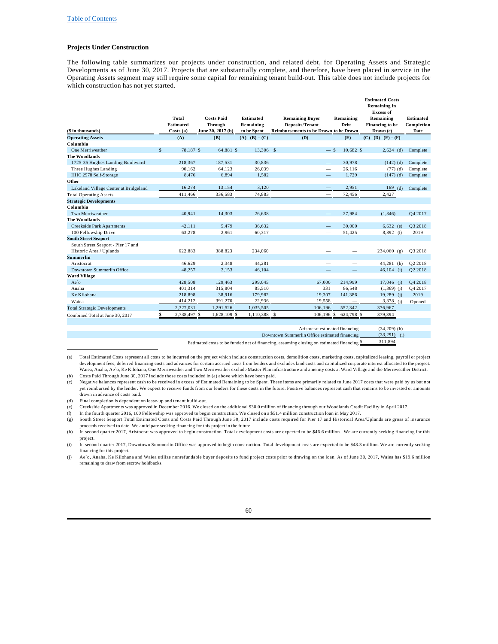# **Projects Under Construction**

The following table summarizes our projects under construction, and related debt, for Operating Assets and Strategic Developments as of June 30, 2017. Projects that are substantially complete, and therefore, have been placed in service in the Operating Assets segment may still require some capital for remaining tenant build-out. This table does not include projects for which construction has not yet started.

| (\$ in thousands)                     |              | Total<br><b>Estimated</b><br>Costs(a) | <b>Costs Paid</b><br><b>Through</b><br>June 30, 2017 (b) | <b>Estimated</b><br>Remaining<br>to be Spent |           |     | <b>Remaining Buyer</b><br><b>Deposits/Tenant</b><br>Reimbursements to be Drawn to be Drawn |                          | Remaining<br>Debt | <b>Estimated Costs</b><br><b>Remaining in</b><br><b>Excess of</b><br>Remaining<br>Financing to be<br>Drawn (c) | <b>Estimated</b><br>Completion<br>Date |
|---------------------------------------|--------------|---------------------------------------|----------------------------------------------------------|----------------------------------------------|-----------|-----|--------------------------------------------------------------------------------------------|--------------------------|-------------------|----------------------------------------------------------------------------------------------------------------|----------------------------------------|
| <b>Operating Assets</b>               |              | (A)                                   | (B)                                                      | $(A) - (B) = (C)$                            |           |     | (D)                                                                                        |                          | (E)               | $(C) - (D) - (E) = (F)$                                                                                        |                                        |
| Columbia                              |              |                                       |                                                          |                                              |           |     |                                                                                            |                          |                   |                                                                                                                |                                        |
| One Merriweather                      | $\mathsf{s}$ | 78.187 \$                             | 64.881 \$                                                |                                              | 13,306 \$ |     |                                                                                            | $-$ \$                   | 10.682S           | $2,624$ (d)                                                                                                    | Complete                               |
| <b>The Woodlands</b>                  |              |                                       |                                                          |                                              |           |     |                                                                                            |                          |                   |                                                                                                                |                                        |
| 1725-35 Hughes Landing Boulevard      |              | 218,367                               | 187,531                                                  |                                              | 30.836    |     |                                                                                            |                          | 30,978            | $(142)$ (d)                                                                                                    | Complete                               |
| Three Hughes Landing                  |              | 90.162                                | 64.123                                                   |                                              | 26,039    |     |                                                                                            | $\overline{\phantom{0}}$ | 26.116            | $(77)$ (d)                                                                                                     | Complete                               |
| HHC 2978 Self-Storage                 |              | 8,476                                 | 6,894                                                    |                                              | 1,582     |     |                                                                                            |                          | 1,729             | $(147)$ (d)                                                                                                    | Complete                               |
| Other                                 |              |                                       |                                                          |                                              |           |     |                                                                                            |                          |                   |                                                                                                                |                                        |
| Lakeland Village Center at Bridgeland |              | 16,274                                | 13,154                                                   |                                              | 3,120     |     |                                                                                            |                          | 2,951             | 169<br>(d)                                                                                                     | Complete                               |
| <b>Total Operating Assets</b>         |              | 411,466                               | 336,583                                                  |                                              | 74,883    |     |                                                                                            | $\qquad \qquad$          | 72,456            | 2,427                                                                                                          |                                        |
| <b>Strategic Developments</b>         |              |                                       |                                                          |                                              |           |     |                                                                                            |                          |                   |                                                                                                                |                                        |
| Columbia                              |              |                                       |                                                          |                                              |           |     |                                                                                            |                          |                   |                                                                                                                |                                        |
| Two Merriweather                      |              | 40.941                                | 14.303                                                   |                                              | 26.638    |     |                                                                                            |                          | 27,984            | (1, 346)                                                                                                       | Q4 2017                                |
| <b>The Woodlands</b>                  |              |                                       |                                                          |                                              |           |     |                                                                                            |                          |                   |                                                                                                                |                                        |
| <b>Creekside Park Apartments</b>      |              | 42,111                                | 5,479                                                    |                                              | 36.632    |     |                                                                                            | $\qquad \qquad -$        | 30,000            | $6,632$ (e)                                                                                                    | Q3 2018                                |
| 100 Fellowship Drive                  |              | 63,278                                | 2,961                                                    |                                              | 60,317    |     |                                                                                            | $\overline{\phantom{0}}$ | 51,425            | $8,892$ (f)                                                                                                    | 2019                                   |
| <b>South Street Seaport</b>           |              |                                       |                                                          |                                              |           |     |                                                                                            |                          |                   |                                                                                                                |                                        |
| South Street Seaport - Pier 17 and    |              |                                       |                                                          |                                              |           |     |                                                                                            |                          |                   |                                                                                                                |                                        |
| Historic Area / Uplands               |              | 622.883                               | 388,823                                                  |                                              | 234,060   |     |                                                                                            |                          |                   | $234,060$ (g)                                                                                                  | Q3 2018                                |
| <b>Summerlin</b>                      |              |                                       |                                                          |                                              |           |     |                                                                                            |                          |                   |                                                                                                                |                                        |
| Aristocrat                            |              | 46,629                                | 2,348                                                    |                                              | 44,281    |     |                                                                                            |                          |                   | $44,281$ (h)                                                                                                   | Q2 2018                                |
| Downtown Summerlin Office             |              | 48,257                                | 2,153                                                    |                                              | 46,104    |     |                                                                                            |                          |                   | $46,104$ (i)                                                                                                   | Q2 2018                                |
| <b>Ward Village</b>                   |              |                                       |                                                          |                                              |           |     |                                                                                            |                          |                   |                                                                                                                |                                        |
| Ae'o                                  |              | 428.508                               | 129,463                                                  |                                              | 299,045   |     |                                                                                            | 67,000                   | 214.999           | $17,046$ (i)                                                                                                   | Q4 2018                                |
| Anaha                                 |              | 401,314                               | 315,804                                                  |                                              | 85,510    |     |                                                                                            | 331                      | 86,548            | $(1,369)$ (i)                                                                                                  | Q4 2017                                |
| Ke Kilohana                           |              | 218,898                               | 38,916                                                   |                                              | 179,982   |     |                                                                                            | 19,307                   | 141,386           | $19,289$ (j)                                                                                                   | 2019                                   |
| Waiea                                 |              | 414,212                               | 391,276                                                  |                                              | 22,936    |     |                                                                                            | 19,558                   |                   | $3,378$ (j)                                                                                                    | Opened                                 |
| <b>Total Strategic Developments</b>   |              | 2,327,031                             | 1,291,526                                                |                                              | 1,035,505 |     |                                                                                            | 106,196                  | 552,342           | 376,967                                                                                                        |                                        |
| Combined Total at June 30, 2017       |              | 2,738,497 \$                          | 1,628,109 \$                                             |                                              | 1,110,388 | -\$ |                                                                                            | 106,196 \$               | 624,798 \$        | 379,394                                                                                                        |                                        |
|                                       |              |                                       |                                                          |                                              |           |     |                                                                                            |                          |                   |                                                                                                                |                                        |

| Aristocrat estimated financing                | $(34.209)$ (h) |
|-----------------------------------------------|----------------|
| Downtown Summerlin Office estimated financing |                |
|                                               | .              |

Estimated costs to be funded net of financing, assuming closing on estimated financing \$ 311,894

(b) Costs Paid Through June 30, 2017 include those costs included in (a) above which have been paid. (c) Negative balances represent cash to be received in excess of Estimated Remaining to be Spent. These items are primarily related to June 2017 costs that were paid by us but not yet reimbursed by the lender. We expect to receive funds from our lenders for these costs in the future. Positive balances represent cash that remains to be invested or amounts drawn in advance of costs paid.

(d) Final completion is dependent on lease-up and tenant build-out.

(e) Creekside Apartments was approved in December 2016. We closed on the additional \$30.0 million of financing through our Woodlands Credit Facility in April 2017.

(f) In the fourth quarter 2016, 100 Fellowship was approved to begin construction. We closed on a \$51.4 million construction loan in May 2017.

(g) South Street Seaport Total Estimated Costs and Costs Paid Through June 30, 2017 include costs required for Pier 17 and Historical Area/Uplands are gross of insurance proceeds received to date. We anticipate seeking financing for this project in the future.<br>(h) In second quarter 2017, Aristocrat was approved to begin construction. Total development costs are expected to be \$46.6 million

project.

(i) In second quarter 2017, Downtown Summerlin Office was approved to begin construction. Total development costs are expected to be \$48.3 million. We are currently seeking financing for this project.

(j) Ae`o, Anaha, Ke Kilohana and Waiea utilize nonrefundable buyer deposits to fund project costs prior to drawing on the loan. As of June 30, 2017, Waiea has \$19.6 million remaining to draw from escrow holdbacks.

<sup>(</sup>a) Total Estimated Costs represent all costs to be incurred on the project which include construction costs, demolition costs, marketing costs, capitalized leasing, payroll or project development fees, deferred financing costs and advances for certain accrued costs from lenders and excludes land costs and capitalized corporate interest allocated to the project. Waiea, Anaha, Ae`o, Ke Kilohana, One Merriweather and Two Merriweather exclude Master Plan infrastructure and amenity costs at Ward Village and the Merriweather District.

<sup>60</sup>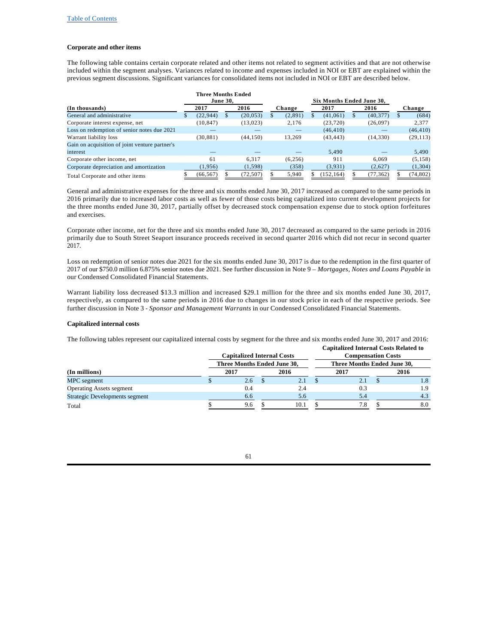## **Corporate and other items**

The following table contains certain corporate related and other items not related to segment activities and that are not otherwise included within the segment analyses. Variances related to income and expenses included in NOI or EBT are explained within the previous segment discussions. Significant variances for consolidated items not included in NOI or EBT are described below.

|                                                |   | <b>Three Months Ended</b> | <b>June 30.</b> |           |     |         |   | Six Months Ended June 30. |  |           |    |           |
|------------------------------------------------|---|---------------------------|-----------------|-----------|-----|---------|---|---------------------------|--|-----------|----|-----------|
| (In thousands)                                 |   | 2017                      |                 | 2016      |     | Change  |   | 2017                      |  | 2016      |    | Change    |
| General and administrative                     | S | (22.944)                  |                 | (20,053)  | Эħ. | (2,891) | S | (41.061)                  |  | (40.377)  | S. | (684)     |
| Corporate interest expense, net                |   | (10, 847)                 |                 | (13,023)  |     | 2,176   |   | (23, 720)                 |  | (26,097)  |    | 2,377     |
| Loss on redemption of senior notes due 2021    |   |                           |                 |           |     |         |   | (46, 410)                 |  | —         |    | (46, 410) |
| Warrant liability loss                         |   | (30, 881)                 |                 | (44, 150) |     | 13,269  |   | (43, 443)                 |  | (14, 330) |    | (29, 113) |
| Gain on acquisition of joint venture partner's |   |                           |                 |           |     |         |   |                           |  |           |    |           |
| interest                                       |   |                           |                 |           |     |         |   | 5.490                     |  |           |    | 5.490     |
| Corporate other income, net                    |   | 61                        |                 | 6.317     |     | (6,256) |   | 911                       |  | 6.069     |    | (5, 158)  |
| Corporate depreciation and amortization        |   | (1,956)                   |                 | (1, 598)  |     | (358)   |   | (3,931)                   |  | (2,627)   |    | (1,304)   |
| Total Corporate and other items                |   | (66, 567)                 |                 | (72, 507) |     | 5,940   |   | 152,164)                  |  | (77, 362) |    | (74, 802) |

General and administrative expenses for the three and six months ended June 30, 2017 increased as compared to the same periods in 2016 primarily due to increased labor costs as well as fewer of those costs being capitalized into current development projects for the three months ended June 30, 2017, partially offset by decreased stock compensation expense due to stock option forfeitures and exercises.

Corporate other income, net for the three and six months ended June 30, 2017 decreased as compared to the same periods in 2016 primarily due to South Street Seaport insurance proceeds received in second quarter 2016 which did not recur in second quarter 2017.

Loss on redemption of senior notes due 2021 for the six months ended June 30, 2017 is due to the redemption in the first quarter of 2017 of our \$750.0 million 6.875% senior notes due 2021. See further discussion in Note 9 – *Mortgages, Notes and Loans Payable* in our Condensed Consolidated Financial Statements.

Warrant liability loss decreased \$13.3 million and increased \$29.1 million for the three and six months ended June 30, 2017, respectively, as compared to the same periods in 2016 due to changes in our stock price in each of the respective periods. See further discussion in Note 3 - *Sponsor and Management Warrants* in our Condensed Consolidated Financial Statements.

### **Capitalized internal costs**

The following tables represent our capitalized internal costs by segment for the three and six months ended June 30, 2017 and 2016:

|                                       | <b>Capitalized Internal Costs</b> |      | <b>Capitalized Internal Costs Related to</b><br><b>Compensation Costs</b> |      |  |      |  |  |  |  |
|---------------------------------------|-----------------------------------|------|---------------------------------------------------------------------------|------|--|------|--|--|--|--|
|                                       | Three Months Ended June 30,       |      | Three Months Ended June 30,                                               |      |  |      |  |  |  |  |
| (In millions)                         | 2017                              | 2016 |                                                                           | 2017 |  | 2016 |  |  |  |  |
| MPC segment                           | 2.6                               | 2.1  |                                                                           | 2.1  |  | 1.8  |  |  |  |  |
| <b>Operating Assets segment</b>       | 0.4                               | 2.4  |                                                                           | 0.3  |  | 1.9  |  |  |  |  |
| <b>Strategic Developments segment</b> | 6.6                               | 5.6  |                                                                           | 5.4  |  | 4.3  |  |  |  |  |
| Total                                 | 9.6                               | 10.1 |                                                                           | 7.8  |  | 8.0  |  |  |  |  |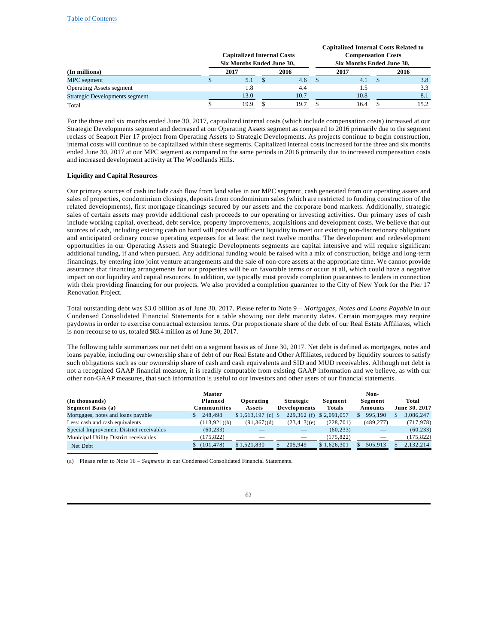### Table of Contents

|                                       | <b>Capitalized Internal Costs</b><br>Six Months Ended June 30, |      | <b>Capitalized Internal Costs Related to</b><br><b>Compensation Costs</b><br>Six Months Ended June 30, |      |  |      |  |  |
|---------------------------------------|----------------------------------------------------------------|------|--------------------------------------------------------------------------------------------------------|------|--|------|--|--|
| (In millions)                         | 2017                                                           | 2016 |                                                                                                        | 2017 |  | 2016 |  |  |
| MPC segment                           | 5.1                                                            | 4.6  |                                                                                                        | 4.1  |  | 3.8  |  |  |
| <b>Operating Assets segment</b>       | 1.8                                                            | 4.4  |                                                                                                        |      |  | 3.3  |  |  |
| <b>Strategic Developments segment</b> | 13.0                                                           | 10.7 |                                                                                                        | 10.8 |  | 8.1  |  |  |
| Total                                 | 19.9                                                           | 19.7 |                                                                                                        | 16.4 |  | 15.2 |  |  |

For the three and six months ended June 30, 2017, capitalized internal costs (which include compensation costs) increased at our Strategic Developments segment and decreased at our Operating Assets segment as compared to 2016 primarily due to the segment reclass of Seaport Pier 17 project from Operating Assets to Strategic Developments. As projects continue to begin construction, internal costs will continue to be capitalized within these segments. Capitalized internal costs increased for the three and six months ended June 30, 2017 at our MPC segment as compared to the same periods in 2016 primarily due to increased compensation costs and increased development activity at The Woodlands Hills.

### **Liquidity and Capital Resources**

Our primary sources of cash include cash flow from land sales in our MPC segment, cash generated from our operating assets and sales of properties, condominium closings, deposits from condominium sales (which are restricted to funding construction of the related developments), first mortgage financings secured by our assets and the corporate bond markets. Additionally, strategic sales of certain assets may provide additional cash proceeds to our operating or investing activities. Our primary uses of cash include working capital, overhead, debt service, property improvements, acquisitions and development costs. We believe that our sources of cash, including existing cash on hand will provide sufficient liquidity to meet our existing non-discretionary obligations and anticipated ordinary course operating expenses for at least the next twelve months. The development and redevelopment opportunities in our Operating Assets and Strategic Developments segments are capital intensive and will require significant additional funding, if and when pursued. Any additional funding would be raised with a mix of construction, bridge and long-term financings, by entering into joint venture arrangements and the sale of non-core assets at the appropriate time. We cannot provide assurance that financing arrangements for our properties will be on favorable terms or occur at all, which could have a negative impact on our liquidity and capital resources. In addition, we typically must provide completion guarantees to lenders in connection with their providing financing for our projects. We also provided a completion guarantee to the City of New York for the Pier 17 Renovation Project.

Total outstanding debt was \$3.0 billion as of June 30, 2017. Please refer to Note 9 – *Mortgages, Notes and Loans Payable* in our Condensed Consolidated Financial Statements for a table showing our debt maturity dates. Certain mortgages may require paydowns in order to exercise contractual extension terms. Our proportionate share of the debt of our Real Estate Affiliates, which is non-recourse to us, totaled \$83.4 million as of June 30, 2017.

The following table summarizes our net debt on a segment basis as of June 30, 2017. Net debt is defined as mortgages, notes and loans payable, including our ownership share of debt of our Real Estate and Other Affiliates, reduced by liquidity sources to satisfy such obligations such as our ownership share of cash and cash equivalents and SID and MUD receivables. Although net debt is not a recognized GAAP financial measure, it is readily computable from existing GAAP information and we believe, as with our other non-GAAP measures, that such information is useful to our investors and other users of our financial statements.

|                                          | <b>Master</b> |                      |                          |               | Non-       |               |
|------------------------------------------|---------------|----------------------|--------------------------|---------------|------------|---------------|
| (In thousands)                           | Planned       | Operating            | <b>Strategic</b>         | Segment       | Segment    | Total         |
| Segment Basis (a)                        | Communities   | Assets               | <b>Developments</b>      | <b>Totals</b> | Amounts    | June 30, 2017 |
| Mortgages, notes and loans payable       | 248,498       | $$1,613,197$ (c) \\$ | $229,362$ (f)            | \$2,091,057   | 995,190    | 3,086,247     |
| Less: cash and cash equivalents          | (113,921)(b)  | (91,367)(d)          | (23, 413)(e)             | (228, 701)    | (489, 277) | (717, 978)    |
| Special Improvement District receivables | (60, 233)     |                      |                          | (60, 233)     |            | (60, 233)     |
| Municipal Utility District receivables   | (175, 822)    |                      | $\overline{\phantom{a}}$ | (175, 822)    |            | (175, 822)    |
| Net Debt                                 | (101, 478)    | \$1,521,830          | 205,949                  | \$1,626,301   | 505.913    | 2.132.214     |

(a) Please refer to Note 16 – *Segments* in our Condensed Consolidated Financial Statements.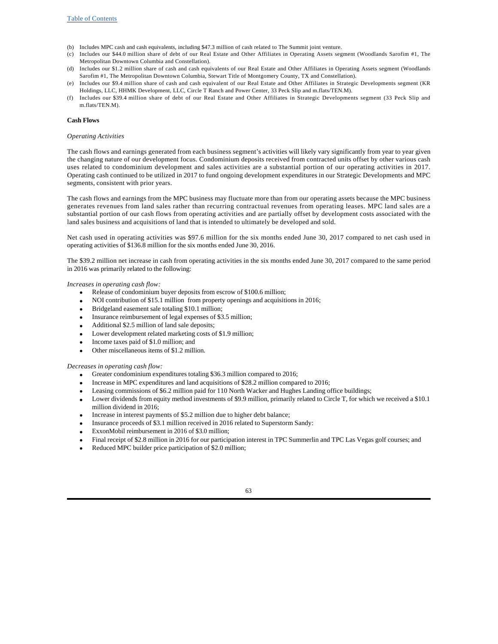- (b) Includes MPC cash and cash equivalents, including \$47.3 million of cash related to The Summit joint venture.
- (c) Includes our \$44.0 million share of debt of our Real Estate and Other Affiliates in Operating Assets segment (Woodlands Sarofim #1, The Metropolitan Downtown Columbia and Constellation).
- (d) Includes our \$1.2 million share of cash and cash equivalents of our Real Estate and Other Affiliates in Operating Assets segment (Woodlands Sarofim #1, The Metropolitan Downtown Columbia, Stewart Title of Montgomery County, TX and Constellation).
- (e) Includes our \$9.4 million share of cash and cash equivalent of our Real Estate and Other Affiliates in Strategic Developments segment (KR Holdings, LLC, HHMK Development, LLC, Circle T Ranch and Power Center, 33 Peck Slip and m.flats/TEN.M).
- (f) Includes our \$39.4 million share of debt of our Real Estate and Other Affiliates in Strategic Developments segment (33 Peck Slip and m.flats/TEN.M).

### **Cash Flows**

### *Operating Activities*

The cash flows and earnings generated from each business segment's activities will likely vary significantly from year to year given the changing nature of our development focus. Condominium deposits received from contracted units offset by other various cash uses related to condominium development and sales activities are a substantial portion of our operating activities in 2017. Operating cash continued to be utilized in 2017 to fund ongoing development expenditures in our Strategic Developments and MPC segments, consistent with prior years.

The cash flows and earnings from the MPC business may fluctuate more than from our operating assets because the MPC business generates revenues from land sales rather than recurring contractual revenues from operating leases. MPC land sales are a substantial portion of our cash flows from operating activities and are partially offset by development costs associated with the land sales business and acquisitions of land that is intended to ultimately be developed and sold.

Net cash used in operating activities was \$97.6 million for the six months ended June 30, 2017 compared to net cash used in operating activities of \$136.8 million for the six months ended June 30, 2016.

The \$39.2 million net increase in cash from operating activities in the six months ended June 30, 2017 compared to the same period in 2016 was primarily related to the following:

### *Increases in operating cash flow:*

- Release of condominium buyer deposits from escrow of \$100.6 million;
- · NOI contribution of \$15.1 million from property openings and acquisitions in 2016;
- Bridgeland easement sale totaling \$10.1 million;
- Insurance reimbursement of legal expenses of \$3.5 million;
- Additional \$2.5 million of land sale deposits;
- Lower development related marketing costs of \$1.9 million;
- · Income taxes paid of \$1.0 million; and
- Other miscellaneous items of \$1.2 million.

### *Decreases in operating cash flow:*

- Greater condominium expenditures totaling \$36.3 million compared to 2016;
- Increase in MPC expenditures and land acquisitions of \$28.2 million compared to 2016;
- Leasing commissions of \$6.2 million paid for 110 North Wacker and Hughes Landing office buildings;
- Lower dividends from equity method investments of \$9.9 million, primarily related to Circle T, for which we received a \$10.1 million dividend in 2016;
- Increase in interest payments of \$5.2 million due to higher debt balance;
- · Insurance proceeds of \$3.1 million received in 2016 related to Superstorm Sandy:
- ExxonMobil reimbursement in 2016 of \$3.0 million;
- Final receipt of \$2.8 million in 2016 for our participation interest in TPC Summerlin and TPC Las Vegas golf courses; and
- Reduced MPC builder price participation of \$2.0 million;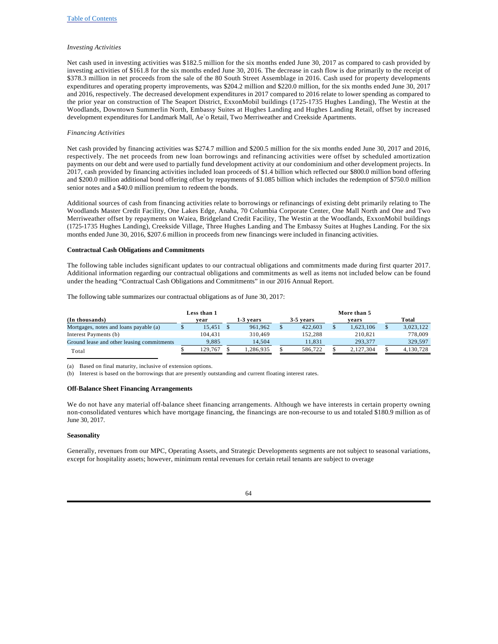### *Investing Activities*

Net cash used in investing activities was \$182.5 million for the six months ended June 30, 2017 as compared to cash provided by investing activities of \$161.8 for the six months ended June 30, 2016. The decrease in cash flow is due primarily to the receipt of \$378.3 million in net proceeds from the sale of the 80 South Street Assemblage in 2016. Cash used for property developments expenditures and operating property improvements, was \$204.2 million and \$220.0 million, for the six months ended June 30, 2017 and 2016, respectively. The decreased development expenditures in 2017 compared to 2016 relate to lower spending as compared to the prior year on construction of The Seaport District, ExxonMobil buildings (1725-1735 Hughes Landing), The Westin at the Woodlands, Downtown Summerlin North, Embassy Suites at Hughes Landing and Hughes Landing Retail, offset by increased development expenditures for Landmark Mall, Ae`o Retail, Two Merriweather and Creekside Apartments.

### *Financing Activities*

Net cash provided by financing activities was \$274.7 million and \$200.5 million for the six months ended June 30, 2017 and 2016, respectively. The net proceeds from new loan borrowings and refinancing activities were offset by scheduled amortization payments on our debt and were used to partially fund development activity at our condominium and other development projects. In 2017, cash provided by financing activities included loan proceeds of \$1.4 billion which reflected our \$800.0 million bond offering and \$200.0 million additional bond offering offset by repayments of \$1.085 billion which includes the redemption of \$750.0 million senior notes and a \$40.0 million premium to redeem the bonds.

Additional sources of cash from financing activities relate to borrowings or refinancings of existing debt primarily relating to The Woodlands Master Credit Facility, One Lakes Edge, Anaha, 70 Columbia Corporate Center, One Mall North and One and Two Merriweather offset by repayments on Waiea, Bridgeland Credit Facility, The Westin at the Woodlands, ExxonMobil buildings (1725-1735 Hughes Landing), Creekside Village, Three Hughes Landing and The Embassy Suites at Hughes Landing. For the six months ended June 30, 2016, \$207.6 million in proceeds from new financings were included in financing activities.

### **Contractual Cash Obligations and Commitments**

The following table includes significant updates to our contractual obligations and commitments made during first quarter 2017. Additional information regarding our contractual obligations and commitments as well as items not included below can be found under the heading "Contractual Cash Obligations and Commitments" in our 2016 Annual Report.

The following table summarizes our contractual obligations as of June 30, 2017:

|                                            | Less than 1 |           |           | More than 5 |           |
|--------------------------------------------|-------------|-----------|-----------|-------------|-----------|
| (In thousands)                             | vear        | 1-3 vears | 3-5 vears | vears       | Total     |
| Mortgages, notes and loans payable (a)     | 15.451      | 961.962   | 422,603   | 1.623.106   | 3,023,122 |
| Interest Payments (b)                      | 104.431     | 310.469   | 152.288   | 210.821     | 778,009   |
| Ground lease and other leasing commitments | 9.885       | 14.504    | 11.831    | 293,377     | 329.597   |
| Total                                      | 129.767     | 1.286.935 | 586.722   | 2.127.304   | 4.130.728 |

(a) Based on final maturity, inclusive of extension options.

(b) Interest is based on the borrowings that are presently outstanding and current floating interest rates.

### **Off-Balance Sheet Financing Arrangements**

We do not have any material off-balance sheet financing arrangements. Although we have interests in certain property owning non-consolidated ventures which have mortgage financing, the financings are non-recourse to us and totaled \$180.9 million as of June 30, 2017.

### **Seasonality**

Generally, revenues from our MPC, Operating Assets, and Strategic Developments segments are not subject to seasonal variations, except for hospitality assets; however, minimum rental revenues for certain retail tenants are subject to overage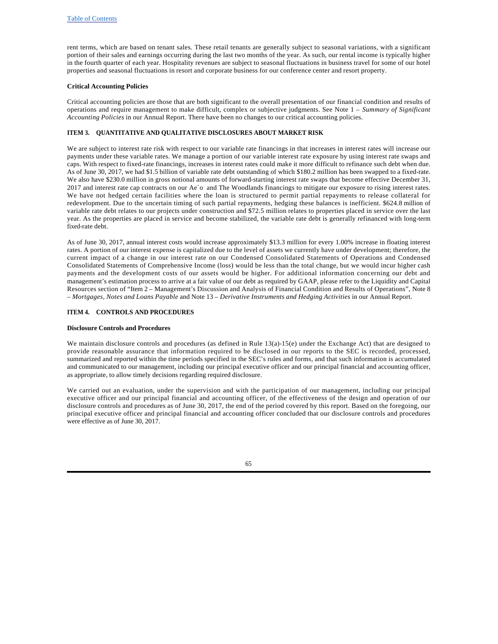rent terms, which are based on tenant sales. These retail tenants are generally subject to seasonal variations, with a significant portion of their sales and earnings occurring during the last two months of the year. As such, our rental income is typically higher in the fourth quarter of each year. Hospitality revenues are subject to seasonal fluctuations in business travel for some of our hotel properties and seasonal fluctuations in resort and corporate business for our conference center and resort property.

### **Critical Accounting Policies**

Critical accounting policies are those that are both significant to the overall presentation of our financial condition and results of operations and require management to make difficult, complex or subjective judgments. See Note 1 – *Summary of Significant Accounting Policies* in our Annual Report. There have been no changes to our critical accounting policies.

# **ITEM 3. QUANTITATIVE AND QUALITATIVE DISCLOSURES ABOUT MARKET RISK**

We are subject to interest rate risk with respect to our variable rate financings in that increases in interest rates will increase our payments under these variable rates. We manage a portion of our variable interest rate exposure by using interest rate swaps and caps. With respect to fixed-rate financings, increases in interest rates could make it more difficult to refinance such debt when due. As of June 30, 2017, we had \$1.5 billion of variable rate debt outstanding of which \$180.2 million has been swapped to a fixed-rate. We also have \$230.0 million in gross notional amounts of forward-starting interest rate swaps that become effective December 31, 2017 and interest rate cap contracts on our Ae`o and The Woodlands financings to mitigate our exposure to rising interest rates. We have not hedged certain facilities where the loan is structured to permit partial repayments to release collateral for redevelopment. Due to the uncertain timing of such partial repayments, hedging these balances is inefficient. \$624.8 million of variable rate debt relates to our projects under construction and \$72.5 million relates to properties placed in service over the last year. As the properties are placed in service and become stabilized, the variable rate debt is generally refinanced with long-term fixed-rate debt.

As of June 30, 2017, annual interest costs would increase approximately \$13.3 million for every 1.00% increase in floating interest rates. A portion of our interest expense is capitalized due to the level of assets we currently have under development; therefore, the current impact of a change in our interest rate on our Condensed Consolidated Statements of Operations and Condensed Consolidated Statements of Comprehensive Income (loss) would be less than the total change, but we would incur higher cash payments and the development costs of our assets would be higher. For additional information concerning our debt and management's estimation process to arrive at a fair value of our debt as required by GAAP, please refer to the Liquidity and Capital Resources section of "Item 2 – Management's Discussion and Analysis of Financial Condition and Results of Operations", Note 8 – *Mortgages, Notes and Loans Payable* and Note 13 – *Derivative Instruments and Hedging Activities* in our Annual Report.

### **ITEM 4. CONTROLS AND PROCEDURES**

### **Disclosure Controls and Procedures**

We maintain disclosure controls and procedures (as defined in Rule  $13(a)-15(e)$  under the Exchange Act) that are designed to provide reasonable assurance that information required to be disclosed in our reports to the SEC is recorded, processed, summarized and reported within the time periods specified in the SEC's rules and forms, and that such information is accumulated and communicated to our management, including our principal executive officer and our principal financial and accounting officer, as appropriate, to allow timely decisions regarding required disclosure.

We carried out an evaluation, under the supervision and with the participation of our management, including our principal executive officer and our principal financial and accounting officer, of the effectiveness of the design and operation of our disclosure controls and procedures as of June 30, 2017, the end of the period covered by this report. Based on the foregoing, our principal executive officer and principal financial and accounting officer concluded that our disclosure controls and procedures were effective as of June 30, 2017.

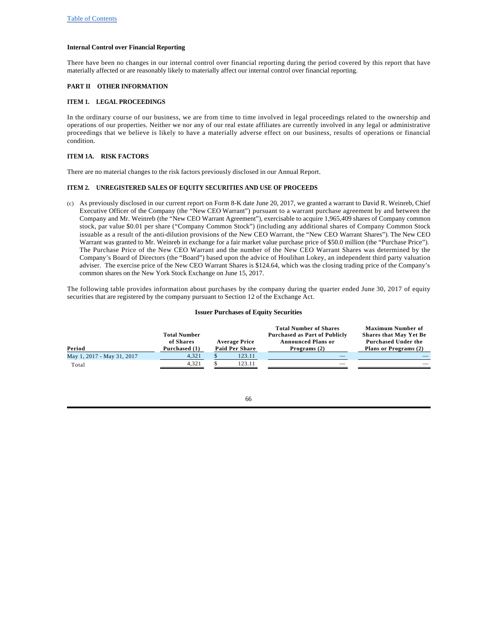# **Internal Control over Financial Reporting**

There have been no changes in our internal control over financial reporting during the period covered by this report that have materially affected or are reasonably likely to materially affect our internal control over financial reporting.

# **PART II OTHER INFORMATION**

# **ITEM 1. LEGAL PROCEEDINGS**

In the ordinary course of our business, we are from time to time involved in legal proceedings related to the ownership and operations of our properties. Neither we nor any of our real estate affiliates are currently involved in any legal or administrative proceedings that we believe is likely to have a materially adverse effect on our business, results of operations or financial condition.

# **ITEM 1A. RISK FACTORS**

There are no material changes to the risk factors previously disclosed in our Annual Report.

# **ITEM 2. UNREGISTERED SALES OF EQUITY SECURITIES AND USE OF PROCEEDS**

(c) As previously disclosed in our current report on Form 8-K date June 20, 2017, we granted a warrant to David R. Weinreb, Chief Executive Officer of the Company (the "New CEO Warrant") pursuant to a warrant purchase agreement by and between the Company and Mr. Weinreb (the "New CEO Warrant Agreement"), exercisable to acquire 1,965,409 shares of Company common stock, par value \$0.01 per share ("Company Common Stock") (including any additional shares of Company Common Stock issuable as a result of the anti-dilution provisions of the New CEO Warrant, the "New CEO Warrant Shares"). The New CEO Warrant was granted to Mr. Weinreb in exchange for a fair market value purchase price of \$50.0 million (the "Purchase Price"). The Purchase Price of the New CEO Warrant and the number of the New CEO Warrant Shares was determined by the Company's Board of Directors (the "Board") based upon the advice of Houlihan Lokey, an independent third party valuation adviser. The exercise price of the New CEO Warrant Shares is \$124.64, which was the closing trading price of the Company's common shares on the New York Stock Exchange on June 15, 2017.

The following table provides information about purchases by the company during the quarter ended June 30, 2017 of equity securities that are registered by the company pursuant to Section 12 of the Exchange Act.

### **Issuer Purchases of Equity Securities**

| Period                     | <b>Total Number</b><br>of Shares<br>Purchased (1) | <b>Average Price</b><br><b>Paid Per Share</b> | <b>Total Number of Shares</b><br><b>Purchased as Part of Publicly</b><br><b>Announced Plans or</b><br>Programs $(2)$ | <b>Maximum Number of</b><br><b>Shares that May Yet Be</b><br><b>Purchased Under the</b><br>Plans or Programs (2) |
|----------------------------|---------------------------------------------------|-----------------------------------------------|----------------------------------------------------------------------------------------------------------------------|------------------------------------------------------------------------------------------------------------------|
| May 1, 2017 - May 31, 2017 | 4.321                                             | 123.11                                        |                                                                                                                      |                                                                                                                  |
| Total                      | 4.321                                             | 123.11                                        |                                                                                                                      |                                                                                                                  |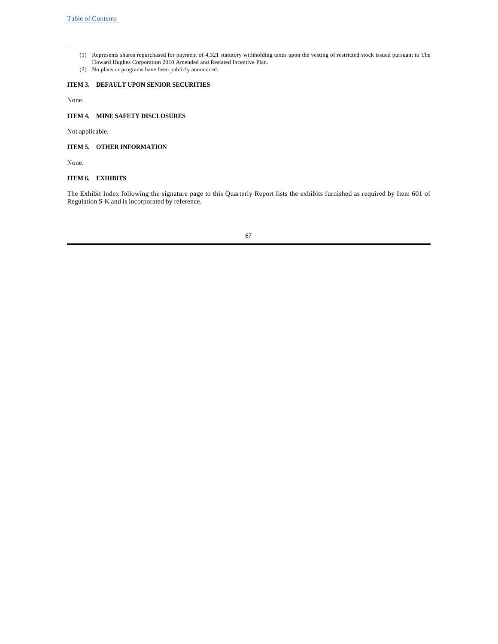- (1) Represents shares repurchased for payment of 4,321 statutory withholding taxes upon the vesting of restricted stock issued pursuant to The Howard Hughes Corporation 2010 Amended and Restated Incentive Plan.
- (2) No plans or programs have been publicly announced.

# **ITEM 3. DEFAULT UPON SENIOR SECURITIES**

None.

# **ITEM 4. MINE SAFETY DISCLOSURES**

Not applicable.

# **ITEM 5. OTHER INFORMATION**

None.

# **ITEM 6. EXHIBITS**

The Exhibit Index following the signature page to this Quarterly Report lists the exhibits furnished as required by Item 601 of Regulation S-K and is incorporated by reference.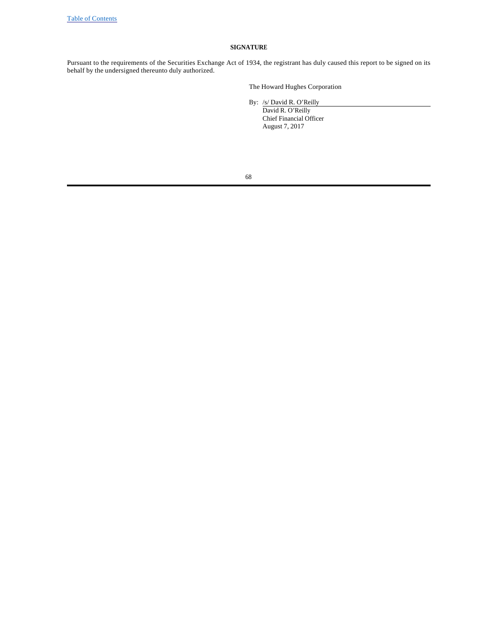# **SIGNATURE**

Pursuant to the requirements of the Securities Exchange Act of 1934, the registrant has duly caused this report to be signed on its behalf by the undersigned thereunto duly authorized.

The Howard Hughes Corporation

By: /s/ David R. O'Reilly

David R. O'Reilly Chief Financial Officer August 7, 2017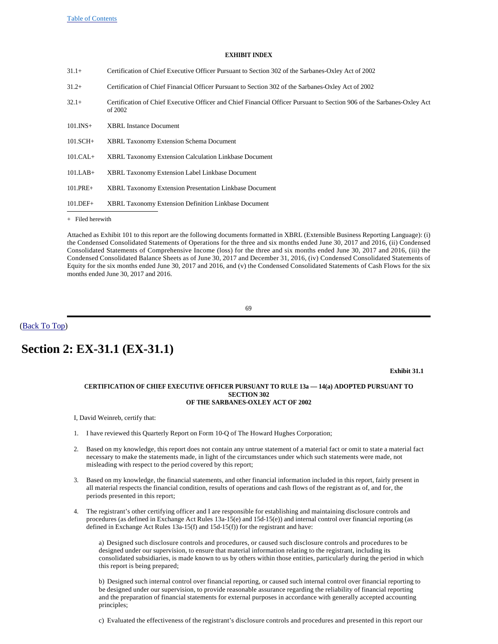## **EXHIBIT INDEX**

| 31.1+ | Certification of Chief Executive Officer Pursuant to Section 302 of the Sarbanes-Oxley Act of 2002 |
|-------|----------------------------------------------------------------------------------------------------|
|       |                                                                                                    |

- 31.2+ Certification of Chief Financial Officer Pursuant to Section 302 of the Sarbanes-Oxley Act of 2002
- 32.1+ Certification of Chief Executive Officer and Chief Financial Officer Pursuant to Section 906 of the Sarbanes-Oxley Act of 2002
- 101.INS+ XBRL Instance Document
- 101.SCH+ XBRL Taxonomy Extension Schema Document
- 101.CAL+ XBRL Taxonomy Extension Calculation Linkbase Document
- 101.LAB+ XBRL Taxonomy Extension Label Linkbase Document
- 101.PRE+ XBRL Taxonomy Extension Presentation Linkbase Document
- 101.DEF+ XBRL Taxonomy Extension Definition Linkbase Document

+ Filed herewith

Attached as Exhibit 101 to this report are the following documents formatted in XBRL (Extensible Business Reporting Language): (i) the Condensed Consolidated Statements of Operations for the three and six months ended June 30, 2017 and 2016, (ii) Condensed Consolidated Statements of Comprehensive Income (loss) for the three and six months ended June 30, 2017 and 2016, (iii) the Condensed Consolidated Balance Sheets as of June 30, 2017 and December 31, 2016, (iv) Condensed Consolidated Statements of Equity for the six months ended June 30, 2017 and 2016, and (v) the Condensed Consolidated Statements of Cash Flows for the six months ended June 30, 2017 and 2016.

69

(Back To Top)

# **Section 2: EX-31.1 (EX-31.1)**

**Exhibit 31.1**

### **CERTIFICATION OF CHIEF EXECUTIVE OFFICER PURSUANT TO RULE 13a — 14(a) ADOPTED PURSUANT TO SECTION 302 OF THE SARBANES-OXLEY ACT OF 2002**

I, David Weinreb, certify that:

- 1. I have reviewed this Quarterly Report on Form 10-Q of The Howard Hughes Corporation;
- 2. Based on my knowledge, this report does not contain any untrue statement of a material fact or omit to state a material fact necessary to make the statements made, in light of the circumstances under which such statements were made, not misleading with respect to the period covered by this report;
- 3. Based on my knowledge, the financial statements, and other financial information included in this report, fairly present in all material respects the financial condition, results of operations and cash flows of the registrant as of, and for, the periods presented in this report;
- 4. The registrant's other certifying officer and I are responsible for establishing and maintaining disclosure controls and procedures (as defined in Exchange Act Rules 13a-15(e) and 15d-15(e)) and internal control over financial reporting (as defined in Exchange Act Rules 13a-15(f) and 15d-15(f)) for the registrant and have:

a) Designed such disclosure controls and procedures, or caused such disclosure controls and procedures to be designed under our supervision, to ensure that material information relating to the registrant, including its consolidated subsidiaries, is made known to us by others within those entities, particularly during the period in which this report is being prepared;

b) Designed such internal control over financial reporting, or caused such internal control over financial reporting to be designed under our supervision, to provide reasonable assurance regarding the reliability of financial reporting and the preparation of financial statements for external purposes in accordance with generally accepted accounting principles;

c) Evaluated the effectiveness of the registrant's disclosure controls and procedures and presented in this report our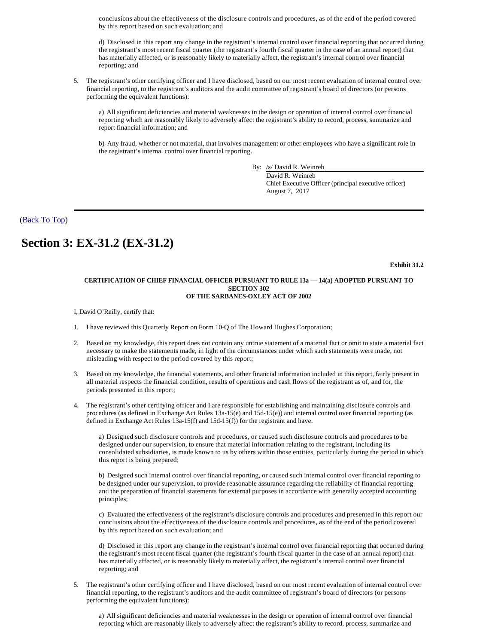conclusions about the effectiveness of the disclosure controls and procedures, as of the end of the period covered by this report based on such evaluation; and

d) Disclosed in this report any change in the registrant's internal control over financial reporting that occurred during the registrant's most recent fiscal quarter (the registrant's fourth fiscal quarter in the case of an annual report) that has materially affected, or is reasonably likely to materially affect, the registrant's internal control over financial reporting; and

5. The registrant's other certifying officer and I have disclosed, based on our most recent evaluation of internal control over financial reporting, to the registrant's auditors and the audit committee of registrant's board of directors (or persons performing the equivalent functions):

a) All significant deficiencies and material weaknesses in the design or operation of internal control over financial reporting which are reasonably likely to adversely affect the registrant's ability to record, process, summarize and report financial information; and

b) Any fraud, whether or not material, that involves management or other employees who have a significant role in the registrant's internal control over financial reporting.

By: /s/ David R. Weinreb

David R. Weinreb Chief Executive Officer (principal executive officer) August 7, 2017

(Back To Top)

# **Section 3: EX-31.2 (EX-31.2)**

**Exhibit 31.2**

### **CERTIFICATION OF CHIEF FINANCIAL OFFICER PURSUANT TO RULE 13a — 14(a) ADOPTED PURSUANT TO SECTION 302 OF THE SARBANES-OXLEY ACT OF 2002**

I, David O'Reilly, certify that:

- 1. I have reviewed this Quarterly Report on Form 10-Q of The Howard Hughes Corporation;
- 2. Based on my knowledge, this report does not contain any untrue statement of a material fact or omit to state a material fact necessary to make the statements made, in light of the circumstances under which such statements were made, not misleading with respect to the period covered by this report;
- 3. Based on my knowledge, the financial statements, and other financial information included in this report, fairly present in all material respects the financial condition, results of operations and cash flows of the registrant as of, and for, the periods presented in this report;
- 4. The registrant's other certifying officer and I are responsible for establishing and maintaining disclosure controls and procedures (as defined in Exchange Act Rules 13a-15(e) and 15d-15(e)) and internal control over financial reporting (as defined in Exchange Act Rules 13a-15(f) and 15d-15(f)) for the registrant and have:

a) Designed such disclosure controls and procedures, or caused such disclosure controls and procedures to be designed under our supervision, to ensure that material information relating to the registrant, including its consolidated subsidiaries, is made known to us by others within those entities, particularly during the period in which this report is being prepared;

b) Designed such internal control over financial reporting, or caused such internal control over financial reporting to be designed under our supervision, to provide reasonable assurance regarding the reliability of financial reporting and the preparation of financial statements for external purposes in accordance with generally accepted accounting principles;

c) Evaluated the effectiveness of the registrant's disclosure controls and procedures and presented in this report our conclusions about the effectiveness of the disclosure controls and procedures, as of the end of the period covered by this report based on such evaluation; and

d) Disclosed in this report any change in the registrant's internal control over financial reporting that occurred during the registrant's most recent fiscal quarter (the registrant's fourth fiscal quarter in the case of an annual report) that has materially affected, or is reasonably likely to materially affect, the registrant's internal control over financial reporting; and

5. The registrant's other certifying officer and I have disclosed, based on our most recent evaluation of internal control over financial reporting, to the registrant's auditors and the audit committee of registrant's board of directors (or persons performing the equivalent functions):

a) All significant deficiencies and material weaknesses in the design or operation of internal control over financial reporting which are reasonably likely to adversely affect the registrant's ability to record, process, summarize and